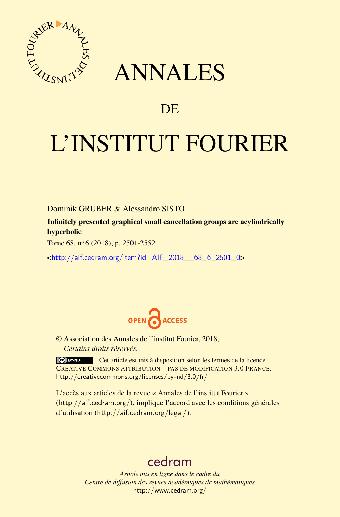

# ANNALES

# **DE**

# L'INSTITUT FOURIER

Dominik GRUBER & Alessandro SISTO

Infinitely presented graphical small cancellation groups are acylindrically hyperbolic

Tome 68, nº 6 (2018), p. 2501-2552.

<[http://aif.cedram.org/item?id=AIF\\_2018\\_\\_68\\_6\\_2501\\_0](http://aif.cedram.org/item?id=AIF_2018__68_6_2501_0)>



© Association des Annales de l'institut Fourier, 2018, *Certains droits réservés.*

Cet article est mis à disposition selon les termes de la licence CREATIVE COMMONS ATTRIBUTION – PAS DE MODIFICATION 3.0 FRANCE. <http://creativecommons.org/licenses/by-nd/3.0/fr/>

L'accès aux articles de la revue « Annales de l'institut Fourier » (<http://aif.cedram.org/>), implique l'accord avec les conditions générales d'utilisation (<http://aif.cedram.org/legal/>).

# [cedram](http://www.cedram.org/)

*Article mis en ligne dans le cadre du Centre de diffusion des revues académiques de mathématiques* <http://www.cedram.org/>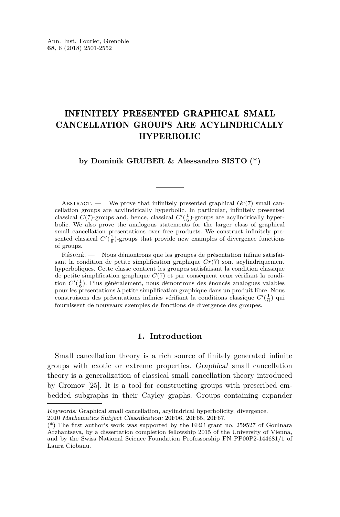# INFINITELY PRESENTED GRAPHICAL SMALL CANCELLATION GROUPS ARE ACYLINDRICALLY HYPERBOLIC

# **by Dominik GRUBER & Alessandro SISTO (\*)**

ABSTRACT. — We prove that infinitely presented graphical  $Gr(7)$  small cancellation groups are acylindrically hyperbolic. In particular, infinitely presented classical  $C'(7)$ -groups and, hence, classical  $C'(\frac{1}{6})$ -groups are acylindrically hyperbolic. We also prove the analogous statements for the larger class of graphical small cancellation presentations over free products. We construct infinitely presented classical  $C'(\frac{1}{6})$ -groups that provide new examples of divergence functions of groups.

Résumé. — Nous démontrons que les groupes de présentation infinie satisfaisant la condition de petite simplification graphique *Gr*(7) sont acylindriquement hyperboliques. Cette classe contient les groupes satisfaisant la condition classique de petite simplification graphique *C*(7) et par conséquent ceux vérifiant la condition  $C'(\frac{1}{6})$ . Plus généralement, nous démontrons des énoncés analogues valables pour les presentations à petite simplification graphique dans un produit libre. Nous construisons des présentations infinies vérifiant la conditions classique  $C'(\frac{1}{6})$  qui fournissent de nouveaux exemples de fonctions de divergence des groupes.

# **1. Introduction**

Small cancellation theory is a rich source of finitely generated infinite groups with exotic or extreme properties. Graphical small cancellation theory is a generalization of classical small cancellation theory introduced by Gromov [\[25\]](#page-50-0). It is a tool for constructing groups with prescribed embedded subgraphs in their Cayley graphs. Groups containing expander

Keywords: Graphical small cancellation, acylindrical hyperbolicity, divergence.

<sup>2010</sup> Mathematics Subject Classification: 20F06, 20F65, 20F67.

<sup>(\*)</sup> The first author's work was supported by the ERC grant no. 259527 of Goulnara Arzhantseva, by a dissertation completion fellowship 2015 of the University of Vienna, and by the Swiss National Science Foundation Professorship FN PP00P2-144681/1 of Laura Ciobanu.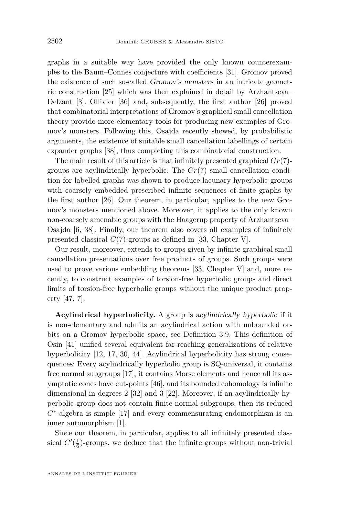graphs in a suitable way have provided the only known counterexamples to the Baum–Connes conjecture with coefficients [\[31\]](#page-51-0). Gromov proved the existence of such so-called Gromov's monsters in an intricate geometric construction [\[25\]](#page-50-0) which was then explained in detail by Arzhantseva– Delzant [\[3\]](#page-49-0). Ollivier [\[36\]](#page-51-1) and, subsequently, the first author [\[26\]](#page-50-1) proved that combinatorial interpretations of Gromov's graphical small cancellation theory provide more elementary tools for producing new examples of Gromov's monsters. Following this, Osajda recently showed, by probabilistic arguments, the existence of suitable small cancellation labellings of certain expander graphs [\[38\]](#page-51-2), thus completing this combinatorial construction.

The main result of this article is that infinitely presented graphical *Gr*(7) groups are acylindrically hyperbolic. The *Gr*(7) small cancellation condition for labelled graphs was shown to produce lacunary hyperbolic groups with coarsely embedded prescribed infinite sequences of finite graphs by the first author [\[26\]](#page-50-1). Our theorem, in particular, applies to the new Gromov's monsters mentioned above. Moreover, it applies to the only known non-coarsely amenable groups with the Haagerup property of Arzhantseva– Osajda [\[6,](#page-49-1) [38\]](#page-51-2). Finally, our theorem also covers all examples of infinitely presented classical *C*(7)-groups as defined in [\[33,](#page-51-3) Chapter V].

Our result, moreover, extends to groups given by infinite graphical small cancellation presentations over free products of groups. Such groups were used to prove various embedding theorems [\[33,](#page-51-3) Chapter V] and, more recently, to construct examples of torsion-free hyperbolic groups and direct limits of torsion-free hyperbolic groups without the unique product property [\[47,](#page-51-4) [7\]](#page-50-2).

**Acylindrical hyperbolicity.** A group is acylindrically hyperbolic if it is non-elementary and admits an acylindrical action with unbounded orbits on a Gromov hyperbolic space, see Definition [3.9.](#page-22-0) This definition of Osin [\[41\]](#page-51-5) unified several equivalent far-reaching generalizations of relative hyperbolicity [\[12,](#page-50-3) [17,](#page-50-4) [30,](#page-51-6) [44\]](#page-51-7). Acylindrical hyperbolicity has strong consequences: Every acylindrically hyperbolic group is SQ-universal, it contains free normal subgroups [\[17\]](#page-50-4), it contains Morse elements and hence all its asymptotic cones have cut-points [\[46\]](#page-51-8), and its bounded cohomology is infinite dimensional in degrees 2 [\[32\]](#page-51-9) and 3 [\[22\]](#page-50-5). Moreover, if an acylindrically hyperbolic group does not contain finite normal subgroups, then its reduced *C*<sup>\*</sup>-algebra is simple [\[17\]](#page-50-4) and every commensurating endomorphism is an inner automorphism [\[1\]](#page-49-2).

Since our theorem, in particular, applies to all infinitely presented classical  $C'(\frac{1}{6})$ -groups, we deduce that the infinite groups without non-trivial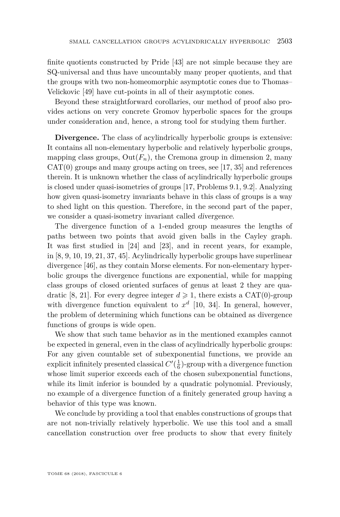finite quotients constructed by Pride [\[43\]](#page-51-10) are not simple because they are SQ-universal and thus have uncountably many proper quotients, and that the groups with two non-homeomorphic asymptotic cones due to Thomas– Velickovic [\[49\]](#page-51-11) have cut-points in all of their asymptotic cones.

Beyond these straightforward corollaries, our method of proof also provides actions on very concrete Gromov hyperbolic spaces for the groups under consideration and, hence, a strong tool for studying them further.

**Divergence.** The class of acylindrically hyperbolic groups is extensive: It contains all non-elementary hyperbolic and relatively hyperbolic groups, mapping class groups,  $Out(F_n)$ , the Cremona group in dimension 2, many  $CAT(0)$  groups and many groups acting on trees, see [\[17,](#page-50-4) [35\]](#page-51-12) and references therein. It is unknown whether the class of acylindrically hyperbolic groups is closed under quasi-isometries of groups [\[17,](#page-50-4) Problems 9.1, 9.2]. Analyzing how given quasi-isometry invariants behave in this class of groups is a way to shed light on this question. Therefore, in the second part of the paper, we consider a quasi-isometry invariant called divergence.

The divergence function of a 1-ended group measures the lengths of paths between two points that avoid given balls in the Cayley graph. It was first studied in [\[24\]](#page-50-6) and [\[23\]](#page-50-7), and in recent years, for example, in [\[8,](#page-50-8) [9,](#page-50-9) [10,](#page-50-10) [19,](#page-50-11) [21,](#page-50-12) [37,](#page-51-13) [45\]](#page-51-14). Acylindrically hyperbolic groups have superlinear divergence [\[46\]](#page-51-8), as they contain Morse elements. For non-elementary hyperbolic groups the divergence functions are exponential, while for mapping class groups of closed oriented surfaces of genus at least 2 they are qua-dratic [\[8,](#page-50-8) [21\]](#page-50-12). For every degree integer  $d \ge 1$ , there exists a CAT(0)-group with divergence function equivalent to  $x^d$  [\[10,](#page-50-10) [34\]](#page-51-15). In general, however, the problem of determining which functions can be obtained as divergence functions of groups is wide open.

We show that such tame behavior as in the mentioned examples cannot be expected in general, even in the class of acylindrically hyperbolic groups: For any given countable set of subexponential functions, we provide an explicit infinitely presented classical  $C'(\frac{1}{6})$ -group with a divergence function whose limit superior exceeds each of the chosen subexponential functions, while its limit inferior is bounded by a quadratic polynomial. Previously, no example of a divergence function of a finitely generated group having a behavior of this type was known.

We conclude by providing a tool that enables constructions of groups that are not non-trivially relatively hyperbolic. We use this tool and a small cancellation construction over free products to show that every finitely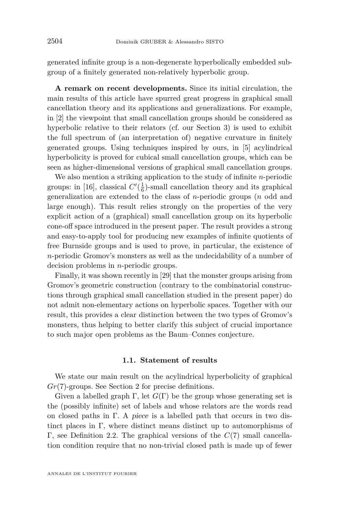generated infinite group is a non-degenerate hyperbolically embedded subgroup of a finitely generated non-relatively hyperbolic group.

**A remark on recent developments.** Since its initial circulation, the main results of this article have spurred great progress in graphical small cancellation theory and its applications and generalizations. For example, in [\[2\]](#page-49-3) the viewpoint that small cancellation groups should be considered as hyperbolic relative to their relators (cf. our Section [3\)](#page-16-0) is used to exhibit the full spectrum of (an interpretation of) negative curvature in finitely generated groups. Using techniques inspired by ours, in [\[5\]](#page-49-4) acylindrical hyperbolicity is proved for cubical small cancellation groups, which can be seen as higher-dimensional versions of graphical small cancellation groups.

We also mention a striking application to the study of infinite *n*-periodic groups: in [\[16\]](#page-50-13), classical  $C'(\frac{1}{6})$ -small cancellation theory and its graphical generalization are extended to the class of *n*-periodic groups (*n* odd and large enough). This result relies strongly on the properties of the very explicit action of a (graphical) small cancellation group on its hyperbolic cone-off space introduced in the present paper. The result provides a strong and easy-to-apply tool for producing new examples of infinite quotients of free Burnside groups and is used to prove, in particular, the existence of *n*-periodic Gromov's monsters as well as the undecidability of a number of decision problems in *n*-periodic groups.

Finally, it was shown recently in [\[29\]](#page-50-14) that the monster groups arising from Gromov's geometric construction (contrary to the combinatorial constructions through graphical small cancellation studied in the present paper) do not admit non-elementary actions on hyperbolic spaces. Together with our result, this provides a clear distinction between the two types of Gromov's monsters, thus helping to better clarify this subject of crucial importance to such major open problems as the Baum–Connes conjecture.

#### **1.1. Statement of results**

We state our main result on the acylindrical hyperbolicity of graphical *Gr*(7)-groups. See Section [2](#page-8-0) for precise definitions.

Given a labelled graph  $\Gamma$ , let  $G(\Gamma)$  be the group whose generating set is the (possibly infinite) set of labels and whose relators are the words read on closed paths in Γ. A piece is a labelled path that occurs in two distinct places in Γ, where distinct means distinct up to automorphisms of Γ, see Definition [2.2.](#page-9-0) The graphical versions of the *C*(7) small cancellation condition require that no non-trivial closed path is made up of fewer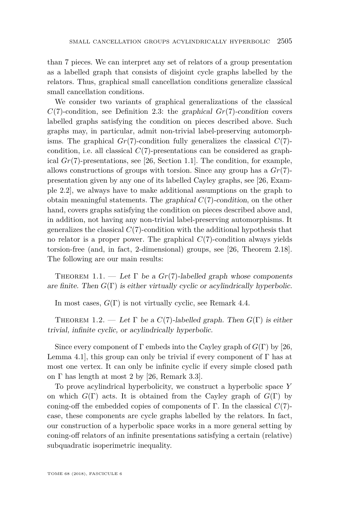than 7 pieces. We can interpret any set of relators of a group presentation as a labelled graph that consists of disjoint cycle graphs labelled by the relators. Thus, graphical small cancellation conditions generalize classical small cancellation conditions.

We consider two variants of graphical generalizations of the classical  $C(7)$ -condition, see Definition [2.3:](#page-9-1) the graphical  $Gr(7)$ -condition covers labelled graphs satisfying the condition on pieces described above. Such graphs may, in particular, admit non-trivial label-preserving automorphisms. The graphical  $Gr(7)$ -condition fully generalizes the classical  $C(7)$ condition, i.e. all classical *C*(7)-presentations can be considered as graphical *Gr*(7)-presentations, see [\[26,](#page-50-1) Section 1.1]. The condition, for example, allows constructions of groups with torsion. Since any group has a *Gr*(7) presentation given by any one of its labelled Cayley graphs, see [\[26,](#page-50-1) Example 2.2], we always have to make additional assumptions on the graph to obtain meaningful statements. The graphical *C*(7)-condition, on the other hand, covers graphs satisfying the condition on pieces described above and, in addition, not having any non-trivial label-preserving automorphisms. It generalizes the classical *C*(7)-condition with the additional hypothesis that no relator is a proper power. The graphical *C*(7)-condition always yields torsion-free (and, in fact, 2-dimensional) groups, see [\[26,](#page-50-1) Theorem 2.18]. The following are our main results:

<span id="page-5-0"></span>THEOREM 1.1. — Let  $\Gamma$  be a  $Gr(7)$ -labelled graph whose components are finite. Then  $G(\Gamma)$  is either virtually cyclic or acylindrically hyperbolic.

In most cases, *G*(Γ) is not virtually cyclic, see Remark [4.4.](#page-27-0)

<span id="page-5-1"></span>THEOREM 1.2. — Let  $\Gamma$  be a  $C(7)$ -labelled graph. Then  $G(\Gamma)$  is either trivial, infinite cyclic, or acylindrically hyperbolic.

Since every component of  $\Gamma$  embeds into the Cayley graph of  $G(\Gamma)$  by [\[26,](#page-50-1) Lemma 4.1, this group can only be trivial if every component of  $\Gamma$  has at most one vertex. It can only be infinite cyclic if every simple closed path on  $\Gamma$  has length at most 2 by [\[26,](#page-50-1) Remark 3.3].

To prove acylindrical hyperbolicity, we construct a hyperbolic space *Y* on which  $G(\Gamma)$  acts. It is obtained from the Cayley graph of  $G(\Gamma)$  by coning-off the embedded copies of components of Γ. In the classical *C*(7) case, these components are cycle graphs labelled by the relators. In fact, our construction of a hyperbolic space works in a more general setting by coning-off relators of an infinite presentations satisfying a certain (relative) subquadratic isoperimetric inequality.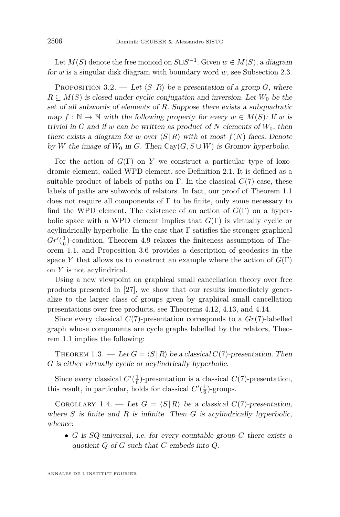Let  $M(S)$  denote the free monoid on  $S \sqcup S^{-1}$ . Given  $w \in M(S)$ , a diagram for *w* is a singular disk diagram with boundary word *w*, see Subsection [2.3.](#page-10-0)

PROPOSITION [3.2.](#page-17-0) — Let  $\langle S | R \rangle$  be a presentation of a group *G*, where  $R \subseteq M(S)$  is closed under cyclic conjugation and inversion. Let  $W_0$  be the set of all subwords of elements of *R*. Suppose there exists a subquadratic map  $f : \mathbb{N} \to \mathbb{N}$  with the following property for every  $w \in M(S)$ : If *w* is trivial in *G* and if *w* can be written as product of *N* elements of  $W_0$ , then there exists a diagram for *w* over  $\langle S | R \rangle$  with at most  $f(N)$  faces. Denote by *W* the image of  $W_0$  in *G*. Then  $Cay(G, S \cup W)$  is *Gromov hyperbolic*.

For the action of *G*(Γ) on *Y* we construct a particular type of loxodromic element, called WPD element, see Definition [2.1.](#page-8-1) It is defined as a suitable product of labels of paths on Γ. In the classical *C*(7)-case, these labels of paths are subwords of relators. In fact, our proof of Theorem [1.1](#page-5-0) does not require all components of  $\Gamma$  to be finite, only some necessary to find the WPD element. The existence of an action of *G*(Γ) on a hyperbolic space with a WPD element implies that *G*(Γ) is virtually cyclic or acylindrically hyperbolic. In the case that  $\Gamma$  satisfies the stronger graphical  $Gr'(\frac{1}{6})$ -condition, Theorem [4.9](#page-33-0) relaxes the finiteness assumption of Theorem [1.1,](#page-5-0) and Proposition [3.6](#page-20-0) provides a description of geodesics in the space *Y* that allows us to construct an example where the action of  $G(\Gamma)$ on *Y* is not acylindrical.

Using a new viewpoint on graphical small cancellation theory over free products presented in [\[27\]](#page-50-15), we show that our results immediately generalize to the larger class of groups given by graphical small cancellation presentations over free products, see Theorems [4.12,](#page-36-0) [4.13,](#page-37-0) and [4.14.](#page-37-1)

Since every classical *C*(7)-presentation corresponds to a *Gr*(7)-labelled graph whose components are cycle graphs labelled by the relators, Theorem [1.1](#page-5-0) implies the following:

THEOREM 1.3. — Let  $G = \langle S | R \rangle$  be a classical  $C(7)$ -presentation. Then *G* is either virtually cyclic or acylindrically hyperbolic.

Since every classical  $C'(\frac{1}{6})$ -presentation is a classical  $C(7)$ -presentation, this result, in particular, holds for classical  $C'(\frac{1}{6})$ -groups.

<span id="page-6-0"></span>COROLLARY 1.4. — Let  $G = \langle S | R \rangle$  be a classical  $C(7)$ -presentation, where  $S$  is finite and  $R$  is infinite. Then  $G$  is acylindrically hyperbolic, whence:

• *G* is SQ-universal, i.e. for every countable group *C* there exists a quotient *Q* of *G* such that *C* embeds into *Q*.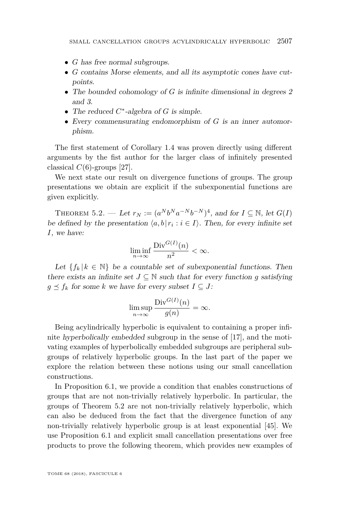- *G* has free normal subgroups.
- *G* contains Morse elements, and all its asymptotic cones have cutpoints.
- The bounded cohomology of *G* is infinite dimensional in degrees 2 and 3.
- The reduced *C* ∗ -algebra of *G* is simple.
- Every commensurating endomorphism of *G* is an inner automorphism.

The first statement of Corollary [1.4](#page-6-0) was proven directly using different arguments by the fist author for the larger class of infinitely presented classical  $C(6)$ -groups [\[27\]](#page-50-15).

We next state our result on divergence functions of groups. The group presentations we obtain are explicit if the subexponential functions are given explicitly.

THEOREM [5.2.](#page-40-0) — Let  $r_N := (a^N b^N a^{-N} b^{-N})^4$ , and for  $I \subseteq \mathbb{N}$ , let  $G(I)$ be defined by the presentation  $\langle a, b | r_i : i \in I \rangle$ . Then, for every infinite set *I*, we have:

$$
\liminf_{n \to \infty} \frac{\text{Div}^{G(I)}(n)}{n^2} < \infty.
$$

Let  ${f_k | k \in \mathbb{N}}$  be a countable set of subexponential functions. Then there exists an infinite set  $J \subseteq \mathbb{N}$  such that for every function g satisfying *g*  $\le$  *f<sub>k</sub>* for some *k* we have for every subset *I* ⊆ *J*:

$$
\limsup_{n \to \infty} \frac{\text{Div}^{G(I)}(n)}{g(n)} = \infty.
$$

Being acylindrically hyperbolic is equivalent to containing a proper infinite hyperbolically embedded subgroup in the sense of [\[17\]](#page-50-4), and the motivating examples of hyperbolically embedded subgroups are peripheral subgroups of relatively hyperbolic groups. In the last part of the paper we explore the relation between these notions using our small cancellation constructions.

In Proposition [6.1,](#page-45-0) we provide a condition that enables constructions of groups that are not non-trivially relatively hyperbolic. In particular, the groups of Theorem [5.2](#page-40-0) are not non-trivially relatively hyperbolic, which can also be deduced from the fact that the divergence function of any non-trivially relatively hyperbolic group is at least exponential [\[45\]](#page-51-14). We use Proposition [6.1](#page-45-0) and explicit small cancellation presentations over free products to prove the following theorem, which provides new examples of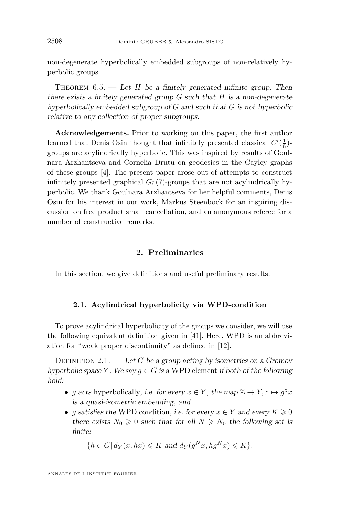non-degenerate hyperbolically embedded subgroups of non-relatively hyperbolic groups.

THEOREM  $6.5.$  — Let *H* be a finitely generated infinite group. Then there exists a finitely generated group *G* such that *H* is a non-degenerate hyperbolically embedded subgroup of *G* and such that *G* is not hyperbolic relative to any collection of proper subgroups.

**Acknowledgements.** Prior to working on this paper, the first author learned that Denis Osin thought that infinitely presented classical  $C'(\frac{1}{8})$ groups are acylindrically hyperbolic. This was inspired by results of Goulnara Arzhantseva and Cornelia Drutu on geodesics in the Cayley graphs of these groups [\[4\]](#page-49-5). The present paper arose out of attempts to construct infinitely presented graphical *Gr*(7)-groups that are not acylindrically hyperbolic. We thank Goulnara Arzhantseva for her helpful comments, Denis Osin for his interest in our work, Markus Steenbock for an inspiring discussion on free product small cancellation, and an anonymous referee for a number of constructive remarks.

# **2. Preliminaries**

<span id="page-8-0"></span>In this section, we give definitions and useful preliminary results.

### **2.1. Acylindrical hyperbolicity via WPD-condition**

To prove acylindrical hyperbolicity of the groups we consider, we will use the following equivalent definition given in [\[41\]](#page-51-5). Here, WPD is an abbreviation for "weak proper discontinuity" as defined in [\[12\]](#page-50-3).

<span id="page-8-1"></span>DEFINITION 2.1. — Let  $G$  be a group acting by isometries on a Gromov hyperbolic space *Y*. We say  $q \in G$  is a WPD element if both of the following hold:

- *g* acts hyperbolically, *i.e.* for every  $x \in Y$ , the map  $\mathbb{Z} \to Y$ ,  $z \mapsto g^z x$ is a quasi-isometric embedding, and
- *g* satisfies the WPD condition, i.e. for every  $x \in Y$  and every  $K \geq 0$ there exists  $N_0 \geq 0$  such that for all  $N \geq N_0$  the following set is finite:

 ${h \in G | d_Y(x, hx) \leqslant K \text{ and } d_Y(g^N x, hg^N x) \leqslant K}.$ 

ANNALES DE L'INSTITUT FOURIER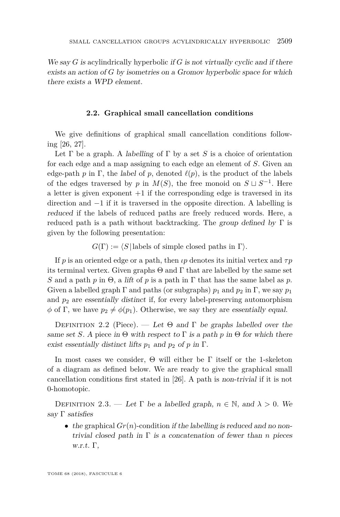We say *G* is acylindrically hyperbolic if *G* is not virtually cyclic and if there exists an action of *G* by isometries on a Gromov hyperbolic space for which there exists a WPD element.

# **2.2. Graphical small cancellation conditions**

We give definitions of graphical small cancellation conditions following [\[26,](#page-50-1) [27\]](#page-50-15).

Let  $\Gamma$  be a graph. A *labelling* of  $\Gamma$  by a set *S* is a choice of orientation for each edge and a map assigning to each edge an element of *S*. Given an edge-path *p* in Γ, the label of *p*, denoted  $\ell(p)$ , is the product of the labels of the edges traversed by *p* in  $M(S)$ , the free monoid on  $S \sqcup S^{-1}$ . Here a letter is given exponent  $+1$  if the corresponding edge is traversed in its direction and −1 if it is traversed in the opposite direction. A labelling is reduced if the labels of reduced paths are freely reduced words. Here, a reduced path is a path without backtracking. The group defined by  $\Gamma$  is given by the following presentation:

 $G(\Gamma) := \langle S |$  labels of simple closed paths in  $\Gamma \rangle$ .

If *p* is an oriented edge or a path, then  $\iota p$  denotes its initial vertex and  $\tau p$ its terminal vertex. Given graphs  $\Theta$  and  $\Gamma$  that are labelled by the same set *S* and a path *p* in Θ, a lift of *p* is a path in Γ that has the same label as *p*. Given a labelled graph  $\Gamma$  and paths (or subgraphs)  $p_1$  and  $p_2$  in  $\Gamma$ , we say  $p_1$ and  $p_2$  are essentially distinct if, for every label-preserving automorphism  $\phi$  of  $\Gamma$ , we have  $p_2 \neq \phi(p_1)$ . Otherwise, we say they are essentially equal.

<span id="page-9-0"></span>DEFINITION 2.2 (Piece). — Let  $\Theta$  and  $\Gamma$  be graphs labelled over the same set *S*. A piece in  $\Theta$  with respect to  $\Gamma$  is a path  $p$  in  $\Theta$  for which there exist essentially distinct lifts  $p_1$  and  $p_2$  of  $p$  in  $\Gamma$ .

In most cases we consider, Θ will either be Γ itself or the 1-skeleton of a diagram as defined below. We are ready to give the graphical small cancellation conditions first stated in [\[26\]](#page-50-1). A path is non-trivial if it is not 0-homotopic.

<span id="page-9-1"></span>DEFINITION 2.3. — Let  $\Gamma$  be a labelled graph,  $n \in \mathbb{N}$ , and  $\lambda > 0$ . We say  $\Gamma$  satisfies

• the graphical  $Gr(n)$ -condition if the labelling is reduced and no nontrivial closed path in  $\Gamma$  is a concatenation of fewer than *n* pieces w.r.t.  $\Gamma$ ,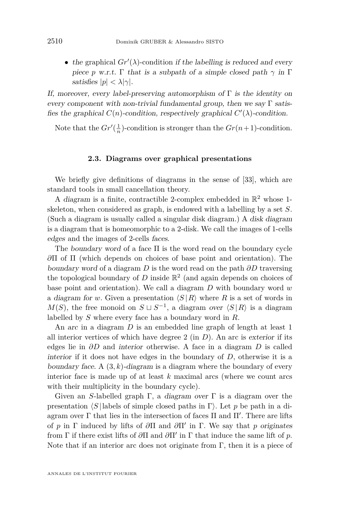• the graphical  $Gr'(\lambda)$ -condition if the labelling is reduced and every piece *p* w.r.t. Γ that is a subpath of a simple closed path  $\gamma$  in Γ satisfies  $|p| < \lambda |\gamma|$ .

If, moreover, every label-preserving automorphism of  $\Gamma$  is the identity on every component with non-trivial fundamental group, then we say  $\Gamma$  satisfies the graphical  $C(n)$ -condition, respectively graphical  $C'(\lambda)$ -condition.

Note that the  $Gr'(\frac{1}{n})$ -condition is stronger than the  $Gr(n+1)$ -condition.

# **2.3. Diagrams over graphical presentations**

<span id="page-10-0"></span>We briefly give definitions of diagrams in the sense of [\[33\]](#page-51-3), which are standard tools in small cancellation theory.

A diagram is a finite, contractible 2-complex embedded in  $\mathbb{R}^2$  whose 1skeleton, when considered as graph, is endowed with a labelling by a set *S*. (Such a diagram is usually called a singular disk diagram.) A disk diagram is a diagram that is homeomorphic to a 2-disk. We call the images of 1-cells edges and the images of 2-cells faces.

The boundary word of a face Π is the word read on the boundary cycle *∂*Π of Π (which depends on choices of base point and orientation). The boundary word of a diagram *D* is the word read on the path *∂D* traversing the topological boundary of  $D$  inside  $\mathbb{R}^2$  (and again depends on choices of base point and orientation). We call a diagram *D* with boundary word *w* a diagram for *w*. Given a presentation  $\langle S | R \rangle$  where *R* is a set of words in *M*(*S*), the free monoid on  $S \sqcup S^{-1}$ , a diagram over  $\langle S | R \rangle$  is a diagram labelled by *S* where every face has a boundary word in *R*.

An arc in a diagram *D* is an embedded line graph of length at least 1 all interior vertices of which have degree 2 (in *D*). An arc is exterior if its edges lie in *∂D* and interior otherwise. A face in a diagram *D* is called interior if it does not have edges in the boundary of *D*, otherwise it is a boundary face. A (3*, k*)-diagram is a diagram where the boundary of every interior face is made up of at least *k* maximal arcs (where we count arcs with their multiplicity in the boundary cycle).

Given an *S*-labelled graph Γ, a diagram over Γ is a diagram over the presentation  $\langle S |$ labels of simple closed paths in Γ. Let *p* be path in a diagram over  $\Gamma$  that lies in the intersection of faces  $\Pi$  and  $\Pi'$ . There are lifts of *p* in Γ induced by lifts of *∂*Π and *∂*Π<sup>0</sup> in Γ. We say that *p* originates from  $\Gamma$  if there exist lifts of  $\partial \Pi$  and  $\partial \Pi'$  in  $\Gamma$  that induce the same lift of *p*. Note that if an interior arc does not originate from  $\Gamma$ , then it is a piece of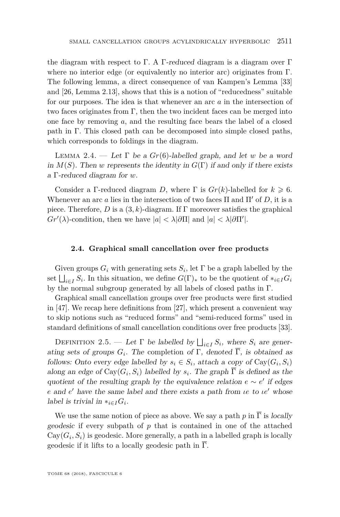the diagram with respect to Γ. A Γ-reduced diagram is a diagram over Γ where no interior edge (or equivalently no interior arc) originates from Γ. The following lemma, a direct consequence of van Kampen's Lemma [\[33\]](#page-51-3) and [\[26,](#page-50-1) Lemma 2.13], shows that this is a notion of "reducedness" suitable for our purposes. The idea is that whenever an arc *a* in the intersection of two faces originates from  $\Gamma$ , then the two incident faces can be merged into one face by removing *a*, and the resulting face bears the label of a closed path in Γ. This closed path can be decomposed into simple closed paths, which corresponds to foldings in the diagram.

<span id="page-11-0"></span>LEMMA 2.4. — Let  $\Gamma$  be a  $Gr(6)$ -labelled graph, and let *w* be a word in  $M(S)$ . Then *w* represents the identity in  $G(\Gamma)$  if and only if there exists a Γ-reduced diagram for *w*.

Consider a Γ-reduced diagram *D*, where Γ is  $Gr(k)$ -labelled for  $k \geq 6$ . Whenever an arc *a* lies in the intersection of two faces  $\Pi$  and  $\Pi'$  of *D*, it is a piece. Therefore, *D* is a (3*, k*)-diagram. If Γ moreover satisfies the graphical  $Gr'(\lambda)$ -condition, then we have  $|a| < \lambda |\partial \Pi|$  and  $|a| < \lambda |\partial \Pi'|$ .

## **2.4. Graphical small cancellation over free products**

Given groups  $G_i$  with generating sets  $S_i$ , let  $\Gamma$  be a graph labelled by the set  $\bigsqcup_{i \in I} S_i$ . In this situation, we define  $G(\Gamma)_*$  to be the quotient of  $*_{i \in I} G_i$ by the normal subgroup generated by all labels of closed paths in Γ.

Graphical small cancellation groups over free products were first studied in [\[47\]](#page-51-4). We recap here definitions from [\[27\]](#page-50-15), which present a convenient way to skip notions such as "reduced forms" and "semi-reduced forms" used in standard definitions of small cancellation conditions over free products [\[33\]](#page-51-3).

DEFINITION 2.5. — Let  $\Gamma$  be labelled by  $\bigsqcup_{i\in I} S_i$ , where  $S_i$  are generating sets of groups  $G_i$ . The completion of  $\Gamma$ , denoted  $\Gamma$ , is obtained as follows: Onto every edge labelled by  $s_i \in S_i$ , attach a copy of  $\text{Cay}(G_i, S_i)$ along an edge of  $Cay(G_i, S_i)$  labelled by  $s_i$ . The graph  $\Gamma$  is defined as the quotient of the resulting graph by the equivalence relation  $e \sim e'$  if edges *e* and *e'* have the same label and there exists a path from *ιe* to *ιe'* whose label is trivial in  $*_{{i \in I}} G_i$ .

We use the same notion of piece as above. We say a path  $p$  in  $\overline{\Gamma}$  is locally geodesic if every subpath of *p* that is contained in one of the attached  $Cay(G_i, S_i)$  is geodesic. More generally, a path in a labelled graph is locally geodesic if it lifts to a locally geodesic path in Γ.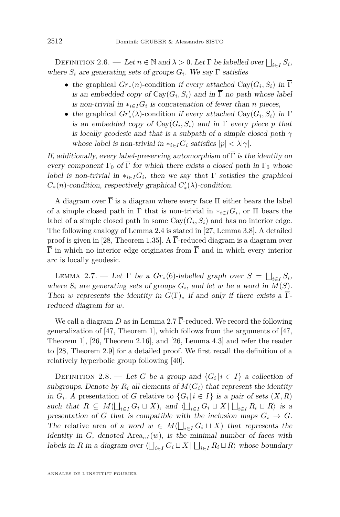DEFINITION 2.6. — Let  $n \in \mathbb{N}$  and  $\lambda > 0$ . Let  $\Gamma$  be labelled over  $\bigsqcup_{i \in I} S_i$ , where  $S_i$  are generating sets of groups  $G_i$ . We say  $\Gamma$  satisfies

- the graphical  $Gr_*(n)$ -condition if every attached  $Cay(G_i, S_i)$  in  $\Gamma$ is an embedded copy of  $Cay(G_i, S_i)$  and in  $\Gamma$  no path whose label is non-trivial in  $*_i \in I$ *G*<sup>*i*</sup> is concatenation of fewer than *n* pieces,
- the graphical  $Gr'_{*}(\lambda)$ -condition if every attached  $Cay(G_i, S_i)$  in  $\overline{\Gamma}$ is an embedded copy of  $Cay(G_i, S_i)$  and in  $\Gamma$  every piece  $p$  that is locally geodesic and that is a subpath of a simple closed path  $\gamma$ whose label is non-trivial in  $*_i \in I$ *G*<sup>*i*</sup> satisfies  $|p| < \lambda |\gamma|$ .

If, additionally, every label-preserving automorphism of  $\overline{\Gamma}$  is the identity on every component  $\Gamma_0$  of  $\overline{\Gamma}$  for which there exists a closed path in  $\Gamma_0$  whose label is non-trivial in  $*_i \in I$ *G*<sup>*i*</sup>, then we say that  $\Gamma$  satisfies the graphical  $C_*(n)$ -condition, respectively graphical  $C'_*(\lambda)$ -condition.

A diagram over  $\overline{\Gamma}$  is a diagram where every face  $\Pi$  either bears the label of a simple closed path in  $\Gamma$  that is non-trivial in  $*_i \in I$ *G*<sup>*i*</sup>, or  $\Pi$  bears the label of a simple closed path in some  $Cay(G_i, S_i)$  and has no interior edge. The following analogy of Lemma [2.4](#page-11-0) is stated in [\[27,](#page-50-15) Lemma 3.8]. A detailed proof is given in [\[28,](#page-50-16) Theorem 1.35]. A  $\overline{\Gamma}$ -reduced diagram is a diagram over  $\overline{\Gamma}$  in which no interior edge originates from  $\overline{\Gamma}$  and in which every interior arc is locally geodesic.

<span id="page-12-0"></span>LEMMA 2.7. — Let  $\Gamma$  be a  $Gr_*(6)$ -labelled graph over  $S = \bigsqcup_{i \in I} S_i$ , where  $S_i$  are generating sets of groups  $G_i$ , and let w be a word in  $M(S)$ . Then *w* represents the identity in  $G(\Gamma)_*$  if and only if there exists a  $\overline{\Gamma}$ reduced diagram for *w*.

We call a diagram *D* as in Lemma [2.7](#page-12-0)  $\overline{\Gamma}$ -reduced. We record the following generalization of [\[47,](#page-51-4) Theorem 1], which follows from the arguments of [\[47,](#page-51-4) Theorem 1], [\[26,](#page-50-1) Theorem 2.16], and [\[26,](#page-50-1) Lemma 4.3] and refer the reader to [\[28,](#page-50-16) Theorem 2.9] for a detailed proof. We first recall the definition of a relatively hyperbolic group following [\[40\]](#page-51-16).

DEFINITION 2.8. — Let *G* be a group and  $\{G_i \mid i \in I\}$  a collection of subgroups. Denote by  $R_i$  all elements of  $M(G_i)$  that represent the identity in  $G_i$ . A presentation of *G* relative to  $\{G_i \mid i \in I\}$  is a pair of sets  $(X, R)$ such that  $R \subseteq M(\bigsqcup_{i \in I} G_i \sqcup X)$ , and  $\langle \bigsqcup_{i \in I} G_i \sqcup X \vert \bigsqcup_{i \in I} R_i \sqcup R \rangle$  is a presentation of *G* that is compatible with the inclusion maps  $G_i \rightarrow G$ . The relative area of a word  $w \in M(\bigsqcup_{i \in I} G_i \sqcup X)$  that represents the identity in  $G$ , denoted Area<sub>rel</sub> $(w)$ , is the minimal number of faces with labels in *R* in a diagram over  $\langle \bigsqcup_{i \in I} G_i \sqcup X \mid \bigsqcup_{i \in I} R_i \sqcup R \rangle$  whose boundary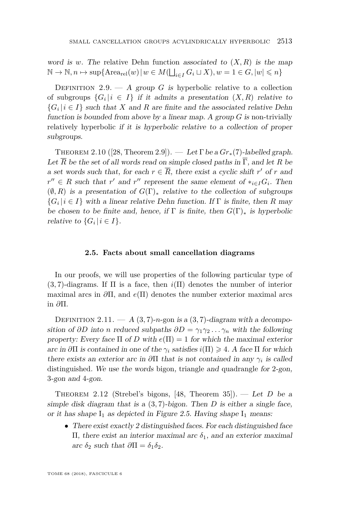word is *w*. The relative Dehn function associated to  $(X, R)$  is the map  $\mathbb{N} \to \mathbb{N}, n \mapsto \sup\{\text{Area}_{rel}(w) | w \in M(\bigsqcup_{i \in I} G_i \sqcup X), w = 1 \in G, |w| \leqslant n\}$ 

DEFINITION 2.9.  $- A$  group *G* is hyperbolic relative to a collection of subgroups  $\{G_i \mid i \in I\}$  if it admits a presentation  $(X, R)$  relative to  ${G_i | i \in I}$  such that *X* and *R* are finite and the associated relative Dehn function is bounded from above by a linear map. A group *G* is non-trivially relatively hyperbolic if it is hyperbolic relative to a collection of proper subgroups.

<span id="page-13-1"></span>THEOREM 2.10 ([\[28,](#page-50-16) Theorem 2.9]). — Let  $\Gamma$  be a  $Gr_*(7)$ -labelled graph. Let  $\overline{R}$  be the set of all words read on simple closed paths in  $\overline{\Gamma}$ , and let R be a set words such that, for each  $r \in \overline{R}$ , there exist a cyclic shift r' of r and  $r'' \in R$  such that  $r'$  and  $r''$  represent the same element of  $*_{i \in I} G_i$ . Then  $(\emptyset, R)$  is a presentation of  $G(\Gamma)_*$  relative to the collection of subgroups  ${G_i | i \in I}$  with a linear relative Dehn function. If  $\Gamma$  is finite, then *R* may be chosen to be finite and, hence, if  $\Gamma$  is finite, then  $G(\Gamma)_*$  is hyperbolic relative to  $\{G_i \mid i \in I\}.$ 

# **2.5. Facts about small cancellation diagrams**

In our proofs, we will use properties of the following particular type of (3*,* 7)-diagrams. If Π is a face, then *i*(Π) denotes the number of interior maximal arcs in *∂*Π, and *e*(Π) denotes the number exterior maximal arcs in *∂*Π.

DEFINITION 2.11.  $- A(3,7)$ -*n*-gon is a  $(3,7)$ -diagram with a decomposition of  $\partial D$  into *n* reduced subpaths  $\partial D = \gamma_1 \gamma_2 \dots \gamma_n$  with the following property: Every face  $\Pi$  of *D* with  $e(\Pi) = 1$  for which the maximal exterior arc in  $\partial \Pi$  is contained in one of the  $\gamma_i$  satisfies  $i(\Pi) \geq 4$ . A face  $\Pi$  for which there exists an exterior arc in  $\partial\Pi$  that is not contained in any  $\gamma_i$  is called distinguished. We use the words bigon, triangle and quadrangle for 2-gon, 3-gon and 4-gon.

<span id="page-13-0"></span>THEOREM 2.12 (Strebel's bigons, [\[48,](#page-51-17) Theorem 35]). — Let *D* be a simple disk diagram that is a (3*,* 7)-bigon. Then *D* is either a single face, or it has shape  $I_1$  as depicted in Figure [2.5.](#page-13-0) Having shape  $I_1$  means:

• There exist exactly 2 distinguished faces. For each distinguished face Π, there exist an interior maximal arc *δ*1, and an exterior maximal arc  $\delta_2$  such that  $\partial \Pi = \delta_1 \delta_2$ .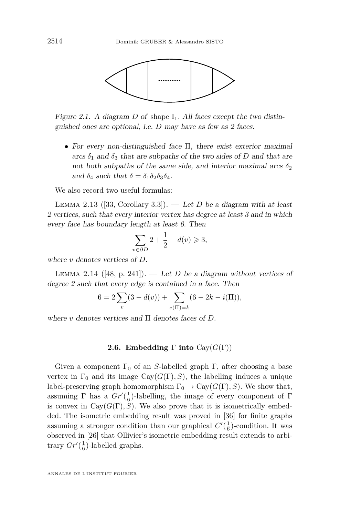

Figure 2.1. A diagram  $D$  of shape  $I_1$ . All faces except the two distinguished ones are optional, i.e. *D* may have as few as 2 faces.

• For every non-distinguished face Π, there exist exterior maximal arcs  $\delta_1$  and  $\delta_3$  that are subpaths of the two sides of *D* and that are not both subpaths of the same side, and interior maximal arcs  $\delta_2$ and  $\delta_4$  such that  $\delta = \delta_1 \delta_2 \delta_3 \delta_4$ .

We also record two useful formulas:

<span id="page-14-0"></span>LEMMA 2.13 ([\[33,](#page-51-3) Corollary 3.3]). — Let *D* be a diagram with at least 2 vertices, such that every interior vertex has degree at least 3 and in which every face has boundary length at least 6. Then

$$
\sum_{v \in \partial D} 2 + \frac{1}{2} - d(v) \geqslant 3,
$$

where *v* denotes vertices of *D*.

<span id="page-14-1"></span>LEMMA 2.14 ([\[48,](#page-51-17) p. 241]). — Let *D* be a diagram without vertices of degree 2 such that every edge is contained in a face. Then

$$
6 = 2\sum_{v} (3 - d(v)) + \sum_{e(\Pi) = k} (6 - 2k - i(\Pi)),
$$

where *v* denotes vertices and Π denotes faces of *D*.

# **2.6.** Embedding Γ into  $Cay(G(Γ))$

Given a component  $\Gamma_0$  of an *S*-labelled graph  $\Gamma$ , after choosing a base vertex in  $\Gamma_0$  and its image Cay( $G(\Gamma), S$ ), the labelling induces a unique label-preserving graph homomorphism  $\Gamma_0 \to \text{Cay}(G(\Gamma), S)$ . We show that, assuming  $\Gamma$  has a  $Gr'(\frac{1}{6})$ -labelling, the image of every component of  $\Gamma$ is convex in  $\text{Cay}(G(\Gamma), S)$ . We also prove that it is isometrically embedded. The isometric embedding result was proved in [\[36\]](#page-51-1) for finite graphs assuming a stronger condition than our graphical  $C'(\frac{1}{6})$ -condition. It was observed in [\[26\]](#page-50-1) that Ollivier's isometric embedding result extends to arbitrary  $Gr'(\frac{1}{6})$ -labelled graphs.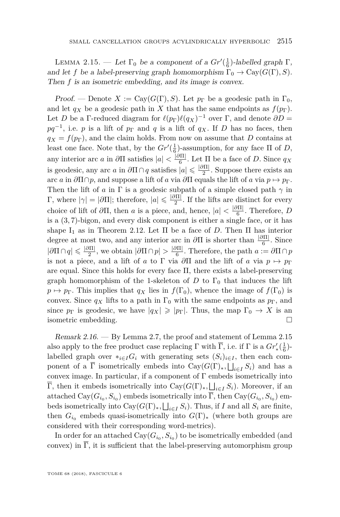<span id="page-15-0"></span>LEMMA 2.15. — Let  $\Gamma_0$  be a component of a  $Gr'(\frac{1}{6})$ -labelled graph  $\Gamma$ , and let *f* be a label-preserving graph homomorphism  $\Gamma_0 \to \text{Cay}(G(\Gamma), S)$ . Then f is an isometric embedding, and its image is convex.

Proof. — Denote  $X := \text{Cay}(G(\Gamma), S)$ . Let  $p_{\Gamma}$  be a geodesic path in  $\Gamma_0$ , and let  $q_X$  be a geodesic path in *X* that has the same endpoints as  $f(p_\Gamma)$ . Let *D* be a Γ-reduced diagram for  $\ell(p_{\Gamma})\ell(q_X)^{-1}$  over Γ, and denote  $\partial D =$  $pq^{-1}$ , i.e. *p* is a lift of  $p_{\Gamma}$  and *q* is a lift of  $q_X$ . If *D* has no faces, then  $q_X = f(p_\Gamma)$ , and the claim holds. From now on assume that *D* contains at least one face. Note that, by the  $Gr'(\frac{1}{6})$ -assumption, for any face  $\Pi$  of *D*, any interior arc *a* in  $\partial \Pi$  satisfies  $|a| < \frac{|\partial \Pi|}{6}$  $\frac{911}{6}$ . Let  $\Pi$  be a face of *D*. Since  $q_X$ is geodesic, any arc *a* in  $\partial\Pi \cap q$  satisfies  $|a| \leq \frac{|\partial \Pi|}{2}$  $\frac{1}{2}$ . Suppose there exists an arc *a* in  $\partial\Pi \cap p$ , and suppose a lift of *a* via  $\partial\Pi$  equals the lift of *a* via  $p \mapsto p_{\Gamma}$ . Then the lift of *a* in  $\Gamma$  is a geodesic subpath of a simple closed path  $\gamma$  in Γ, where  $|\gamma| = |\partial\Pi|$ ; therefore,  $|a| \leq \frac{|\partial\Pi|}{2}$  $\frac{211}{2}$ . If the lifts are distinct for every choice of lift of  $\partial \Pi$ , then *a* is a piece, and, hence,  $|a| < \frac{|\partial \Pi|}{6}$  $\frac{n_1}{6}$ . Therefore, *D* is a (3*,* 7)-bigon, and every disk component is either a single face, or it has shape  $I_1$  as in Theorem [2.12.](#page-13-0) Let  $\Pi$  be a face of *D*. Then  $\Pi$  has interior degree at most two, and any interior arc in  $\partial \Pi$  is shorter than  $\frac{|\partial \Pi|}{6}$ . Since  $|\partial\Pi \cap q| \leqslant \frac{|\partial\Pi|}{2}$  $\frac{\partial \Pi}{2}$ , we obtain  $|\partial \Pi \cap p| > \frac{|\partial \Pi|}{6}$  $\frac{911}{6}$ . Therefore, the path  $a := \partial \Pi \cap p$ is not a piece, and a lift of *a* to Γ via  $\partial \Pi$  and the lift of *a* via  $p \mapsto p_{\Gamma}$ are equal. Since this holds for every face Π, there exists a label-preserving graph homomorphism of the 1-skeleton of  $D$  to  $\Gamma_0$  that induces the lift  $p \mapsto p_{\Gamma}$ . This implies that  $q_X$  lies in  $f(\Gamma_0)$ , whence the image of  $f(\Gamma_0)$  is convex. Since  $q_X$  lifts to a path in  $\Gamma_0$  with the same endpoints as  $p_\Gamma$ , and since  $p_{\Gamma}$  is geodesic, we have  $|q_X| \geqslant |p_{\Gamma}|$ . Thus, the map  $\Gamma_0 \to X$  is an isometric embedding.

<span id="page-15-1"></span>Remark 2.16. — By Lemma [2.7,](#page-12-0) the proof and statement of Lemma [2.15](#page-15-0) also apply to the free product case replacing  $\Gamma$  with  $\overline{\Gamma}$ , i.e. if  $\Gamma$  is a  $Gr'_{*}(\frac{1}{6})$ labelled graph over  $*_i \in I$ *G*<sup>*i*</sup> with generating sets  $(S_i)_{i \in I}$ , then each component of a  $\overline{\Gamma}$  isometrically embeds into  $Cay(G(\Gamma)_*, \bigsqcup_{i \in I} S_i)$  and has a convex image. In particular, if a component of  $\Gamma$  embeds isometrically into  $\overline{\Gamma}$ , then it embeds isometrically into Cay( $G(\Gamma)$ <sub>∗</sub>,  $\bigcup_{i \in I} S_i$ ). Moreover, if an attached  $\text{Cay}(G_{i_0}, S_{i_0})$  embeds isometrically into  $\Gamma$ , then  $\text{Cay}(G_{i_0}, S_{i_0})$  embeds isometrically into  $\text{Cay}(G(\Gamma)_*, \bigcup_{i \in I} S_i)$ . Thus, if *I* and all  $S_i$  are finite, then  $G_{i_0}$  embeds quasi-isometrically into  $G(\Gamma)_*$  (where both groups are considered with their corresponding word-metrics).

In order for an attached  $\text{Cay}(G_{i_0}, S_{i_0})$  to be isometrically embedded (and convex) in  $\Gamma$ , it is sufficient that the label-preserving automorphism group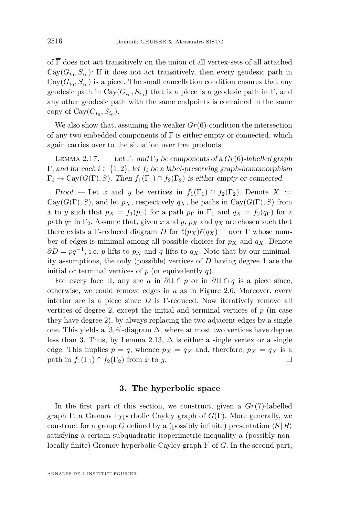of  $\overline{\Gamma}$  does not act transitively on the union of all vertex-sets of all attached  $Cay(G_{i_0}, S_{i_0})$ : If it does not act transitively, then every geodesic path in  $Cay(G_{i_0}, S_{i_0})$  is a piece. The small cancellation condition ensures that any geodesic path in  $\text{Cay}(G_{i_0}, S_{i_0})$  that is a piece is a geodesic path in  $\Gamma$ , and any other geodesic path with the same endpoints is contained in the same copy of  $Cay(G_{i_0}, S_{i_0}).$ 

We also show that, assuming the weaker *Gr*(6)-condition the intersection of any two embedded components of  $\Gamma$  is either empty or connected, which again carries over to the situation over free products.

<span id="page-16-1"></span>LEMMA 2.17. — Let  $\Gamma_1$  and  $\Gamma_2$  be components of a  $Gr(6)$ -labelled graph Γ, and for each *i* ∈ {1*,* 2}, let *f<sup>i</sup>* be a label-preserving graph-homomorphism  $\Gamma_i \to \text{Cay}(G(\Gamma), S)$ . Then  $f_1(\Gamma_1) \cap f_2(\Gamma_2)$  is either empty or connected.

Proof. — Let *x* and *y* be vertices in  $f_1(\Gamma_1) \cap f_2(\Gamma_2)$ . Denote  $X :=$ Cay( $G(\Gamma), S$ ), and let  $p_X$ , respectively  $q_X$ , be paths in Cay( $G(\Gamma), S$ ) from *x* to *y* such that  $p_X = f_1(p_\Gamma)$  for a path  $p_\Gamma$  in  $\Gamma_1$  and  $q_X = f_2(q_\Gamma)$  for a path  $q_{\Gamma}$  in  $\Gamma_2$ . Assume that, given *x* and *y*, *p<sub>X</sub>* and *q<sub>X</sub>* are chosen such that there exists a  $\Gamma$ -reduced diagram  $D$  for  $\ell(p_X)\ell(q_X)^{-1}$  over  $\Gamma$  whose number of edges is minimal among all possible choices for  $p<sub>X</sub>$  and  $q<sub>X</sub>$ . Denote  $\partial D = pq^{-1}$ , i.e. *p* lifts to  $p_X$  and *q* lifts to  $q_X$ . Note that by our minimality assumptions, the only (possible) vertices of *D* having degree 1 are the initial or terminal vertices of *p* (or equivalently *q*).

For every face  $\Pi$ , any arc *a* in  $\partial\Pi \cap p$  or in  $\partial\Pi \cap q$  is a piece since, otherwise, we could remove edges in *a* as in Figure [2.6.](#page-16-1) Moreover, every interior arc is a piece since *D* is Γ-reduced. Now iteratively remove all vertices of degree 2, except the initial and terminal vertices of  $p$  (in case they have degree 2), by always replacing the two adjacent edges by a single one. This yields a [3,6]-diagram  $\Delta$ , where at most two vertices have degree less than 3. Thus, by Lemma [2.13,](#page-14-0)  $\Delta$  is either a single vertex or a single edge. This implies  $p = q$ , whence  $p_X = q_X$  and, therefore,  $p_X = q_X$  is a path in  $f_1(\Gamma_1) \cap f_2(\Gamma_2)$  from *x* to *y*.

# **3. The hyperbolic space**

<span id="page-16-0"></span>In the first part of this section, we construct, given a *Gr*(7)-labelled graph  $\Gamma$ , a Gromov hyperbolic Cayley graph of  $G(\Gamma)$ . More generally, we construct for a group *G* defined by a (possibly infinite) presentation  $\langle S | R \rangle$ satisfying a certain subquadratic isoperimetric inequality a (possibly nonlocally finite) Gromov hyperbolic Cayley graph *Y* of *G*. In the second part,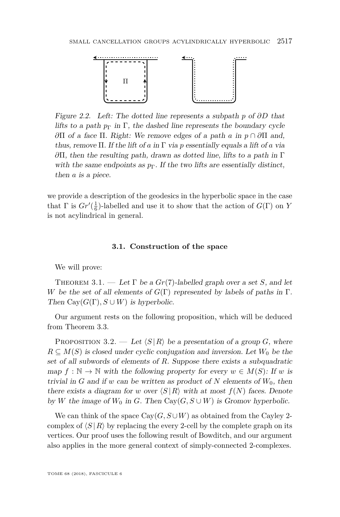

Figure 2.2. Left: The dotted line represents a subpath *p* of *∂D* that lifts to a path  $p_{\Gamma}$  in  $\Gamma$ , the dashed line represents the boundary cycle *∂*Π of a face Π. Right: We remove edges of a path *a* in *p* ∩ *∂*Π and, thus, remove Π. If the lift of *a* in Γ via *p* essentially equals a lift of *a* via *∂*Π, then the resulting path, drawn as dotted line, lifts to a path in Γ with the same endpoints as  $p_{\Gamma}$ . If the two lifts are essentially distinct, then *a* is a piece.

we provide a description of the geodesics in the hyperbolic space in the case that  $\Gamma$  is  $Gr'(\frac{1}{6})$ -labelled and use it to show that the action of  $G(\Gamma)$  on *Y* is not acylindrical in general.

#### **3.1. Construction of the space**

We will prove:

<span id="page-17-1"></span>THEOREM 3.1. — Let  $\Gamma$  be a  $Gr(7)$ -labelled graph over a set *S*, and let *W* be the set of all elements of  $G(\Gamma)$  represented by labels of paths in  $\Gamma$ . Then  $Cay(G(\Gamma), S \cup W)$  is hyperbolic.

Our argument rests on the following proposition, which will be deduced from Theorem [3.3.](#page-18-0)

<span id="page-17-0"></span>PROPOSITION 3.2. — Let  $\langle S | R \rangle$  be a presentation of a group *G*, where  $R \subseteq M(S)$  is closed under cyclic conjugation and inversion. Let  $W_0$  be the set of all subwords of elements of *R*. Suppose there exists a subquadratic map  $f : \mathbb{N} \to \mathbb{N}$  with the following property for every  $w \in M(S)$ : If *w* is trivial in *G* and if *w* can be written as product of *N* elements of  $W_0$ , then there exists a diagram for *w* over  $\langle S | R \rangle$  with at most  $f(N)$  faces. Denote by *W* the image of  $W_0$  in *G*. Then  $Cay(G, S \cup W)$  is *Gromov hyperbolic*.

We can think of the space  $Cay(G, S\cup W)$  as obtained from the Cayley 2complex of  $\langle S | R \rangle$  by replacing the every 2-cell by the complete graph on its vertices. Our proof uses the following result of Bowditch, and our argument also applies in the more general context of simply-connected 2-complexes.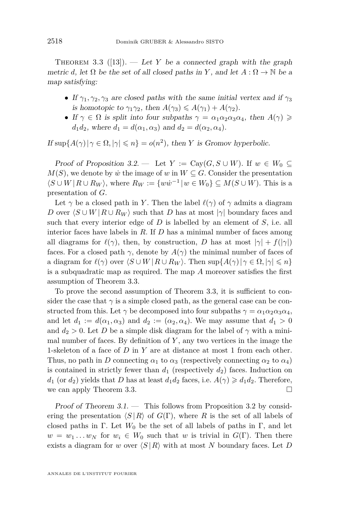<span id="page-18-0"></span>THEOREM 3.3 ([\[13\]](#page-50-17)). — Let Y be a connected graph with the graph metric *d*, let  $\Omega$  be the set of all closed paths in *Y*, and let  $A : \Omega \to \mathbb{N}$  be a map satisfying:

- If  $\gamma_1, \gamma_2, \gamma_3$  are closed paths with the same initial vertex and if  $\gamma_3$ is homotopic to  $\gamma_1 \gamma_2$ , then  $A(\gamma_3) \leq A(\gamma_1) + A(\gamma_2)$ .
- If  $\gamma \in \Omega$  is split into four subpaths  $\gamma = \alpha_1 \alpha_2 \alpha_3 \alpha_4$ , then  $A(\gamma) \geq$ *d*<sub>1</sub>*d*<sub>2</sub>*,* where *d*<sub>1</sub> = *d*( $\alpha_1$ *,*  $\alpha_3$ *)* and *d*<sub>2</sub> = *d*( $\alpha_2$ *,*  $\alpha_4$ ).

If  $\sup\{A(\gamma) | \gamma \in \Omega, |\gamma| \leq n\} = o(n^2)$ , then *Y* is Gromov hyperbolic.

Proof of Proposition [3.2.](#page-17-0) — Let  $Y := \text{Cay}(G, S \cup W)$ . If  $w \in W_0 \subseteq$  $M(S)$ , we denote by *w*<sup> $w$ </sup> the image of *w* in  $W \subseteq G$ . Consider the presentation  $\langle S \cup W | R \cup R_W \rangle$ , where  $R_W := \{ w \dot{w}^{-1} | w \in W_0 \} \subseteq M(S \cup W)$ . This is a presentation of *G*.

Let  $\gamma$  be a closed path in *Y*. Then the label  $\ell(\gamma)$  of  $\gamma$  admits a diagram *D* over  $\langle S \cup W | R \cup R_W \rangle$  such that *D* has at most  $|\gamma|$  boundary faces and such that every interior edge of *D* is labelled by an element of *S*, i.e. all interior faces have labels in *R*. If *D* has a minimal number of faces among all diagrams for  $\ell(\gamma)$ , then, by construction, *D* has at most  $|\gamma| + f(|\gamma|)$ faces. For a closed path  $\gamma$ , denote by  $A(\gamma)$  the minimal number of faces of a diagram for  $\ell(\gamma)$  over  $\langle S \cup W | R \cup R_W \rangle$ . Then  $\sup\{A(\gamma) | \gamma \in \Omega, |\gamma| \leq n\}$ is a subquadratic map as required. The map *A* moreover satisfies the first assumption of Theorem [3.3.](#page-18-0)

To prove the second assumption of Theorem [3.3,](#page-18-0) it is sufficient to consider the case that  $\gamma$  is a simple closed path, as the general case can be constructed from this. Let  $\gamma$  be decomposed into four subpaths  $\gamma = \alpha_1 \alpha_2 \alpha_3 \alpha_4$ , and let  $d_1 := d(\alpha_1, \alpha_3)$  and  $d_2 := (\alpha_2, \alpha_4)$ . We may assume that  $d_1 > 0$ and  $d_2 > 0$ . Let *D* be a simple disk diagram for the label of  $\gamma$  with a minimal number of faces. By definition of  $Y$ , any two vertices in the image the 1-skeleton of a face of *D* in *Y* are at distance at most 1 from each other. Thus, no path in *D* connecting  $\alpha_1$  to  $\alpha_3$  (respectively connecting  $\alpha_2$  to  $\alpha_4$ ) is contained in strictly fewer than  $d_1$  (respectively  $d_2$ ) faces. Induction on *d*<sub>1</sub> (or *d*<sub>2</sub>) yields that *D* has at least *d*<sub>1</sub>*d*<sub>2</sub> faces, i.e.  $A(\gamma) \ge d_1 d_2$ . Therefore, we can apply Theorem [3.3.](#page-18-0)

Proof of Theorem [3.1.](#page-17-1) — This follows from Proposition [3.2](#page-17-0) by considering the presentation  $\langle S | R \rangle$  of  $G(\Gamma)$ , where *R* is the set of all labels of closed paths in  $\Gamma$ . Let  $W_0$  be the set of all labels of paths in  $\Gamma$ , and let  $w = w_1 \ldots w_N$  for  $w_i \in W_0$  such that *w* is trivial in  $G(\Gamma)$ . Then there exists a diagram for *w* over  $\langle S | R \rangle$  with at most *N* boundary faces. Let *D*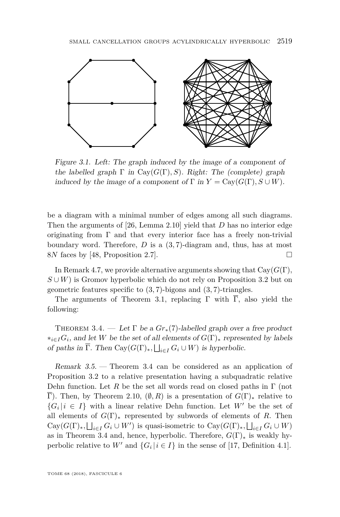

Figure 3.1. Left: The graph induced by the image of a component of the labelled graph  $\Gamma$  in Cay( $G(\Gamma), S$ ). Right: The (complete) graph induced by the image of a component of  $\Gamma$  in  $Y = \text{Cay}(G(\Gamma), S \cup W)$ .

be a diagram with a minimal number of edges among all such diagrams. Then the arguments of [\[26,](#page-50-1) Lemma 2.10] yield that *D* has no interior edge originating from  $\Gamma$  and that every interior face has a freely non-trivial boundary word. Therefore, *D* is a (3*,* 7)-diagram and, thus, has at most 8*N* faces by [\[48,](#page-51-17) Proposition 2.7].

In Remark [4.7,](#page-29-0) we provide alternative arguments showing that Cay(*G*(Γ)*,*  $S \cup W$ ) is Gromov hyperbolic which do not rely on Proposition [3.2](#page-17-0) but on geometric features specific to (3*,* 7)-bigons and (3*,* 7)-triangles.

The arguments of Theorem [3.1,](#page-17-1) replacing Γ with  $\overline{\Gamma}$ , also yield the following:

<span id="page-19-0"></span>THEOREM 3.4. — Let  $\Gamma$  be a  $Gr_*(7)$ -labelled graph over a free product ∗*i*∈*IG<sup>i</sup>* , and let *W* be the set of all elements of *G*(Γ)<sup>∗</sup> represented by labels of paths in  $\Gamma$ . Then  $\text{Cay}(G(\Gamma)_*, \bigsqcup_{i \in I} G_i \cup W)$  is hyperbolic.

Remark 3.5. — Theorem [3.4](#page-19-0) can be considered as an application of Proposition [3.2](#page-17-0) to a relative presentation having a subquadratic relative Dehn function. Let *R* be the set all words read on closed paths in Γ (not Γ). Then, by Theorem [2.10,](#page-13-1)  $(φ, R)$  is a presentation of  $G(Γ)_*$  relative to  ${G_i | i \in I}$  with a linear relative Dehn function. Let  $W'$  be the set of all elements of  $G(\Gamma)_*$  represented by subwords of elements of *R*. Then  $Cay(G(\Gamma)_*, \bigcup_{i \in I} G_i \cup W')$  is quasi-isometric to  $Cay(G(\Gamma)_*, \bigcup_{i \in I} G_i \cup W)$ as in Theorem [3.4](#page-19-0) and, hence, hyperbolic. Therefore,  $G(\Gamma)_*$  is weakly hyperbolic relative to  $W'$  and  $\{G_i \mid i \in I\}$  in the sense of [\[17,](#page-50-4) Definition 4.1].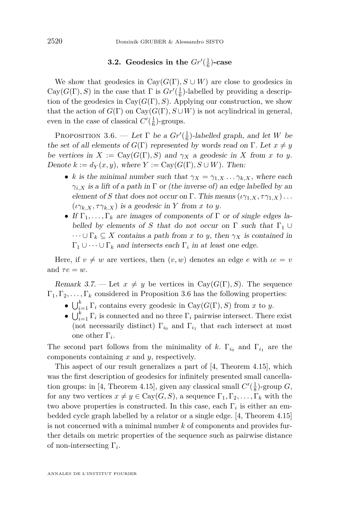# **3.2.** Geodesics in the  $Gr'(\frac{1}{6})$ -case

We show that geodesics in  $Cay(G(\Gamma), S \cup W)$  are close to geodesics in  $Cay(G(\Gamma), S)$  in the case that  $\Gamma$  is  $Gr'(\frac{1}{6})$ -labelled by providing a description of the geodesics in Cay $(G(\Gamma), S)$ . Applying our construction, we show that the action of  $G(\Gamma)$  on  $\text{Cay}(G(\Gamma), S \cup W)$  is not acylindrical in general, even in the case of classical  $C'(\frac{1}{6})$ -groups.

<span id="page-20-0"></span>PROPOSITION 3.6. — Let  $\Gamma$  be a  $Gr'(\frac{1}{6})$ -labelled graph, and let *W* be the set of all elements of  $G(\Gamma)$  represented by words read on  $\Gamma$ . Let  $x \neq y$ be vertices in  $X := \text{Cay}(G(\Gamma), S)$  and  $\gamma_X$  a geodesic in X from *x* to *y*. Denote  $k := d_Y(x, y)$ , where  $Y := Cay(G(\Gamma), S \cup W)$ . Then:

- *k* is the minimal number such that  $\gamma_X = \gamma_{1,X} \dots \gamma_{k,X}$ , where each  $\gamma_{i,X}$  is a lift of a path in  $\Gamma$  or (the inverse of) an edge labelled by an element of *S* that does not occur on Γ. This means  $(\iota \gamma_{1,X}, \tau \gamma_{1,X}) \dots$  $(\iota \gamma_{k,X}, \tau \gamma_{k,X})$  is a geodesic in *Y* from *x* to *y*.
- If  $\Gamma_1, \ldots, \Gamma_k$  are images of components of  $\Gamma$  or of single edges labelled by elements of *S* that do not occur on  $\Gamma$  such that  $\Gamma_1 \cup$  $\cdots \cup \Gamma_k \subseteq X$  contains a path from *x* to *y*, then  $\gamma_X$  is contained in  $\Gamma_1 \cup \cdots \cup \Gamma_k$  and intersects each  $\Gamma_i$  in at least one edge.

Here, if  $v \neq w$  are vertices, then  $(v, w)$  denotes an edge *e* with  $u = v$ and  $\tau e = w$ .

Remark 3.7. — Let  $x \neq y$  be vertices in Cay( $G(\Gamma), S$ ). The sequence  $\Gamma_1, \Gamma_2, \ldots, \Gamma_k$  considered in Proposition [3.6](#page-20-0) has the following properties:

- $\bigcup_{i=1}^k \Gamma_i$  contains every geodesic in Cay( $G(\Gamma), S$ ) from *x* to *y*.
- $\bigcup_{i=1}^{k} \Gamma_i$  is connected and no three  $\Gamma_i$  pairwise intersect. There exist (not necessarily distinct)  $\Gamma_{i_0}$  and  $\Gamma_{i_1}$  that each intersect at most one other Γ*<sup>i</sup>* .

The second part follows from the minimality of *k*.  $\Gamma_{i_0}$  and  $\Gamma_{i_1}$  are the components containing *x* and *y*, respectively.

This aspect of our result generalizes a part of [\[4,](#page-49-5) Theorem 4.15], which was the first description of geodesics for infinitely presented small cancella-tion groups: in [\[4,](#page-49-5) Theorem 4.15], given any classical small  $C'(\frac{1}{8})$ -group *G*, for any two vertices  $x \neq y \in Cay(G, S)$ , a sequence  $\Gamma_1, \Gamma_2, \ldots, \Gamma_k$  with the two above properties is constructed. In this case, each Γ*<sup>i</sup>* is either an embedded cycle graph labelled by a relator or a single edge. [\[4,](#page-49-5) Theorem 4.15] is not concerned with a minimal number *k* of components and provides further details on metric properties of the sequence such as pairwise distance of non-intersecting Γ*<sup>i</sup>* .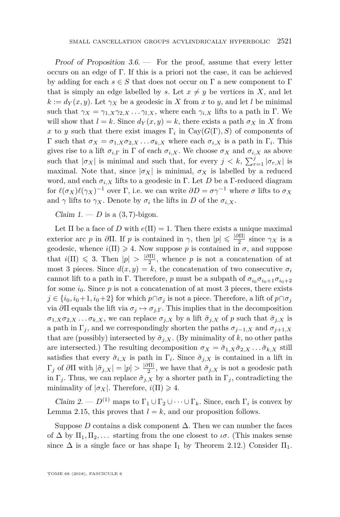Proof of Proposition  $3.6.$  – For the proof, assume that every letter occurs on an edge of Γ. If this is a priori not the case, it can be achieved by adding for each  $s \in S$  that does not occur on  $\Gamma$  a new component to  $\Gamma$ that is simply an edge labelled by *s*. Let  $x \neq y$  be vertices in *X*, and let  $k := d_Y(x, y)$ . Let  $\gamma_X$  be a geodesic in *X* from *x* to *y*, and let *l* be minimal such that  $\gamma_X = \gamma_{1,X}\gamma_{2,X} \dots \gamma_{l,X}$ , where each  $\gamma_{i,X}$  lifts to a path in Γ. We will show that  $l = k$ . Since  $d_Y(x, y) = k$ , there exists a path  $\sigma_X$  in X from *x* to *y* such that there exist images  $\Gamma_i$  in Cay( $G(\Gamma), S$ ) of components of Γ such that  $\sigma_X = \sigma_{1,X}\sigma_{2,X} \dots \sigma_{k,X}$  where each  $\sigma_{i,X}$  is a path in Γ<sub>*i*</sub>. This gives rise to a lift  $\sigma_{i,\Gamma}$  in  $\Gamma$  of each  $\sigma_{i,X}$ . We choose  $\sigma_X$  and  $\sigma_{i,X}$  as above such that  $|\sigma_X|$  is minimal and such that, for every  $j < k$ ,  $\sum_{r=1}^j |\sigma_{r,X}|$  is maximal. Note that, since  $|\sigma_X|$  is minimal,  $\sigma_X$  is labelled by a reduced word, and each  $\sigma_{i,X}$  lifts to a geodesic in  $\Gamma$ . Let  $D$  be a  $\Gamma$ -reduced diagram for  $\ell(\sigma_X)\ell(\gamma_X)^{-1}$  over  $\Gamma$ , i.e. we can write  $\partial D = \sigma \gamma^{-1}$  where  $\sigma$  lifts to  $\sigma_X$ and  $\gamma$  lifts to  $\gamma_X$ . Denote by  $\sigma_i$  the lifts in *D* of the  $\sigma_{i,X}$ .

Claim  $1 - D$  is a  $(3, 7)$ -bigon.

Let  $\Pi$  be a face of *D* with  $e(\Pi) = 1$ . Then there exists a unique maximal exterior arc *p* in  $\partial \Pi$ . If *p* is contained in  $\gamma$ , then  $|p| \leq \frac{|\partial \Pi|}{2}$  $\frac{y_{11}}{2}$  since  $\gamma_X$  is a geodesic, whence  $i(\Pi) \geq 4$ . Now suppose *p* is contained in  $\sigma$ , and suppose that  $i(\Pi) \leqslant 3$ . Then  $|p| > \frac{|\partial \Pi|}{2}$  $\frac{n_1}{2}$ , whence *p* is not a concatenation of at most 3 pieces. Since  $d(x, y) = k$ , the concatenation of two consecutive  $\sigma_i$ cannot lift to a path in Γ. Therefore, *p* must be a subpath of  $\sigma_{i_0} \sigma_{i_0+1} \sigma_{i_0+2}$ for some  $i_0$ . Since p is not a concatenation of at most 3 pieces, there exists  $j \in \{i_0, i_0+1, i_0+2\}$  for which  $p \cap \sigma_j$  is not a piece. Therefore, a lift of  $p \cap \sigma_j$ via  $\partial \Pi$  equals the lift via  $\sigma_j \mapsto \sigma_{j,\Gamma}$ . This implies that in the decomposition  $\sigma_{1,X}\sigma_{2,X}\ldots\sigma_{k,X}$ , we can replace  $\sigma_{j,X}$  by a lift  $\tilde{\sigma}_{j,X}$  of *p* such that  $\tilde{\sigma}_{j,X}$  is a path in  $\Gamma_j$ , and we correspondingly shorten the paths  $\sigma_{j-1,X}$  and  $\sigma_{j+1,X}$ that are (possibly) intersected by  $\tilde{\sigma}_{j,X}$ . (By minimality of *k*, no other paths are intersected.) The resulting decomposition  $\sigma_X = \tilde{\sigma}_{1,X} \tilde{\sigma}_{2,X} \dots \tilde{\sigma}_{k,X}$  still satisfies that every  $\tilde{\sigma}_{i,X}$  is path in  $\Gamma_i$ . Since  $\tilde{\sigma}_{j,X}$  is contained in a lift in  $\Gamma_j$  of  $\partial \Pi$  with  $|\tilde{\sigma}_{j,X}| = |p| > \frac{|\partial \Pi|}{2}$  $\frac{1}{2}$ , we have that  $\tilde{\sigma}_{j,X}$  is not a geodesic path in  $\Gamma_j$ . Thus, we can replace  $\tilde{\sigma}_{j,X}$  by a shorter path in  $\Gamma_j$ , contradicting the minimality of  $|\sigma_X|$ . Therefore,  $i(\Pi) \geq 4$ .

Claim  $2. - D^{(1)}$  maps to  $\Gamma_1 \cup \Gamma_2 \cup \cdots \cup \Gamma_k$ . Since, each  $\Gamma_i$  is convex by Lemma [2.15,](#page-15-0) this proves that  $l = k$ , and our proposition follows.

Suppose *D* contains a disk component  $\Delta$ . Then we can number the faces of  $\Delta$  by  $\Pi_1, \Pi_2, \ldots$  starting from the one closest to  $\iota\sigma$ . (This makes sense since  $\Delta$  is a single face or has shape I<sub>1</sub> by Theorem [2.12.](#page-13-0)) Consider  $\Pi_1$ .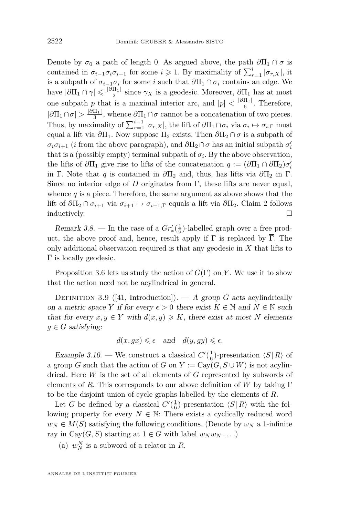Denote by  $\sigma_0$  a path of length 0. As argued above, the path  $\partial\Pi_1 \cap \sigma$  is contained in  $\sigma_{i-1}\sigma_i\sigma_{i+1}$  for some  $i \geq 1$ . By maximality of  $\sum_{r=1}^i |\sigma_{r,X}|$ , it is a subpath of  $\sigma_{i-1}\sigma_i$  for some *i* such that  $\partial\Pi_1 \cap \sigma_i$  contains an edge. We have  $|\partial\Pi_1 \cap \gamma| \leq \frac{|\partial\Pi_1|}{2}$  since  $\gamma_X$  is a geodesic. Moreover,  $\partial\Pi_1$  has at most one subpath *p* that is a maximal interior arc, and  $|p| < \frac{|\partial \Pi_1|}{6}$ . Therefore,  $|\partial\Pi_1 \cap \sigma| > \frac{|\partial\Pi_1|}{3}$ , whence  $\partial\Pi_1 \cap \sigma$  cannot be a concatenation of two pieces. Thus, by maximality of  $\sum_{r=1}^{i-1} |\sigma_{r,X}|$ , the lift of  $\partial \Pi_1 \cap \sigma_i$  via  $\sigma_i \mapsto \sigma_{i,\Gamma}$  must equal a lift via  $\partial \Pi_1$ . Now suppose  $\Pi_2$  exists. Then  $\partial \Pi_2 \cap \sigma$  is a subpath of  $\sigma_i \sigma_{i+1}$  (*i* from the above paragraph), and  $\partial \Pi_2 \cap \sigma$  has an initial subpath  $\sigma'_i$ that is a (possibly empty) terminal subpath of  $\sigma_i$ . By the above observation, the lifts of  $\partial \Pi_1$  give rise to lifts of the concatenation  $q := (\partial \Pi_1 \cap \partial \Pi_2) \sigma'_i$ in Γ. Note that *q* is contained in  $\partial\Pi_2$  and, thus, has lifts via  $\partial\Pi_2$  in Γ. Since no interior edge of *D* originates from  $\Gamma$ , these lifts are never equal, whence  $q$  is a piece. Therefore, the same argument as above shows that the lift of  $\partial \Pi_2 \cap \sigma_{i+1}$  via  $\sigma_{i+1} \mapsto \sigma_{i+1}$  equals a lift via  $\partial \Pi_2$ . Claim 2 follows inductively.

Remark 3.8. — In the case of a  $Gr'_{*}(\frac{1}{6})$ -labelled graph over a free product, the above proof and, hence, result apply if  $\Gamma$  is replaced by  $\overline{\Gamma}$ . The only additional observation required is that any geodesic in *X* that lifts to Γ is locally geodesic.

Proposition [3.6](#page-20-0) lets us study the action of *G*(Γ) on *Y* . We use it to show that the action need not be acylindrical in general.

<span id="page-22-0"></span>DEFINITION 3.9 ([\[41,](#page-51-5) Introduction]). — A group *G* acts acylindrically on a metric space *Y* if for every  $\epsilon > 0$  there exist  $K \in \mathbb{N}$  and  $N \in \mathbb{N}$  such that for every  $x, y \in Y$  with  $d(x, y) \geq K$ , there exist at most N elements  $g \in G$  satisfying:

$$
d(x, gx) \leq \epsilon \quad \text{and} \quad d(y, gy) \leq \epsilon.
$$

Example 3.10. — We construct a classical  $C'(\frac{1}{6})$ -presentation  $\langle S | R \rangle$  of a group *G* such that the action of *G* on  $Y := Cay(G, S \cup W)$  is not acylindrical. Here *W* is the set of all elements of *G* represented by subwords of elements of *R*. This corresponds to our above definition of *W* by taking Γ to be the disjoint union of cycle graphs labelled by the elements of *R*.

Let *G* be defined by a classical  $C'(\frac{1}{6})$ -presentation  $\langle S | R \rangle$  with the following property for every  $N \in \mathbb{N}$ : There exists a cyclically reduced word  $w_N \in M(S)$  satisfying the following conditions. (Denote by  $\omega_N$  a 1-infinite ray in Cay(*G*, *S*) starting at  $1 \in G$  with label  $w_N w_N ...$ 

<span id="page-22-1"></span>(a)  $w_N^N$  is a subword of a relator in *R*.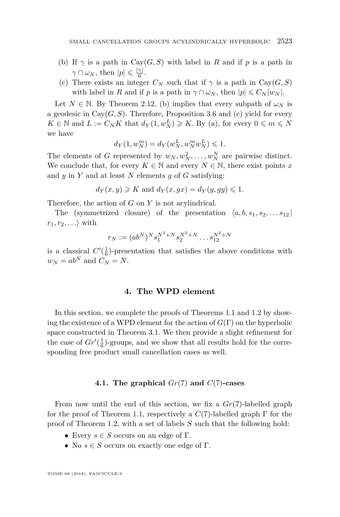- <span id="page-23-0"></span>(b) If  $\gamma$  is a path in Cay(*G*, *S*) with label in *R* and if *p* is a path in  $\gamma \cap \omega_N$ , then  $|p| \leqslant \frac{|\gamma|}{6}$  $\frac{\gamma_1}{6}$ .
- <span id="page-23-1"></span>(c) There exists an integer  $C_N$  such that if  $\gamma$  is a path in Cay( $G, S$ ) with label in *R* and if *p* is a path in  $\gamma \cap \omega_N$ , then  $|p| \leq C_N |w_N|$ .

Let  $N \in \mathbb{N}$ . By Theorem [2.12,](#page-13-0) [\(b\)](#page-23-0) implies that every subpath of  $\omega_N$  is a geodesic in  $Cay(G, S)$ . Therefore, Proposition [3.6](#page-20-0) and [\(c\)](#page-23-1) yield for every  $K \in \mathbb{N}$  and  $L := C_N K$  that  $d_Y(1, w_N^L) \geq K$ . By [\(a\)](#page-22-1), for every  $0 \leq m \leq N$ we have

$$
d_Y(1, w_N^m) = d_Y(w_N^L, w_N^m w_N^L) \leq 1.
$$

The elements of *G* represented by  $w_N, w_N^2, \ldots, w_N^N$  are pairwise distinct. We conclude that, for every  $K \in \mathbb{N}$  and every  $N \in \mathbb{N}$ , there exist points x and *y* in *Y* and at least *N* elements *g* of *G* satisfying:

$$
d_Y(x, y) \geqslant K \text{ and } d_Y(x, gx) = d_Y(y, gy) \leqslant 1.
$$

Therefore, the action of *G* on *Y* is not acylindrical.

The (symmetrized closure) of the presentation  $\langle a, b, s_1, s_2, \ldots s_{12} \rangle$  $r_1, r_2, \ldots$  with

$$
r_N := (ab^N)^N s_1^{N^2 + N} s_2^{N^2 + N} \dots s_{12}^{N^2 + N}
$$

is a classical  $C'(\frac{1}{6})$ -presentation that satisfies the above conditions with  $w_N = ab^N$  and  $C_N = N$ .

# **4. The WPD element**

<span id="page-23-2"></span>In this section, we complete the proofs of Theorems [1.1](#page-5-0) and [1.2](#page-5-1) by showing the existence of a WPD element for the action of *G*(Γ) on the hyperbolic space constructed in Theorem [3.1.](#page-17-1) We then provide a slight refinement for the case of  $Gr'(\frac{1}{6})$ -groups, and we show that all results hold for the corresponding free product small cancellation cases as well.

### **4.1. The graphical** *Gr*(7) **and** *C*(7)**-cases**

From now until the end of this section, we fix a *Gr*(7)-labelled graph for the proof of Theorem [1.1,](#page-5-0) respectively a *C*(7)-labelled graph Γ for the proof of Theorem [1.2,](#page-5-1) with a set of labels *S* such that the following hold:

- Every  $s \in S$  occurs on an edge of  $\Gamma$ .
- No  $s \in S$  occurs on exactly one edge of  $\Gamma$ .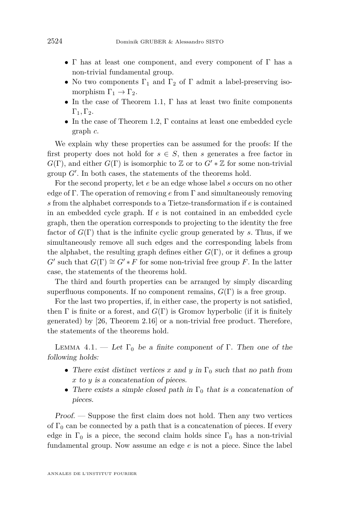- Γ has at least one component, and every component of  $\Gamma$  has a non-trivial fundamental group.
- No two components  $\Gamma_1$  and  $\Gamma_2$  of  $\Gamma$  admit a label-preserving isomorphism  $\Gamma_1 \rightarrow \Gamma_2$ .
- In the case of Theorem [1.1,](#page-5-0)  $\Gamma$  has at least two finite components  $\Gamma_1, \Gamma_2.$
- In the case of Theorem [1.2,](#page-5-1) Γ contains at least one embedded cycle graph *c*.

We explain why these properties can be assumed for the proofs: If the first property does not hold for  $s \in S$ , then *s* generates a free factor in  $G(\Gamma)$ , and either  $G(\Gamma)$  is isomorphic to Z or to  $G' * \mathbb{Z}$  for some non-trivial group  $G'$ . In both cases, the statements of the theorems hold.

For the second property, let *e* be an edge whose label *s* occurs on no other edge of Γ. The operation of removing *e* from Γ and simultaneously removing *s* from the alphabet corresponds to a Tietze-transformation if *e* is contained in an embedded cycle graph. If *e* is not contained in an embedded cycle graph, then the operation corresponds to projecting to the identity the free factor of  $G(\Gamma)$  that is the infinite cyclic group generated by *s*. Thus, if we simultaneously remove all such edges and the corresponding labels from the alphabet, the resulting graph defines either  $G(\Gamma)$ , or it defines a group  $G'$  such that  $G(\Gamma) \cong G' * F$  for some non-trivial free group *F*. In the latter case, the statements of the theorems hold.

The third and fourth properties can be arranged by simply discarding superfluous components. If no component remains,  $G(\Gamma)$  is a free group.

For the last two properties, if, in either case, the property is not satisfied, then  $\Gamma$  is finite or a forest, and  $G(\Gamma)$  is Gromov hyperbolic (if it is finitely generated) by [\[26,](#page-50-1) Theorem 2.16] or a non-trivial free product. Therefore, the statements of the theorems hold.

<span id="page-24-0"></span>LEMMA 4.1. — Let  $\Gamma_0$  be a finite component of  $\Gamma$ . Then one of the following holds:

- There exist distinct vertices x and y in  $\Gamma_0$  such that no path from *x* to *y* is a concatenation of pieces.
- There exists a simple closed path in  $\Gamma_0$  that is a concatenation of pieces.

Proof. — Suppose the first claim does not hold. Then any two vertices of  $\Gamma_0$  can be connected by a path that is a concatenation of pieces. If every edge in  $\Gamma_0$  is a piece, the second claim holds since  $\Gamma_0$  has a non-trivial fundamental group. Now assume an edge *e* is not a piece. Since the label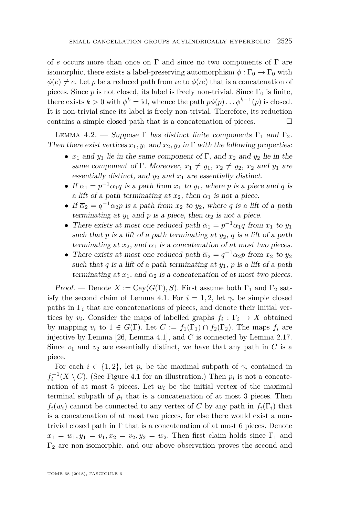of *e* occurs more than once on  $\Gamma$  and since no two components of  $\Gamma$  are isomorphic, there exists a label-preserving automorphism  $\phi : \Gamma_0 \to \Gamma_0$  with  $\phi(e) \neq e$ . Let *p* be a reduced path from *ιe* to  $\phi(ie)$  that is a concatenation of pieces. Since *p* is not closed, its label is freely non-trivial. Since  $\Gamma_0$  is finite, there exists  $k > 0$  with  $\phi^k = id$ , whence the path  $p\phi(p) \dots \phi^{k-1}(p)$  is closed. It is non-trivial since its label is freely non-trivial. Therefore, its reduction contains a simple closed path that is a concatenation of pieces.  $\Box$ 

<span id="page-25-0"></span>LEMMA 4.2. — Suppose  $\Gamma$  has distinct finite components  $\Gamma_1$  and  $\Gamma_2$ . Then there exist vertices  $x_1, y_1$  and  $x_2, y_2$  in  $\Gamma$  with the following properties:

- $x_1$  and  $y_1$  lie in the same component of  $\Gamma$ , and  $x_2$  and  $y_2$  lie in the same component of Γ. Moreover,  $x_1 \neq y_1$ ,  $x_2 \neq y_2$ ,  $x_2$  and  $y_1$  are essentially distinct, and  $y_2$  and  $x_1$  are essentially distinct.
- If  $\overline{\alpha}_1 = p^{-1} \alpha_1 q$  is a path from  $x_1$  to  $y_1$ , where p is a piece and q is a lift of a path terminating at  $x_2$ , then  $\alpha_1$  is not a piece.
- If  $\overline{\alpha}_2 = q^{-1} \alpha_2 p$  is a path from  $x_2$  to  $y_2$ , where q is a lift of a path terminating at  $y_1$  and  $p$  is a piece, then  $\alpha_2$  is not a piece.
- There exists at most one reduced path  $\overline{\alpha}_1 = p^{-1} \alpha_1 q$  from  $x_1$  to  $y_1$ such that  $p$  is a lift of a path terminating at  $y_2$ ,  $q$  is a lift of a path terminating at  $x_2$ , and  $\alpha_1$  is a concatenation of at most two pieces.
- There exists at most one reduced path  $\overline{\alpha}_2 = q^{-1} \alpha_2 p$  from  $x_2$  to  $y_2$ such that  $q$  is a lift of a path terminating at  $y_1$ ,  $p$  is a lift of a path terminating at  $x_1$ , and  $\alpha_2$  is a concatenation of at most two pieces.

Proof. — Denote  $X := Cay(G(\Gamma), S)$ . First assume both  $\Gamma_1$  and  $\Gamma_2$  sat-isfy the second claim of Lemma [4.1.](#page-24-0) For  $i = 1, 2$ , let  $\gamma_i$  be simple closed paths in  $\Gamma_i$  that are concatenations of pieces, and denote their initial vertices by  $v_i$ . Consider the maps of labelled graphs  $f_i: \Gamma_i \to X$  obtained by mapping  $v_i$  to  $1 \in G(\Gamma)$ . Let  $C := f_1(\Gamma_1) \cap f_2(\Gamma_2)$ . The maps  $f_i$  are injective by Lemma [\[26,](#page-50-1) Lemma 4.1], and *C* is connected by Lemma [2.17.](#page-16-1) Since  $v_1$  and  $v_2$  are essentially distinct, we have that any path in  $C$  is a piece.

For each  $i \in \{1,2\}$ , let  $p_i$  be the maximal subpath of  $\gamma_i$  contained in  $f_i^{-1}(X \setminus C)$ . (See Figure [4.1](#page-25-0) for an illustration.) Then  $p_i$  is not a concatenation of at most 5 pieces. Let  $w_i$  be the initial vertex of the maximal terminal subpath of  $p_i$  that is a concatenation of at most 3 pieces. Then  $f_i(w_i)$  cannot be connected to any vertex of *C* by any path in  $f_i(\Gamma_i)$  that is a concatenation of at most two pieces, for else there would exist a nontrivial closed path in  $\Gamma$  that is a concatenation of at most 6 pieces. Denote  $x_1 = w_1, y_1 = v_1, x_2 = v_2, y_2 = w_2$ . Then first claim holds since  $\Gamma_1$  and  $\Gamma_2$  are non-isomorphic, and our above observation proves the second and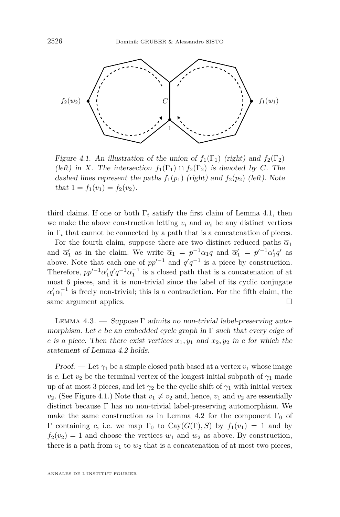

Figure 4.1. An illustration of the union of  $f_1(\Gamma_1)$  (right) and  $f_2(\Gamma_2)$ (left) in *X*. The intersection  $f_1(\Gamma_1) \cap f_2(\Gamma_2)$  is denoted by *C*. The dashed lines represent the paths  $f_1(p_1)$  (right) and  $f_2(p_2)$  (left). Note that  $1 = f_1(v_1) = f_2(v_2)$ .

third claims. If one or both  $\Gamma_i$  satisfy the first claim of Lemma [4.1,](#page-24-0) then we make the above construction letting  $v_i$  and  $w_i$  be any distinct vertices in  $\Gamma_i$  that cannot be connected by a path that is a concatenation of pieces.

For the fourth claim, suppose there are two distinct reduced paths  $\bar{\alpha}_1$ and  $\overline{\alpha}'_1$  as in the claim. We write  $\overline{\alpha}_1 = p^{-1}\alpha_1q$  and  $\overline{\alpha}'_1 = p'^{-1}\alpha'_1q'$  as above. Note that each one of  $pp'^{-1}$  and  $q'q^{-1}$  is a piece by construction. Therefore,  $pp'^{-1}\alpha'_1q'q^{-1}\alpha_1^{-1}$  is a closed path that is a concatenation of at most 6 pieces, and it is non-trivial since the label of its cyclic conjugate  $\overline{\alpha}'_1 \overline{\alpha}_1^{-1}$  is freely non-trivial; this is a contradiction. For the fifth claim, the same argument applies.

<span id="page-26-0"></span>LEMMA 4.3. — Suppose  $\Gamma$  admits no non-trivial label-preserving automorphism. Let *c* be an embedded cycle graph in  $\Gamma$  such that every edge of *c* is a piece. Then there exist vertices  $x_1, y_1$  and  $x_2, y_2$  in *c* for which the statement of Lemma [4.2](#page-25-0) holds.

Proof. — Let  $\gamma_1$  be a simple closed path based at a vertex  $v_1$  whose image is *c*. Let  $v_2$  be the terminal vertex of the longest initial subpath of  $\gamma_1$  made up of at most 3 pieces, and let  $\gamma_2$  be the cyclic shift of  $\gamma_1$  with initial vertex *v*<sub>2</sub>. (See Figure [4.1.](#page-26-0)) Note that  $v_1 \neq v_2$  and, hence,  $v_1$  and  $v_2$  are essentially distinct because  $\Gamma$  has no non-trivial label-preserving automorphism. We make the same construction as in Lemma [4.2](#page-25-0) for the component  $\Gamma_0$  of Γ containing *c*, i.e. we map Γ<sub>0</sub> to Cay( $G(\Gamma)$ *, S*) by  $f_1(v_1) = 1$  and by  $f_2(v_2) = 1$  and choose the vertices  $w_1$  and  $w_2$  as above. By construction, there is a path from  $v_1$  to  $w_2$  that is a concatenation of at most two pieces,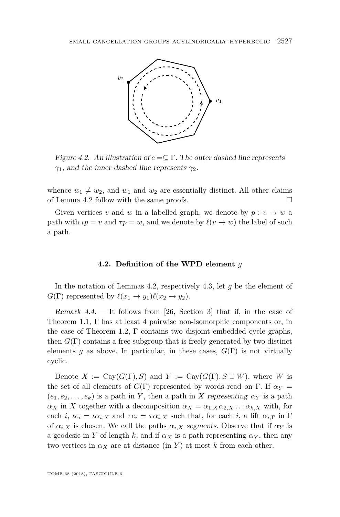

Figure 4.2. An illustration of  $c = \subseteq \Gamma$ . The outer dashed line represents  $\gamma_1$ , and the inner dashed line represents  $\gamma_2$ .

whence  $w_1 \neq w_2$ , and  $w_1$  and  $w_2$  are essentially distinct. All other claims of Lemma [4.2](#page-25-0) follow with the same proofs.  $\Box$ 

Given vertices *v* and *w* in a labelled graph, we denote by  $p : v \to w$  a path with  $\iota p = v$  and  $\tau p = w$ , and we denote by  $\ell(v \to w)$  the label of such a path.

# **4.2. Definition of the WPD element** *g*

In the notation of Lemmas [4.2,](#page-25-0) respectively [4.3,](#page-26-0) let *g* be the element of  $G(\Gamma)$  represented by  $\ell(x_1 \rightarrow y_1)\ell(x_2 \rightarrow y_2)$ .

<span id="page-27-0"></span>Remark  $4.4.$  — It follows from [\[26,](#page-50-1) Section 3] that if, in the case of Theorem [1.1,](#page-5-0)  $\Gamma$  has at least 4 pairwise non-isomorphic components or, in the case of Theorem [1.2,](#page-5-1)  $\Gamma$  contains two disjoint embedded cycle graphs, then  $G(\Gamma)$  contains a free subgroup that is freely generated by two distinct elements *g* as above. In particular, in these cases,  $G(\Gamma)$  is not virtually cyclic.

Denote  $X := \text{Cay}(G(\Gamma), S)$  and  $Y := \text{Cay}(G(\Gamma), S \cup W)$ , where *W* is the set of all elements of  $G(\Gamma)$  represented by words read on  $\Gamma$ . If  $\alpha_Y =$  $(e_1, e_2, \ldots, e_k)$  is a path in *Y*, then a path in *X* representing  $\alpha_Y$  is a path *αX* in *X* together with a decomposition  $\alpha_X = \alpha_{1,X}\alpha_{2,X} \dots \alpha_{k,X}$  with, for each *i*,  $ie_i = i\alpha_{i,X}$  and  $\tau e_i = \tau \alpha_{i,X}$  such that, for each *i*, a lift  $\alpha_{i,\Gamma}$  in  $\Gamma$ of  $\alpha_{i,X}$  is chosen. We call the paths  $\alpha_{i,X}$  segments. Observe that if  $\alpha_Y$  is a geodesic in *Y* of length *k*, and if  $\alpha_X$  is a path representing  $\alpha_Y$ , then any two vertices in  $\alpha_X$  are at distance (in *Y*) at most *k* from each other.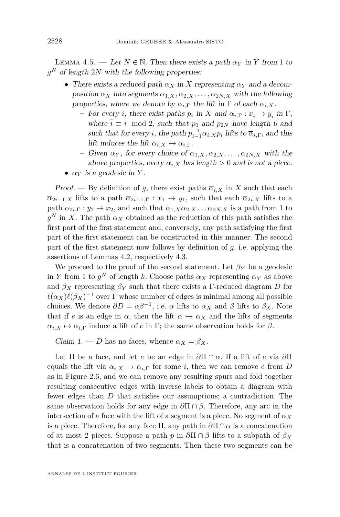<span id="page-28-0"></span>LEMMA 4.5. — Let  $N \in \mathbb{N}$ . Then there exists a path  $\alpha_Y$  in Y from 1 to *g <sup>N</sup>* of length 2*N* with the following properties:

- There exists a reduced path  $\alpha_X$  in X representing  $\alpha_Y$  and a decomposition  $\alpha_X$  into segments  $\alpha_{1,X}, \alpha_{2,X}, \ldots, \alpha_{2N,X}$  with the following properties, where we denote by  $\alpha_{i,\Gamma}$  the lift in  $\Gamma$  of each  $\alpha_{i,X}$ .
	- $-$  For every *i*, there exist paths  $p_i$  in *X* and  $\overline{\alpha}_{i,\Gamma}: x_{\overline{i}} \to y_{\overline{i}}$  in  $\Gamma$ , where  $\bar{i} \equiv i \mod 2$ , such that  $p_0$  and  $p_{2N}$  have length 0 and such that for every *i*, the path  $p_{i-1}^{-1} \alpha_{i,X} p_i$  lifts to  $\overline{\alpha}_{i,\Gamma}$ , and this lift induces the lift  $\alpha_{i,X} \mapsto \alpha_{i,\Gamma}$ .
	- **–** Given *α<sup>Y</sup>* , for every choice of *α*1*,X, α*2*,X, . . . , α*2*N,X* with the above properties, every  $\alpha_{i,X}$  has length  $> 0$  and is not a piece.
- $\alpha_Y$  is a geodesic in *Y*.

Proof. — By definition of g, there exist paths  $\overline{\alpha}_{i,X}$  in X such that each  $\overline{\alpha}_{2i-1,X}$  lifts to a path  $\overline{\alpha}_{2i-1,\Gamma}: x_1 \to y_1$ , such that each  $\overline{\alpha}_{2i,X}$  lifts to a path  $\overline{\alpha}_{2i,\Gamma}: y_2 \to x_2$ , and such that  $\overline{\alpha}_{1,X}\overline{\alpha}_{2,X} \ldots \overline{\alpha}_{2N,X}$  is a path from 1 to  $g^N$  in *X*. The path  $\alpha_X$  obtained as the reduction of this path satisfies the first part of the first statement and, conversely, any path satisfying the first part of the first statement can be constructed in this manner. The second part of the first statement now follows by definition of *g*, i.e. applying the assertions of Lemmas [4.2,](#page-25-0) respectively [4.3.](#page-26-0)

We proceed to the proof of the second statement. Let  $\beta_Y$  be a geodesic in *Y* from 1 to  $g^N$  of length *k*. Choose paths  $\alpha_X$  representing  $\alpha_Y$  as above and  $\beta_X$  representing  $\beta_Y$  such that there exists a Γ-reduced diagram *D* for  $\ell(\alpha_X)\ell(\beta_X)^{-1}$  over  $\Gamma$  whose number of edges is minimal among all possible choices. We denote  $\partial D = \alpha \beta^{-1}$ , i.e.  $\alpha$  lifts to  $\alpha_X$  and  $\beta$  lifts to  $\beta_X$ . Note that if *e* is an edge in  $\alpha$ , then the lift  $\alpha \mapsto \alpha_X$  and the lifts of segments  $\alpha_{i,X} \mapsto \alpha_{i,\Gamma}$  induce a lift of *e* in Γ; the same observation holds for *β*.

Claim 1. — *D* has no faces, whence  $\alpha_X = \beta_X$ .

Let Π be a face, and let *e* be an edge in *∂*Π ∩ *α*. If a lift of *e* via *∂*Π equals the lift via  $\alpha_{i,X} \mapsto \alpha_{i,\Gamma}$  for some *i*, then we can remove *e* from *D* as in Figure [2.6,](#page-16-1) and we can remove any resulting spurs and fold together resulting consecutive edges with inverse labels to obtain a diagram with fewer edges than *D* that satisfies our assumptions; a contradiction. The same observation holds for any edge in  $\partial\Pi \cap \beta$ . Therefore, any arc in the intersection of a face with the lift of a segment is a piece. No segment of  $\alpha_X$ is a piece. Therefore, for any face  $\Pi$ , any path in  $\partial \Pi \cap \alpha$  is a concatenation of at most 2 pieces. Suppose a path *p* in  $\partial \Pi \cap \beta$  lifts to a subpath of  $\beta_X$ that is a concatenation of two segments. Then these two segments can be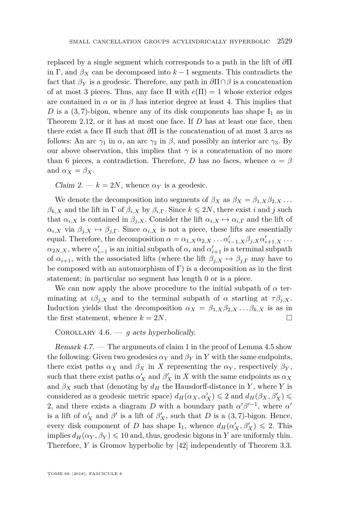replaced by a single segment which corresponds to a path in the lift of *∂*Π in Γ, and  $\beta_X$  can be decomposed into  $k-1$  segments. This contradicts the fact that  $\beta_Y$  is a geodesic. Therefore, any path in  $\partial \Pi \cap \beta$  is a concatenation of at most 3 pieces. Thus, any face  $\Pi$  with  $e(\Pi) = 1$  whose exterior edges are contained in  $\alpha$  or in  $\beta$  has interior degree at least 4. This implies that *D* is a  $(3, 7)$ -bigon, whence any of its disk components has shape  $I_1$  as in Theorem [2.12,](#page-13-0) or it has at most one face. If *D* has at least one face, then there exist a face Π such that *∂*Π is the concatenation of at most 3 arcs as follows: An arc  $\gamma_1$  in  $\alpha$ , an arc  $\gamma_2$  in  $\beta$ , and possibly an interior arc  $\gamma_3$ . By our above observation, this implies that  $\gamma$  is a concatenation of no more than 6 pieces, a contradiction. Therefore, *D* has no faces, whence  $\alpha = \beta$ and  $\alpha_X = \beta_X$ .

Claim  $2 - k = 2N$ , whence  $\alpha_V$  is a geodesic.

We denote the decomposition into segments of  $\beta_X$  as  $\beta_X = \beta_{1,X}\beta_{2,X}$ ...  $\beta_{k,X}$  and the lift in  $\Gamma$  of  $\beta_{i,X}$  by  $\beta_{i,\Gamma}$ . Since  $k \leq 2N$ , there exist *i* and *j* such that  $\alpha_{i,X}$  is contained in  $\beta_{j,X}$ . Consider the lift  $\alpha_{i,X} \mapsto \alpha_{i,\Gamma}$  and the lift of  $\alpha_{i,X}$  via  $\beta_{j,X} \mapsto \beta_{j,\Gamma}$ . Since  $\alpha_{i,X}$  is not a piece, these lifts are essentially equal. Therefore, the decomposition  $\alpha = \alpha_{1,X}\alpha_{2,X} \dots \alpha'_{i-1,X}\beta_{j,X}\alpha'_{i+1,X} \dots$  $\alpha_{2N,X}$ , where  $\alpha'_{i-1}$  is an initial subpath of  $\alpha_i$  and  $\alpha'_{i+1}$  is a terminal subpath of  $\alpha_{i+1}$ , with the associated lifts (where the lift  $\beta_{j,X} \mapsto \beta_{j,\Gamma}$  may have to be composed with an automorphism of  $\Gamma$ ) is a decomposition as in the first statement; in particular no segment has length 0 or is a piece.

We can now apply the above procedure to the initial subpath of  $\alpha$  terminating at  $\iota \beta_{j,X}$  and to the terminal subpath of  $\alpha$  starting at  $\tau \beta_{j,X}$ . Induction yields that the decomposition  $\alpha_X = \beta_{1,X}\beta_{2,X} \dots \beta_{k,X}$  is as in the first statement, whence  $k = 2N$ .

# COROLLARY  $4.6. - g$  acts hyperbolically.

<span id="page-29-0"></span>Remark  $4.7.$  — The arguments of claim 1 in the proof of Lemma  $4.5$  show the following: Given two geodesics  $\alpha_Y$  and  $\beta_Y$  in *Y* with the same endpoints, there exist paths  $\alpha_X$  and  $\beta_X$  in *X* representing the  $\alpha_Y$ , respectively  $\beta_Y$ , such that there exist paths  $\alpha'_X$  and  $\beta'_X$  in  $X$  with the same endpoints as  $\alpha_X$ and  $\beta_X$  such that (denoting by  $d_H$  the Hausdorff-distance in *Y*, where *Y* is considered as a geodesic metric space)  $d_H(\alpha_X, \alpha'_X) \leq 2$  and  $d_H(\beta_X, \beta'_X) \leq$ 2, and there exists a diagram *D* with a boundary path  $\alpha' \beta'^{-1}$ , where  $\alpha'$ is a lift of  $\alpha'_X$  and  $\beta'$  is a lift of  $\beta'_X$ , such that *D* is a (3, 7)-bigon. Hence, every disk component of *D* has shape  $I_1$ , whence  $d_H(\alpha'_X, \beta'_X) \leq 2$ . This implies  $d_H(\alpha_Y, \beta_Y) \leq 10$  and, thus, geodesic bigons in *Y* are uniformly thin. Therefore, *Y* is Gromov hyperbolic by [\[42\]](#page-51-18) independently of Theorem [3.3.](#page-18-0)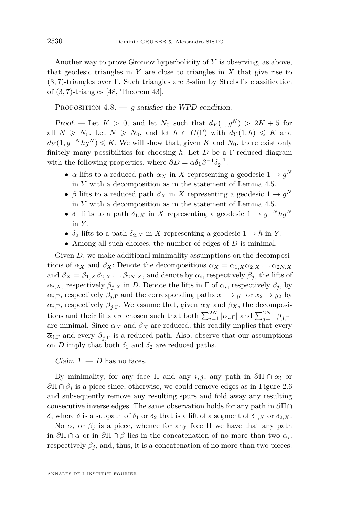Another way to prove Gromov hyperbolicity of *Y* is observing, as above, that geodesic triangles in  $Y$  are close to triangles in  $X$  that give rise to (3*,* 7)-triangles over Γ. Such triangles are 3-slim by Strebel's classification of (3*,* 7)-triangles [\[48,](#page-51-17) Theorem 43].

<span id="page-30-0"></span>PROPOSITION  $4.8. - g$  satisfies the WPD condition.

Proof. — Let  $K > 0$ , and let  $N_0$  such that  $d_Y(1, g^N) > 2K + 5$  for all  $N \geq N_0$ . Let  $N \geq N_0$ , and let  $h \in G(\Gamma)$  with  $d_Y(1, h) \leq K$  and  $d_Y(1, q^{-N} h q^N) \leq K$ . We will show that, given *K* and  $N_0$ , there exist only finitely many possibilities for choosing *h*. Let *D* be a Γ-reduced diagram with the following properties, where  $\partial D = \alpha \delta_1 \beta^{-1} \delta_2^{-1}$ .

- *α* lifts to a reduced path  $\alpha_X$  in *X* representing a geodesic  $1 \rightarrow g^N$ in *Y* with a decomposition as in the statement of Lemma [4.5.](#page-28-0)
- *β* lifts to a reduced path  $\beta_X$  in *X* representing a geodesic  $1 \rightarrow g^N$ in *Y* with a decomposition as in the statement of Lemma [4.5.](#page-28-0)
- $\delta_1$  lifts to a path  $\delta_{1,X}$  in *X* representing a geodesic  $1 \to g^{-N} h g^N$ in *Y* .
- $\delta_2$  lifts to a path  $\delta_2$  *x* in *X* representing a geodesic  $1 \rightarrow h$  in *Y*.
- Among all such choices, the number of edges of *D* is minimal.

Given *D*, we make additional minimality assumptions on the decompositions of  $\alpha_X$  and  $\beta_X$ : Denote the decompositions  $\alpha_X = \alpha_{1,X}\alpha_{2,X} \dots \alpha_{2N,X}$ and  $\beta_X = \beta_{1,X}\beta_{2,X} \dots \beta_{2N,X}$ , and denote by  $\alpha_i$ , respectively  $\beta_j$ , the lifts of *αi,X*, respectively *βj,X* in *D*. Denote the lifts in Γ of *α<sup>i</sup>* , respectively *β<sup>j</sup>* , by  $\alpha_{i,\Gamma}$ , respectively  $\beta_{i,\Gamma}$  and the corresponding paths  $x_1 \to y_1$  or  $x_2 \to y_2$  by  $\overline{\alpha}_{i,\Gamma}$ , respectively  $\overline{\beta}_{j,\Gamma}$ . We assume that, given  $\alpha_X$  and  $\beta_X$ , the decompositions and their lifts are chosen such that both  $\sum_{i=1}^{2N} |\overline{\alpha}_{i,\Gamma}|$  and  $\sum_{j=1}^{2N} |\overline{\beta}_{j,\Gamma}|$ are minimal. Since  $\alpha_X$  and  $\beta_X$  are reduced, this readily implies that every  $\overline{\alpha}_{i,\Gamma}$  and every  $\overline{\beta}_{i,\Gamma}$  is a reduced path. Also, observe that our assumptions on *D* imply that both  $\delta_1$  and  $\delta_2$  are reduced paths.

Claim  $1. - D$  has no faces.

By minimality, for any face Π and any *i, j*, any path in  $\partial \Pi \cap \alpha_i$  or  $\partial\Pi \cap \beta_i$  is a piece since, otherwise, we could remove edges as in Figure [2.6](#page-16-1) and subsequently remove any resulting spurs and fold away any resulting consecutive inverse edges. The same observation holds for any path in *∂*Π∩ *δ*, where *δ* is a subpath of *δ*<sup>1</sup> or *δ*<sup>2</sup> that is a lift of a segment of *δ*1*,X* or *δ*2*,X*.

No  $\alpha_i$  or  $\beta_j$  is a piece, whence for any face  $\Pi$  we have that any path in  $\partial\Pi \cap \alpha$  or in  $\partial\Pi \cap \beta$  lies in the concatenation of no more than two  $\alpha_i$ , respectively  $\beta_i$ , and, thus, it is a concatenation of no more than two pieces.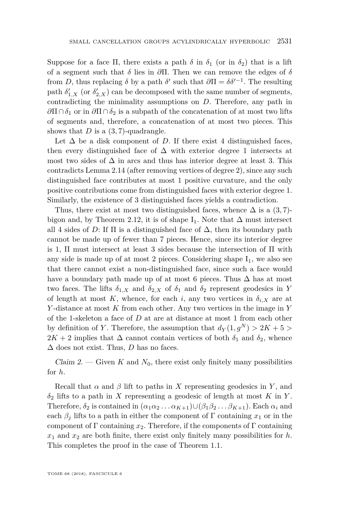Suppose for a face  $\Pi$ , there exists a path  $\delta$  in  $\delta_1$  (or in  $\delta_2$ ) that is a lift of a segment such that *δ* lies in *∂*Π. Then we can remove the edges of *δ* from *D*, thus replacing  $\delta$  by a path  $\delta'$  such that  $\partial \Pi = \delta \delta'^{-1}$ . The resulting path  $\delta'_{1,X}$  (or  $\delta'_{2,X}$ ) can be decomposed with the same number of segments, contradicting the minimality assumptions on *D*. Therefore, any path in  $\partial\Pi \cap \delta_1$  or in  $\partial\Pi \cap \delta_2$  is a subpath of the concatenation of at most two lifts of segments and, therefore, a concatenation of at most two pieces. This shows that  $D$  is a  $(3, 7)$ -quadrangle.

Let  $\Delta$  be a disk component of *D*. If there exist 4 distinguished faces, then every distinguished face of  $\Delta$  with exterior degree 1 intersects at most two sides of  $\Delta$  in arcs and thus has interior degree at least 3. This contradicts Lemma [2.14](#page-14-1) (after removing vertices of degree 2), since any such distinguished face contributes at most 1 positive curvature, and the only positive contributions come from distinguished faces with exterior degree 1. Similarly, the existence of 3 distinguished faces yields a contradiction.

Thus, there exist at most two distinguished faces, whence  $\Delta$  is a (3,7)-bigon and, by Theorem [2.12,](#page-13-0) it is of shape  $I_1$ . Note that  $\Delta$  must intersect all 4 sides of *D*: If  $\Pi$  is a distinguished face of  $\Delta$ , then its boundary path cannot be made up of fewer than 7 pieces. Hence, since its interior degree is 1,  $\Pi$  must intersect at least 3 sides because the intersection of  $\Pi$  with any side is made up of at most 2 pieces. Considering shape  $I_1$ , we also see that there cannot exist a non-distinguished face, since such a face would have a boundary path made up of at most 6 pieces. Thus  $\Delta$  has at most two faces. The lifts  $δ_{1,X}$  and  $δ_{2,X}$  of  $δ_1$  and  $δ_2$  represent geodesics in *Y* of length at most  $K$ , whence, for each *i*, any two vertices in  $\delta_{i,X}$  are at *Y* -distance at most *K* from each other. Any two vertices in the image in *Y* of the 1-skeleton a face of *D* at are at distance at most 1 from each other by definition of *Y*. Therefore, the assumption that  $d_Y(1, g^N) > 2K + 5$  $2K + 2$  implies that  $\Delta$  cannot contain vertices of both  $\delta_1$  and  $\delta_2$ , whence ∆ does not exist. Thus, *D* has no faces.

<span id="page-31-0"></span>Claim 2. — Given *K* and  $N_0$ , there exist only finitely many possibilities for *h*.

Recall that  $\alpha$  and  $\beta$  lift to paths in *X* representing geodesics in *Y*, and *δ*<sup>2</sup> lifts to a path in *X* representing a geodesic of length at most *K* in *Y* . Therefore,  $\delta_2$  is contained in  $(\alpha_1 \alpha_2 \dots \alpha_{K+1}) \cup (\beta_1 \beta_2 \dots \beta_{K+1})$ . Each  $\alpha_i$  and each  $\beta_i$  lifts to a path in either the component of  $\Gamma$  containing  $x_1$  or in the component of  $\Gamma$  containing  $x_2$ . Therefore, if the components of  $\Gamma$  containing  $x_1$  and  $x_2$  are both finite, there exist only finitely many possibilities for  $h$ . This completes the proof in the case of Theorem [1.1.](#page-5-0)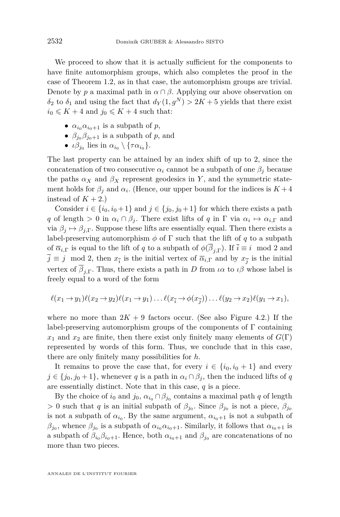We proceed to show that it is actually sufficient for the components to have finite automorphism groups, which also completes the proof in the case of Theorem [1.2,](#page-5-1) as in that case, the automorphism groups are trivial. Denote by *p* a maximal path in  $\alpha \cap \beta$ . Applying our above observation on *δ*<sub>2</sub> to *δ*<sub>1</sub> and using the fact that  $d_Y(1, g^N) > 2K + 5$  yields that there exist  $i_0 \leqslant K + 4$  and  $j_0 \leqslant K + 4$  such that:

- $\alpha_{i_0} \alpha_{i_0+1}$  is a subpath of *p*,
- $\beta_{j_0}\beta_{j_0+1}$  is a subpath of *p*, and
- $\iota\beta_{j_0}$  lies in  $\alpha_{i_0} \setminus {\tau\alpha_{i_0}}$ .

The last property can be attained by an index shift of up to 2, since the concatenation of two consecutive  $\alpha_i$  cannot be a subpath of one  $\beta_i$  because the paths  $\alpha_X$  and  $\beta_X$  represent geodesics in *Y*, and the symmetric statement holds for  $\beta_j$  and  $\alpha_i$ . (Hence, our upper bound for the indices is  $K+4$ instead of  $K + 2$ .)

Consider  $i \in \{i_0, i_0+1\}$  and  $j \in \{j_0, j_0+1\}$  for which there exists a path *q* of length  $> 0$  in  $\alpha_i \cap \beta_j$ . There exist lifts of *q* in Γ via  $\alpha_i \mapsto \alpha_{i,\Gamma}$  and via  $\beta_i \mapsto \beta_{i,\Gamma}$ . Suppose these lifts are essentially equal. Then there exists a label-preserving automorphism  $\phi$  of  $\Gamma$  such that the lift of *q* to a subpath of  $\overline{\alpha}_{i,\Gamma}$  is equal to the lift of *q* to a subpath of  $\phi(\overline{\beta}_{i,\Gamma})$ . If  $\overline{i} \equiv i \mod 2$  and  $\overline{j} \equiv j \mod 2$ , then  $x_{\overline{i}}$  is the initial vertex of  $\overline{\alpha}_{i,\Gamma}$  and by  $x_{\overline{j}}$  is the initial vertex of  $\overline{\beta}_{i,\Gamma}$ . Thus, there exists a path in *D* from *ια* to *ιβ* whose label is freely equal to a word of the form

$$
\ell(x_1 \to y_1)\ell(x_2 \to y_2)\ell(x_1 \to y_1)\ldots\ell(x_{\overline{i}} \to \phi(x_{\overline{j}}))\ldots\ell(y_2 \to x_2)\ell(y_1 \to x_1),
$$

where no more than  $2K + 9$  factors occur. (See also Figure [4.2.](#page-31-0)) If the label-preserving automorphism groups of the components of  $\Gamma$  containing  $x_1$  and  $x_2$  are finite, then there exist only finitely many elements of  $G(\Gamma)$ represented by words of this form. Thus, we conclude that in this case, there are only finitely many possibilities for *h*.

It remains to prove the case that, for every  $i \in \{i_0, i_0 + 1\}$  and every  $j \in \{j_0, j_0 + 1\}$ , whenever *q* is a path in  $\alpha_i \cap \beta_j$ , then the induced lifts of *q* are essentially distinct. Note that in this case, *q* is a piece.

By the choice of  $i_0$  and  $j_0$ ,  $\alpha_{i_0} \cap \beta_{j_0}$  contains a maximal path *q* of length  $>0$  such that *q* is an initial subpath of  $\beta_{j_0}$ . Since  $\beta_{j_0}$  is not a piece,  $\beta_{j_0}$ is not a subpath of  $\alpha_{i_0}$ . By the same argument,  $\alpha_{i_0+1}$  is not a subpath of  $\beta_{j_0}$ , whence  $\beta_{j_0}$  is a subpath of  $\alpha_{i_0}\alpha_{i_0+1}$ . Similarly, it follows that  $\alpha_{i_0+1}$  is a subpath of  $\beta_{i_0} \beta_{i_0+1}$ . Hence, both  $\alpha_{i_0+1}$  and  $\beta_{j_0}$  are concatenations of no more than two pieces.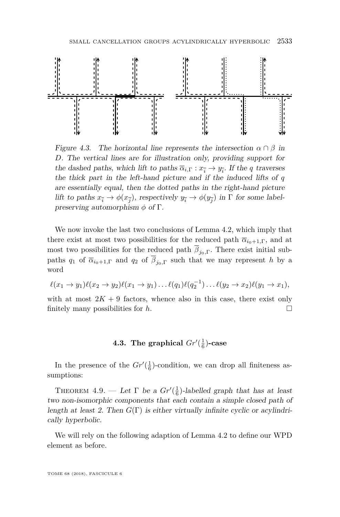

Figure 4.3. The horizontal line represents the intersection  $\alpha \cap \beta$  in *D*. The vertical lines are for illustration only, providing support for the dashed paths, which lift to paths  $\overline{\alpha}_{i,\Gamma}: x_{\overline{i}} \to y_{\overline{i}}$ . If the *q* traverses the thick part in the left-hand picture and if the induced lifts of *q* are essentially equal, then the dotted paths in the right-hand picture lift to paths  $x_i \to \phi(x_{\overline{j}})$ , respectively  $y_i \to \phi(y_{\overline{j}})$  in  $\Gamma$  for some labelpreserving automorphism *φ* of Γ.

We now invoke the last two conclusions of Lemma [4.2,](#page-25-0) which imply that there exist at most two possibilities for the reduced path  $\bar{\alpha}_{i_0+1,\Gamma}$ , and at most two possibilities for the reduced path  $\overline{\beta}_{j_0,\Gamma}$ . There exist initial subpaths *q*<sub>1</sub> of  $\overline{\alpha}_{i_0+1,\Gamma}$  and *q*<sub>2</sub> of  $\overline{\beta}_{j_0,\Gamma}$  such that we may represent *h* by a word

$$
\ell(x_1 \to y_1)\ell(x_2 \to y_2)\ell(x_1 \to y_1)\ldots\ell(q_1)\ell(q_2^{-1})\ldots\ell(y_2 \to x_2)\ell(y_1 \to x_1),
$$

with at most  $2K + 9$  factors, whence also in this case, there exist only finitely many possibilities for  $h$ .

# **4.3.** The graphical  $Gr'(\frac{1}{6})$ -case

In the presence of the  $Gr'(\frac{1}{6})$ -condition, we can drop all finiteness assumptions:

<span id="page-33-0"></span>THEOREM 4.9. — Let  $\Gamma$  be a  $Gr'(\frac{1}{6})$ -labelled graph that has at least two non-isomorphic components that each contain a simple closed path of length at least 2. Then *G*(Γ) is either virtually infinite cyclic or acylindrically hyperbolic.

We will rely on the following adaption of Lemma [4.2](#page-25-0) to define our WPD element as before.

TOME 68 (2018), FASCICULE 6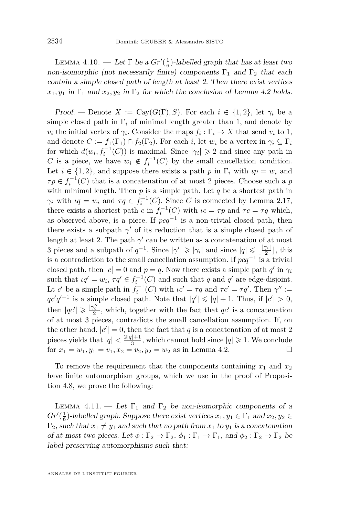<span id="page-34-0"></span>LEMMA  $4.10.$  — Let  $\Gamma$  be a  $Gr'(\frac{1}{6})$ -labelled graph that has at least two non-isomorphic (not necessarily finite) components  $\Gamma_1$  and  $\Gamma_2$  that each contain a simple closed path of length at least 2. Then there exist vertices  $x_1, y_1$  in  $\Gamma_1$  and  $x_2, y_2$  in  $\Gamma_2$  for which the conclusion of Lemma [4.2](#page-25-0) holds.

Proof. — Denote  $X := \text{Cay}(G(\Gamma), S)$ . For each  $i \in \{1, 2\}$ , let  $\gamma_i$  be a simple closed path in  $\Gamma_i$  of minimal length greater than 1, and denote by *v<sub>i</sub>* the initial vertex of  $\gamma_i$ . Consider the maps  $f_i: \Gamma_i \to X$  that send  $v_i$  to 1, and denote  $C := f_1(\Gamma_1) \cap f_2(\Gamma_2)$ . For each *i*, let  $w_i$  be a vertex in  $\gamma_i \subseteq \Gamma_i$ for which  $d(w_i, f_i^{-1}(C))$  is maximal. Since  $|\gamma_i| \geq 2$  and since any path in *C* is a piece, we have  $w_i \notin f_i^{-1}(C)$  by the small cancellation condition. Let  $i \in \{1, 2\}$ , and suppose there exists a path p in  $\Gamma_i$  with  $\iota p = w_i$  and  $\tau p \in f_i^{-1}(C)$  that is a concatenation of at most 2 pieces. Choose such a *p* with minimal length. Then  $p$  is a simple path. Let  $q$  be a shortest path in *γ*<sup>*i*</sup> with *ιq* = *w*<sub>*i*</sub> and *τq*  $\in f_i^{-1}(C)$ . Since *C* is connected by Lemma [2.17,](#page-16-1) there exists a shortest path *c* in  $f_i^{-1}(C)$  with  $\iota c = \tau p$  and  $\tau c = \tau q$  which, as observed above, is a piece. If *pcq*<sup>−</sup><sup>1</sup> is a non-trivial closed path, then there exists a subpath  $\gamma'$  of its reduction that is a simple closed path of length at least 2. The path  $\gamma'$  can be written as a concatenation of at most 3 pieces and a subpath of  $q^{-1}$ . Since  $|\gamma'| \ge |\gamma_i|$  and since  $|q| \le \lfloor \frac{|\gamma_i|}{2} \rfloor$ , this is a contradiction to the small cancellation assumption. If *pcq*<sup>−</sup><sup>1</sup> is a trivial closed path, then  $|c| = 0$  and  $p = q$ . Now there exists a simple path  $q'$  in  $\gamma_i$ such that  $\iota q' = w_i$ ,  $\tau q' \in f_i^{-1}(C)$  and such that *q* and *q*' are edge-disjoint. Lt *c'* be a simple path in  $f_i^{-1}(C)$  with  $\iota c' = \tau q$  and  $\tau c' = \tau q'$ . Then  $\gamma'' :=$  $qc'q'^{-1}$  is a simple closed path. Note that  $|q'| \leq |q| + 1$ . Thus, if  $|c'| > 0$ , then  $|qc'| \geqslant \frac{|\gamma_i''|}{2}$  $\frac{q_i}{2}$ , which, together with the fact that  $qc'$  is a concatenation of at most 3 pieces, contradicts the small cancellation assumption. If, on the other hand,  $|c'| = 0$ , then the fact that *q* is a concatenation of at most 2 pieces yields that  $|q| < \frac{2|q|+1}{3}$  $\frac{q+1}{3}$ , which cannot hold since  $|q| \geq 1$ . We conclude for  $x_1 = w_1, y_1 = v_1, x_2 = v_2, y_2 = w_2$  as in Lemma [4.2.](#page-25-0)

To remove the requirement that the components containing  $x_1$  and  $x_2$ have finite automorphism groups, which we use in the proof of Proposition [4.8,](#page-30-0) we prove the following:

<span id="page-34-1"></span>LEMMA 4.11. — Let  $\Gamma_1$  and  $\Gamma_2$  be non-isomorphic components of a  $Gr'(\frac{1}{6})$ -labelled graph. Suppose there exist vertices  $x_1, y_1 \in \Gamma_1$  and  $x_2, y_2 \in$  $\Gamma_2$ , such that  $x_1 \neq y_1$  and such that no path from  $x_1$  to  $y_1$  is a concatenation of at most two pieces. Let  $\phi : \Gamma_2 \to \Gamma_2$ ,  $\phi_1 : \Gamma_1 \to \Gamma_1$ , and  $\phi_2 : \Gamma_2 \to \Gamma_2$  be label-preserving automorphisms such that: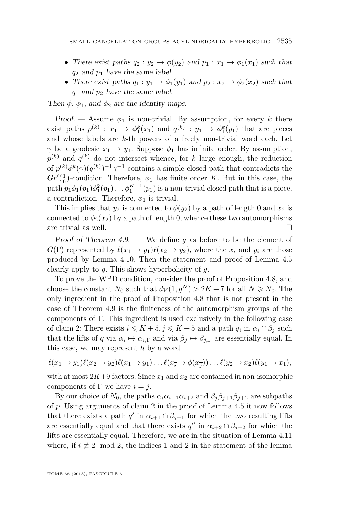- There exist paths  $q_2 : y_2 \to \phi(y_2)$  and  $p_1 : x_1 \to \phi_1(x_1)$  such that  $q_2$  and  $p_1$  have the same label.
- There exist paths  $q_1 : y_1 \to \phi_1(y_1)$  and  $p_2 : x_2 \to \phi_2(x_2)$  such that *q*<sup>1</sup> and *p*<sup>2</sup> have the same label.

Then  $\phi$ ,  $\phi_1$ , and  $\phi_2$  are the identity maps.

Proof. — Assume  $\phi_1$  is non-trivial. By assumption, for every k there exist paths  $p^{(k)}: x_1 \to \phi_1^k(x_1)$  and  $q^{(k)}: y_1 \to \phi_1^k(y_1)$  that are pieces and whose labels are *k*-th powers of a freely non-trivial word each. Let *γ* be a geodesic  $x_1 \rightarrow y_1$ . Suppose  $\phi_1$  has infinite order. By assumption,  $p^{(k)}$  and  $q^{(k)}$  do not intersect whence, for *k* large enough, the reduction of  $p^{(k)}\phi^k(\gamma)(q^{(k)})^{-1}\gamma^{-1}$  contains a simple closed path that contradicts the  $Gr'(\frac{1}{6})$ -condition. Therefore,  $\phi_1$  has finite order *K*. But in this case, the path  $p_1\phi_1(p_1)\phi_1^2(p_1)\dots\phi_1^{K-1}(p_1)$  is a non-trivial closed path that is a piece, a contradiction. Therefore,  $\phi_1$  is trivial.

This implies that  $y_2$  is connected to  $\phi(y_2)$  by a path of length 0 and  $x_2$  is connected to  $\phi_2(x_2)$  by a path of length 0, whence these two automorphisms are trivial as well.  $\Box$ 

Proof of Theorem [4.9.](#page-33-0) — We define *g* as before to be the element of *G*(Γ) represented by  $\ell(x_1 \to y_1)\ell(x_2 \to y_2)$ , where the  $x_i$  and  $y_i$  are those produced by Lemma [4.10.](#page-34-0) Then the statement and proof of Lemma [4.5](#page-28-0) clearly apply to *g*. This shows hyperbolicity of *g*.

To prove the WPD condition, consider the proof of Proposition [4.8,](#page-30-0) and choose the constant  $N_0$  such that  $d_Y(1, g^N) > 2K + 7$  for all  $N \ge N_0$ . The only ingredient in the proof of Proposition [4.8](#page-30-0) that is not present in the case of Theorem [4.9](#page-33-0) is the finiteness of the automorphism groups of the components of Γ. This ingredient is used exclusively in the following case of claim 2: There exists  $i \leq K + 5, j \leq K + 5$  and a path  $q_i$  in  $\alpha_i \cap \beta_j$  such that the lifts of *q* via  $\alpha_i \mapsto \alpha_{i,\Gamma}$  and via  $\beta_j \mapsto \beta_{j,\Gamma}$  are essentially equal. In this case, we may represent *h* by a word

$$
\ell(x_1 \to y_1)\ell(x_2 \to y_2)\ell(x_1 \to y_1)\ldots\ell(x_{\overline{i}} \to \phi(x_{\overline{j}}))\ldots\ell(y_2 \to x_2)\ell(y_1 \to x_1),
$$

with at most  $2K+9$  factors. Since  $x_1$  and  $x_2$  are contained in non-isomorphic components of  $\Gamma$  we have  $\overline{i} = \overline{j}$ .

By our choice of  $N_0$ , the paths  $\alpha_i \alpha_{i+1} \alpha_{i+2}$  and  $\beta_j \beta_{j+1} \beta_{j+2}$  are subpaths of *p*. Using arguments of claim 2 in the proof of Lemma [4.5](#page-28-0) it now follows that there exists a path *q'* in  $\alpha_{i+1} \cap \beta_{j+1}$  for which the two resulting lifts are essentially equal and that there exists  $q''$  in  $\alpha_{i+2} \cap \beta_{j+2}$  for which the lifts are essentially equal. Therefore, we are in the situation of Lemma [4.11](#page-34-1) where, if  $\bar{i} \neq 2 \mod 2$ , the indices 1 and 2 in the statement of the lemma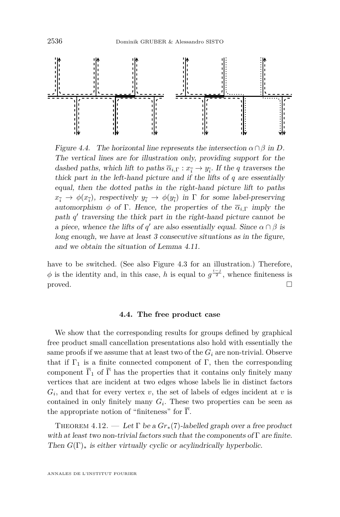

Figure 4.4. The horizontal line represents the intersection  $\alpha \cap \beta$  in *D*. The vertical lines are for illustration only, providing support for the dashed paths, which lift to paths  $\overline{\alpha}_{i,\Gamma}: x_{\overline{i}} \to y_{\overline{i}}$ . If the *q* traverses the thick part in the left-hand picture and if the lifts of *q* are essentially equal, then the dotted paths in the right-hand picture lift to paths  $x_{\overline{i}} \to \phi(x_{\overline{i}})$ , respectively  $y_{\overline{i}} \to \phi(y_{\overline{i}})$  in  $\Gamma$  for some label-preserving automorphism  $\phi$  of Γ. Hence, the properties of the  $\overline{\alpha}_{i,\Gamma}$  imply the path  $q'$  traversing the thick part in the right-hand picture cannot be a piece, whence the lifts of *q'* are also essentially equal. Since  $\alpha \cap \beta$  is long enough, we have at least 3 consecutive situations as in the figure, and we obtain the situation of Lemma [4.11.](#page-34-1)

have to be switched. (See also Figure [4.3](#page-34-1) for an illustration.) Therefore,  $\phi$  is the identity and, in this case, *h* is equal to  $g^{\frac{i-j}{2}}$ , whence finiteness is  $p$ roved.

# **4.4. The free product case**

We show that the corresponding results for groups defined by graphical free product small cancellation presentations also hold with essentially the same proofs if we assume that at least two of the  $G_i$  are non-trivial. Observe that if  $\Gamma_1$  is a finite connected component of  $\Gamma$ , then the corresponding component  $\overline{\Gamma}_1$  of  $\overline{\Gamma}$  has the properties that it contains only finitely many vertices that are incident at two edges whose labels lie in distinct factors *Gi* , and that for every vertex *v*, the set of labels of edges incident at *v* is contained in only finitely many  $G_i$ . These two properties can be seen as the appropriate notion of "finiteness" for  $\overline{\Gamma}$ .

<span id="page-36-0"></span>THEOREM 4.12. — Let  $\Gamma$  be a  $Gr_*(7)$ -labelled graph over a free product with at least two non-trivial factors such that the components of  $\Gamma$  are finite. Then  $G(\Gamma)_*$  is either virtually cyclic or acylindrically hyperbolic.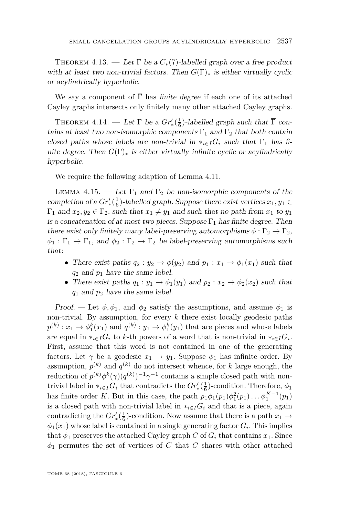<span id="page-37-0"></span>THEOREM 4.13. — Let  $\Gamma$  be a  $C_*(7)$ -labelled graph over a free product with at least two non-trivial factors. Then  $G(\Gamma)_*$  is either virtually cyclic or acylindrically hyperbolic.

We say a component of  $\overline{\Gamma}$  has finite degree if each one of its attached Cayley graphs intersects only finitely many other attached Cayley graphs.

<span id="page-37-1"></span>THEOREM 4.14. — Let  $\Gamma$  be a  $Gr'_{*}(\frac{1}{6})$ -labelled graph such that  $\overline{\Gamma}$  contains at least two non-isomorphic components  $\Gamma_1$  and  $\Gamma_2$  that both contain closed paths whose labels are non-trivial in  $*_{i \in I} G_i$  such that  $\Gamma_1$  has finite degree. Then  $G(\Gamma)_*$  is either virtually infinite cyclic or acylindrically hyperbolic.

We require the following adaption of Lemma [4.11.](#page-34-1)

<span id="page-37-2"></span>LEMMA 4.15. — Let  $\Gamma_1$  and  $\Gamma_2$  be non-isomorphic components of the completion of a  $Gr'_{*}(\frac{1}{6})$ -labelled graph. Suppose there exist vertices  $x_1, y_1 \in$  $\Gamma_1$  and  $x_2, y_2 \in \Gamma_2$ , such that  $x_1 \neq y_1$  and such that no path from  $x_1$  to  $y_1$ is a concatenation of at most two pieces. Suppose  $\Gamma_1$  has finite degree. Then there exist only finitely many label-preserving automorphisms  $\phi : \Gamma_2 \to \Gamma_2$ ,  $\phi_1 : \Gamma_1 \to \Gamma_1$ , and  $\phi_2 : \Gamma_2 \to \Gamma_2$  be label-preserving automorphisms such that:

- There exist paths  $q_2 : y_2 \to \phi(y_2)$  and  $p_1 : x_1 \to \phi_1(x_1)$  such that  $q_2$  and  $p_1$  have the same label.
- There exist paths  $q_1 : y_1 \to \phi_1(y_1)$  and  $p_2 : x_2 \to \phi_2(x_2)$  such that  $q_1$  and  $p_2$  have the same label.

Proof. — Let  $\phi$ ,  $\phi_1$ , and  $\phi_2$  satisfy the assumptions, and assume  $\phi_1$  is non-trivial. By assumption, for every  $k$  there exist locally geodesic paths  $p^{(k)}: x_1 \to \phi_1^k(x_1)$  and  $q^{(k)}: y_1 \to \phi_1^k(y_1)$  that are pieces and whose labels are equal in  $*_{{i \in I}} G_i$  to *k*-th powers of a word that is non-trivial in  $*_{{i \in I}} G_i$ . First, assume that this word is not contained in one of the generating factors. Let  $\gamma$  be a geodesic  $x_1 \rightarrow y_1$ . Suppose  $\phi_1$  has infinite order. By assumption,  $p^{(k)}$  and  $q^{(k)}$  do not intersect whence, for *k* large enough, the reduction of  $p^{(k)}\phi^k(\gamma)(q^{(k)})^{-1}\gamma^{-1}$  contains a simple closed path with nontrivial label in  $*_i \in I$ *G*<sup>*i*</sup> that contradicts the  $Gr'_{*}(\frac{1}{6})$ -condition. Therefore,  $\phi_1$ has finite order *K*. But in this case, the path  $p_1\phi_1(p_1)\phi_1^2(p_1)\dots\phi_1^{K-1}(p_1)$ is a closed path with non-trivial label in  $*_{i \in I} G_i$  and that is a piece, again contradicting the  $Gr'_{*}(\frac{1}{6})$ -condition. Now assume that there is a path  $x_1 \rightarrow$  $\phi_1(x_1)$  whose label is contained in a single generating factor  $G_i$ . This implies that  $\phi_1$  preserves the attached Cayley graph *C* of  $G_i$  that contains  $x_1$ . Since  $\phi_1$  permutes the set of vertices of *C* that *C* shares with other attached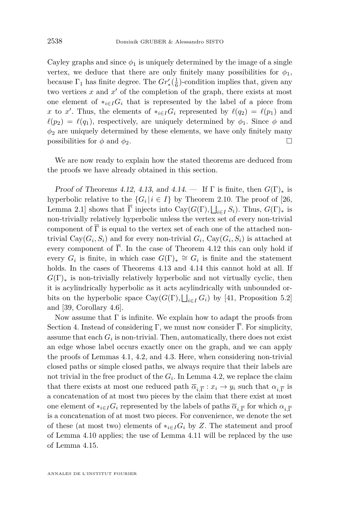Cayley graphs and since  $\phi_1$  is uniquely determined by the image of a single vertex, we deduce that there are only finitely many possibilities for  $\phi_1$ , because  $\Gamma_1$  has finite degree. The  $Gr'_{*}(\frac{1}{6})$ -condition implies that, given any two vertices  $x$  and  $x'$  of the completion of the graph, there exists at most one element of  $*_{i \in I} G_i$  that is represented by the label of a piece from x to x'. Thus, the elements of  $*_{{i \in I}} G_i$  represented by  $\ell(q_2) = \ell(p_1)$  and  $\ell(p_2) = \ell(q_1)$ , respectively, are uniquely determined by  $\phi_1$ . Since  $\phi$  and  $\phi_2$  are uniquely determined by these elements, we have only finitely many possibilities for  $\phi$  and  $\phi_2$ .

We are now ready to explain how the stated theorems are deduced from the proofs we have already obtained in this section.

Proof of Theorems [4.12,](#page-36-0) [4.13,](#page-37-0) and [4.14.](#page-37-1) — If  $\Gamma$  is finite, then  $G(\Gamma)_*$  is hyperbolic relative to the  $\{G_i \mid i \in I\}$  by Theorem [2.10.](#page-13-1) The proof of [\[26,](#page-50-1) Lemma 2.1] shows that  $\Gamma$  injects into  $Cay(G(\Gamma), \bigsqcup_{i \in I} S_i)$ . Thus,  $G(\Gamma)_*$  is non-trivially relatively hyperbolic unless the vertex set of every non-trivial component of  $\overline{\Gamma}$  is equal to the vertex set of each one of the attached nontrivial  $Cay(G_i, S_i)$  and for every non-trivial  $G_i$ ,  $Cay(G_i, S_i)$  is attached at every component of  $\overline{\Gamma}$ . In the case of Theorem [4.12](#page-36-0) this can only hold if every  $G_i$  is finite, in which case  $G(\Gamma)_* \cong G_i$  is finite and the statement holds. In the cases of Theorems [4.13](#page-37-0) and [4.14](#page-37-1) this cannot hold at all. If  $G(\Gamma)_*$  is non-trivially relatively hyperbolic and not virtually cyclic, then it is acylindrically hyperbolic as it acts acylindrically with unbounded orbits on the hyperbolic space  $\text{Cay}(G(\Gamma), \bigsqcup_{i \in I} G_i)$  by [\[41,](#page-51-5) Proposition 5.2] and [\[39,](#page-51-19) Corollary 4.6].

Now assume that  $\Gamma$  is infinite. We explain how to adapt the proofs from Section [4.](#page-23-2) Instead of considering Γ, we must now consider  $\overline{\Gamma}$ . For simplicity, assume that each  $G_i$  is non-trivial. Then, automatically, there does not exist an edge whose label occurs exactly once on the graph, and we can apply the proofs of Lemmas [4.1,](#page-24-0) [4.2,](#page-25-0) and [4.3.](#page-26-0) Here, when considering non-trivial closed paths or simple closed paths, we always require that their labels are not trivial in the free product of the *G<sup>i</sup>* . In Lemma [4.2,](#page-25-0) we replace the claim that there exists at most one reduced path  $\overline{\alpha}_{i,\overline{\Gamma}} : x_i \to y_i$  such that  $\alpha_{i,\overline{\Gamma}}$  is a concatenation of at most two pieces by the claim that there exist at most one element of  $*_{{i \in I}}G_i$  represented by the labels of paths  $\overline{\alpha}_{i,\overline{\Gamma}}$  for which  $\alpha_{i,\overline{\Gamma}}$ is a concatenation of at most two pieces. For convenience, we denote the set of these (at most two) elements of  $*_i \in I$ *G*<sup>*i*</sup> by *Z*. The statement and proof of Lemma [4.10](#page-34-0) applies; the use of Lemma [4.11](#page-34-1) will be replaced by the use of Lemma [4.15.](#page-37-2)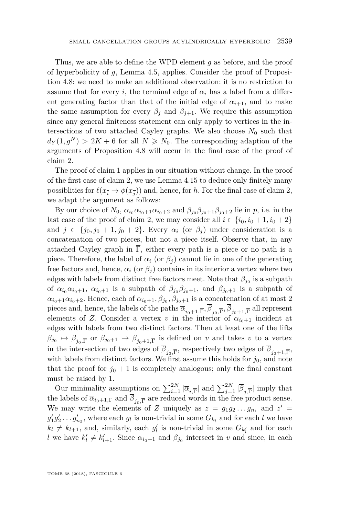Thus, we are able to define the WPD element *g* as before, and the proof of hyperbolicity of *g*, Lemma [4.5,](#page-28-0) applies. Consider the proof of Proposition [4.8:](#page-30-0) we need to make an additional observation: it is no restriction to assume that for every *i*, the terminal edge of  $\alpha_i$  has a label from a different generating factor than that of the initial edge of  $\alpha_{i+1}$ , and to make the same assumption for every  $\beta_i$  and  $\beta_{i+1}$ . We require this assumption since any general finiteness statement can only apply to vertices in the intersections of two attached Cayley graphs. We also choose  $N_0$  such that  $d_Y(1, g^N) > 2K + 6$  for all  $N \ge N_0$ . The corresponding adaption of the arguments of Proposition [4.8](#page-30-0) will occur in the final case of the proof of claim 2.

The proof of claim 1 applies in our situation without change. In the proof of the first case of claim 2, we use Lemma [4.15](#page-37-2) to deduce only finitely many possiblities for  $\ell(x_i \to \phi(x_j))$  and, hence, for *h*. For the final case of claim 2, we adapt the argument as follows:

By our choice of  $N_0$ ,  $\alpha_{i_0}\alpha_{i_0+1}\alpha_{i_0+2}$  and  $\beta_{i_0}\beta_{i_0+1}\beta_{i_0+2}$  lie in *p*, i.e. in the last case of the proof of claim 2, we may consider all  $i \in \{i_0, i_0 + 1, i_0 + 2\}$ and  $j \in \{j_0, j_0 + 1, j_0 + 2\}$ . Every  $\alpha_i$  (or  $\beta_j$ ) under consideration is a concatenation of two pieces, but not a piece itself. Observe that, in any attached Cayley graph in  $\overline{\Gamma}$ , either every path is a piece or no path is a piece. Therefore, the label of  $\alpha_i$  (or  $\beta_j$ ) cannot lie in one of the generating free factors and, hence,  $\alpha_i$  (or  $\beta_i$ ) contains in its interior a vertex where two edges with labels from distinct free factors meet. Note that  $\beta_{j_0}$  is a subpath of  $\alpha_{i_0}\alpha_{i_0+1}$ ,  $\alpha_{i_0+1}$  is a subpath of  $\beta_{j_0}\beta_{j_0+1}$ , and  $\beta_{j_0+1}$  is a subpath of  $\alpha_{i_0+1}\alpha_{i_0+2}$ . Hence, each of  $\alpha_{i_0+1}, \beta_{j_0}, \beta_{j_0+1}$  is a concatenation of at most 2 pieces and, hence, the labels of the paths  $\overline{\alpha}_{i_0+1,\overline{\Gamma}}, \beta_{j_0,\overline{\Gamma}}, \beta_{j_0+1,\overline{\Gamma}}$  all represent elements of *Z*. Consider a vertex *v* in the interior of  $\alpha_{i_{n+1}}$  incident at edges with labels from two distinct factors. Then at least one of the lifts  $\beta_{j_0} \mapsto \beta_{j_0,\overline{\Gamma}}$  or  $\beta_{j_0+1} \mapsto \beta_{j_0+1,\overline{\Gamma}}$  is defined on *v* and takes *v* to a vertex in the intersection of two edges of  $\beta_{j_0, \overline{\Gamma}}$ , respectively two edges of  $\beta_{j_0+1, \overline{\Gamma}}$ , with labels from distinct factors. We first assume this holds for  $j_0$ , and note that the proof for  $j_0 + 1$  is completely analogous; only the final constant must be raised by 1.

Our minimality assumptions on  $\sum_{i=1}^{2N} |\overline{\alpha}_{i,\overline{\Gamma}}|$  and  $\sum_{j=1}^{2N} |\overline{\beta}_{j,\overline{\Gamma}}|$  imply that the labels of  $\overline{\alpha}_{i_0+1,\Gamma}$  and  $\beta_{j_0,\overline{\Gamma}}$  are reduced words in the free product sense. We may write the elements of *Z* uniquely as  $z = g_1 g_2 \dots g_{n_1}$  and  $z' =$  $g'_1 g'_2 \dots g'_{n_2}$ , where each  $g_l$  is non-trivial in some  $G_{k_l}$  and for each *l* we have  $k_l \neq k_{l+1}$ , and, similarly, each  $g'_l$  is non-trivial in some  $G_{k'_l}$  and for each *l* we have  $k'_l \neq k'_{l+1}$ . Since  $\alpha_{i_0+1}$  and  $\beta_{j_0}$  intersect in *v* and since, in each

TOME 68 (2018), FASCICULE 6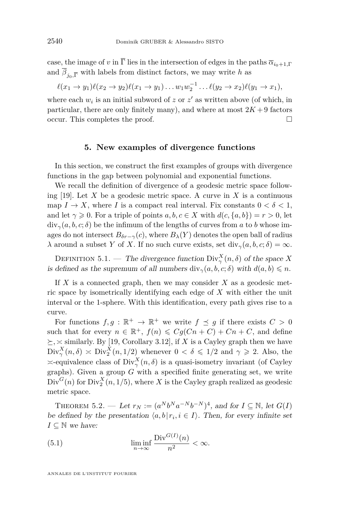case, the image of *v* in  $\overline{\Gamma}$  lies in the intersection of edges in the paths  $\overline{\alpha}_{i_0+1,\Gamma}$ and  $\overline{\beta}_{i_0}$ <sub>Γ</sub> with labels from distinct factors, we may write *h* as

$$
\ell(x_1 \to y_1)\ell(x_2 \to y_2)\ell(x_1 \to y_1)\dots w_1w_2^{-1}\dots \ell(y_2 \to x_2)\ell(y_1 \to x_1),
$$

where each  $w_i$  is an initial subword of  $z$  or  $z'$  as written above (of which, in particular, there are only finitely many), and where at most  $2K + 9$  factors occur. This completes the proof.

# **5. New examples of divergence functions**

In this section, we construct the first examples of groups with divergence functions in the gap between polynomial and exponential functions.

We recall the definition of divergence of a geodesic metric space following  $[19]$ . Let X be a geodesic metric space. A curve in X is a continuous map  $I \to X$ , where *I* is a compact real interval. Fix constants  $0 < \delta < 1$ , and let  $\gamma \geq 0$ . For a triple of points  $a, b, c \in X$  with  $d(c, \{a, b\}) = r > 0$ , let  $div_\gamma(a, b, c; \delta)$  be the infimum of the lengths of curves from *a* to *b* whose images do not intersect  $B_{\delta r-\gamma}(c)$ , where  $B_{\lambda}(Y)$  denotes the open ball of radius *λ* around a subset *Y* of *X*. If no such curve exists, set div<sub>γ</sub>(*a, b, c*; *δ*) = ∞.

DEFINITION 5.1. — The divergence function  $\text{Div}^X_\gamma(n, \delta)$  of the space X is defined as the supremum of all numbers  $\text{div}_{\gamma}(a, b, c; \delta)$  with  $d(a, b) \leq n$ .

If *X* is a connected graph, then we may consider *X* as a geodesic metric space by isometrically identifying each edge of *X* with either the unit interval or the 1-sphere. With this identification, every path gives rise to a curve.

For functions  $f, g: \mathbb{R}^+ \to \mathbb{R}^+$  we write  $f \preceq g$  if there exists  $C > 0$ such that for every  $n \in \mathbb{R}^+$ ,  $f(n) \leqslant Cg(Cn+C) + Cn + C$ , and define  $\geq$ ,  $\leq$  similarly. By [\[19,](#page-50-11) Corollary 3.12], if *X* is a Cayley graph then we have  $Div^X_\gamma(n,\delta) \asymp Div^X_2(n,1/2)$  whenever  $0 < \delta \leq 1/2$  and  $\gamma \geq 2$ . Also, the  $\asymp$ -equivalence class of  $\text{Div}^X_\gamma(n, \delta)$  is a quasi-isometry invariant (of Cayley graphs). Given a group *G* with a specified finite generating set, we write  $\text{Div}^G(n)$  for  $\text{Div}_2^X(n,1/5)$ , where *X* is the Cayley graph realized as geodesic metric space.

<span id="page-40-0"></span>THEOREM 5.2. — Let  $r_N := (a^N b^N a^{-N} b^{-N})^4$ , and for  $I \subseteq \mathbb{N}$ , let  $G(I)$ be defined by the presentation  $\langle a, b | r_i, i \in I \rangle$ . Then, for every infinite set  $I \subseteq \mathbb{N}$  we have:

<span id="page-40-1"></span>(5.1) 
$$
\liminf_{n \to \infty} \frac{\text{Div}^{G(I)}(n)}{n^2} < \infty.
$$

ANNALES DE L'INSTITUT FOURIER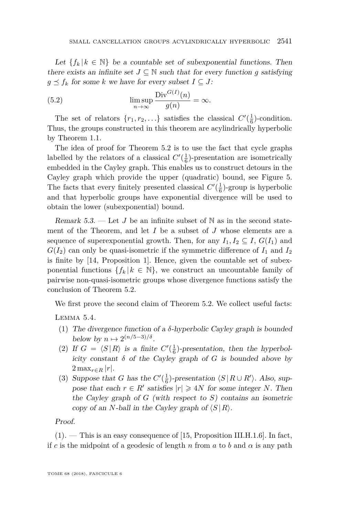Let  ${f_k | k \in \mathbb{N}}$  be a countable set of subexponential functions. Then there exists an infinite set  $J \subseteq \mathbb{N}$  such that for every function g satisfying  $g \preceq f_k$  for some  $k$  we have for every subset  $I \subseteq J$ :

<span id="page-41-4"></span>(5.2) 
$$
\limsup_{n \to \infty} \frac{\text{Div}^{G(I)}(n)}{g(n)} = \infty.
$$

The set of relators  $\{r_1, r_2, \ldots\}$  satisfies the classical  $C'(\frac{1}{6})$ -condition. Thus, the groups constructed in this theorem are acylindrically hyperbolic by Theorem [1.1.](#page-5-0)

The idea of proof for Theorem [5.2](#page-40-0) is to use the fact that cycle graphs labelled by the relators of a classical  $C'(\frac{1}{6})$ -presentation are isometrically embedded in the Cayley graph. This enables us to construct detours in the Cayley graph which provide the upper (quadratic) bound, see Figure [5.](#page-43-0) The facts that every finitely presented classical  $C'(\frac{1}{6})$ -group is hyperbolic and that hyperbolic groups have exponential divergence will be used to obtain the lower (subexponential) bound.

Remark 5.3. — Let *J* be an infinite subset of  $N$  as in the second statement of the Theorem, and let *I* be a subset of *J* whose elements are a sequence of superexponential growth. Then, for any  $I_1, I_2 \subseteq I$ ,  $G(I_1)$  and  $G(I_2)$  can only be quasi-isometric if the symmetric difference of  $I_1$  and  $I_2$ is finite by [\[14,](#page-50-18) Proposition 1]. Hence, given the countable set of subexponential functions  ${f_k | k \in \mathbb{N}}$ , we construct an uncountable family of pairwise non-quasi-isometric groups whose divergence functions satisfy the conclusion of Theorem [5.2.](#page-40-0)

We first prove the second claim of Theorem [5.2.](#page-40-0) We collect useful facts:

<span id="page-41-3"></span><span id="page-41-0"></span>Lemma 5.4.

- (1) The divergence function of a *δ*-hyperbolic Cayley graph is bounded below by  $n \mapsto 2^{(n/5-3)/\delta}$ .
- <span id="page-41-1"></span>(2) If  $G = \langle S | R \rangle$  is a finite  $C'(\frac{1}{6})$ -presentation, then the hyperbolicity constant  $\delta$  of the Cayley graph of  $G$  is bounded above by  $2 \max_{r \in R} |r|.$
- <span id="page-41-2"></span>(3) Suppose that *G* has the  $C'(\frac{1}{6})$ -presentation  $\langle S | R \cup R' \rangle$ . Also, suppose that each  $r \in R'$  satisfies  $|r| \geq 4N$  for some integer *N*. Then the Cayley graph of *G* (with respect to *S*) contains an isometric copy of an *N*-ball in the Cayley graph of  $\langle S | R \rangle$ .

Proof.

 $(1)$ . — This is an easy consequence of [\[15,](#page-50-19) Proposition III.H.1.6]. In fact, if *c* is the midpoint of a geodesic of length *n* from *a* to *b* and  $\alpha$  is any path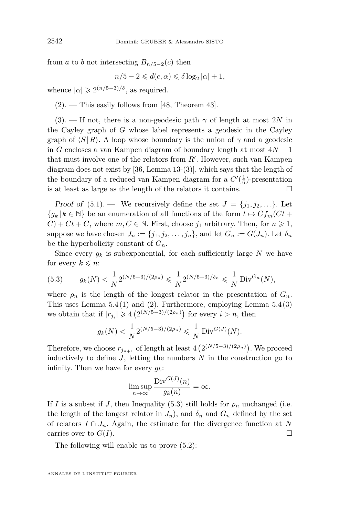from *a* to *b* not intersecting  $B_{n/5-2}(c)$  then

$$
n/5 - 2 \leq d(c, \alpha) \leq \delta \log_2 |\alpha| + 1,
$$

whence  $|\alpha| \geq 2^{(n/5-3)/\delta}$ , as required.

 $(2)$ . — This easily follows from [\[48,](#page-51-17) Theorem 43].

[\(3\)](#page-41-2). — If not, there is a non-geodesic path  $\gamma$  of length at most 2*N* in the Cayley graph of *G* whose label represents a geodesic in the Cayley graph of  $\langle S | R \rangle$ . A loop whose boundary is the union of  $\gamma$  and a geodesic in *G* encloses a van Kampen diagram of boundary length at most 4*N* − 1 that must involve one of the relators from  $R'$ . However, such van Kampen diagram does not exist by [\[36,](#page-51-1) Lemma 13-(3)], which says that the length of the boundary of a reduced van Kampen diagram for a  $C'(\frac{1}{6})$ -presentation is at least as large as the length of the relators it contains.  $\Box$ 

Proof of  $(5.1)$ . — We recursively define the set  $J = \{j_1, j_2, \ldots\}$ . Let  ${g_k | k \in \mathbb{N}}$  be an enumeration of all functions of the form  $t \mapsto C f_m(Ct)$  $C$  +  $Ct$  +  $C$ , where  $m, C \in \mathbb{N}$ . First, choose  $j_1$  arbitrary. Then, for  $n \geq 1$ , suppose we have chosen  $J_n := \{j_1, j_2, \ldots, j_n\}$ , and let  $G_n := G(J_n)$ . Let  $\delta_n$ be the hyperbolicity constant of  $G_n$ .

Since every  $g_k$  is subexponential, for each sufficiently large *N* we have for every  $k \leq n$ :

<span id="page-42-0"></span>(5.3) 
$$
g_k(N) < \frac{1}{N} 2^{(N/5-3)/(2\rho_n)} \leq \frac{1}{N} 2^{(N/5-3)/\delta_n} \leq \frac{1}{N} \operatorname{Div}^{G_n}(N),
$$

where  $\rho_n$  is the length of the longest relator in the presentation of  $G_n$ . This uses Lemma  $5.4(1)$  $5.4(1)$  and [\(2\)](#page-41-1). Furthermore, employing Lemma  $5.4(3)$  $5.4(3)$ we obtain that if  $|r_{j_i}| \geq 4 \left( 2^{(N/5-3)/(2\rho_n)} \right)$  for every  $i > n$ , then

$$
g_k(N) < \frac{1}{N} 2^{(N/5-3)/(2\rho_n)} \leq \frac{1}{N} \text{Div}^{G(J)}(N).
$$

Therefore, we choose  $r_{j_{n+1}}$  of length at least  $4\left(2^{(N/5-3)/(2\rho_n)}\right)$ . We proceed inductively to define  $J$ , letting the numbers  $N$  in the construction go to infinity. Then we have for every *gk*:

$$
\limsup_{n \to \infty} \frac{\text{Div}^{G(J)}(n)}{g_k(n)} = \infty.
$$

If *I* is a subset if *J*, then Inequality [\(5.3\)](#page-42-0) still holds for  $\rho_n$  unchanged (i.e. the length of the longest relator in  $J_n$ ), and  $\delta_n$  and  $G_n$  defined by the set of relators  $I \cap J_n$ . Again, the estimate for the divergence function at N carries over to  $G(I)$ .

The following will enable us to prove [\(5.2\)](#page-41-4):

ANNALES DE L'INSTITUT FOURIER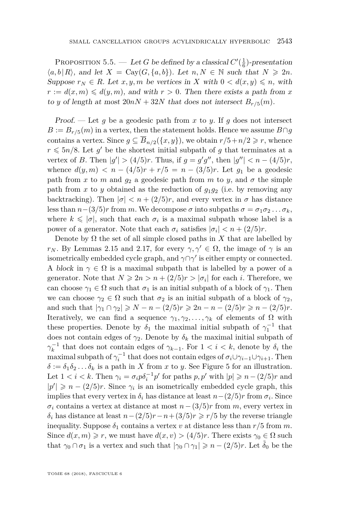<span id="page-43-0"></span>PROPOSITION 5.5. — Let *G* be defined by a classical  $C'(\frac{1}{6})$ -presentation  $\langle a, b | R \rangle$ , and let  $X = \text{Cay}(G, \{a, b\})$ . Let  $n, N \in \mathbb{N}$  such that  $N \geq 2n$ . Suppose  $r_N \in R$ . Let  $x, y, m$  be vertices in  $X$  with  $0 < d(x, y) \leq n$ , with  $r := d(x, m) \leq d(y, m)$ , and with  $r > 0$ . Then there exists a path from *x* to *y* of length at most  $20nN + 32N$  that does not intersect  $B_{r/5}(m)$ .

Proof. — Let *g* be a geodesic path from *x* to *y*. If *g* does not intersect  $B := B_{r/5}(m)$  in a vertex, then the statement holds. Hence we assume  $B \cap g$ contains a vertex. Since  $g \subseteq \overline{B}_{n/2}(\{x, y\})$ , we obtain  $r/5 + n/2 \geq r$ , whence  $r \leqslant 5n/8$ . Let *g*' be the shortest initial subpath of *g* that terminates at a vertex of *B*. Then  $|g'| > (4/5)r$ . Thus, if  $g = g'g''$ , then  $|g''| < n - (4/5)r$ , whence  $d(y, m) < n - (4/5)r + r/5 = n - (3/5)r$ . Let  $g_1$  be a geodesic path from x to m and  $g_2$  a geodesic path from m to y, and  $\sigma$  the simple path from *x* to *y* obtained as the reduction of  $g_1g_2$  (i.e. by removing any backtracking). Then  $|\sigma| < n + (2/5)r$ , and every vertex in  $\sigma$  has distance less than  $n-(3/5)r$  from *m*. We decompose  $\sigma$  into subpaths  $\sigma = \sigma_1 \sigma_2 \ldots \sigma_k$ , where  $k \leq \vert \sigma \vert$ , such that each  $\sigma_i$  is a maximal subpath whose label is a power of a generator. Note that each  $\sigma_i$  satisfies  $|\sigma_i| < n + (2/5)r$ .

Denote by  $\Omega$  the set of all simple closed paths in *X* that are labelled by *r<sub>N</sub>*. By Lemmas [2.15](#page-15-0) and [2.17,](#page-16-1) for every  $\gamma, \gamma' \in \Omega$ , the image of  $\gamma$  is an isometrically embedded cycle graph, and  $\gamma \cap \gamma'$  is either empty or connected. A block in  $\gamma \in \Omega$  is a maximal subpath that is labelled by a power of a generator. Note that  $N \ge 2n > n + (2/5)r > |\sigma_i|$  for each *i*. Therefore, we can choose  $\gamma_1 \in \Omega$  such that  $\sigma_1$  is an initial subpath of a block of  $\gamma_1$ . Then we can choose  $\gamma_2 \in \Omega$  such that  $\sigma_2$  is an initial subpath of a block of  $\gamma_2$ , and such that  $|\gamma_1 \cap \gamma_2| \geq N - n - (2/5)r \geq 2n - n - (2/5)r \geq n - (2/5)r$ . Iteratively, we can find a sequence  $\gamma_1, \gamma_2, \ldots, \gamma_k$  of elements of  $\Omega$  with these properties. Denote by  $\delta_1$  the maximal initial subpath of  $\gamma_1^{-1}$  that does not contain edges of  $\gamma_2$ . Denote by  $\delta_k$  the maximal initial subpath of *γ*<sup> $\frac{1}{k}$ <sup>1</sup> that does not contain edges of *γ*<sub>*k*−1</sub>. For 1 < *i* < *k*, denote by *δ*<sub>*i*</sub> the</sup> maximal subpath of  $\gamma_i^{-1}$  that does not contain edges of  $\sigma_i \cup \gamma_{i-1} \cup \gamma_{i+1}$ . Then  $\delta := \delta_1 \delta_2 \dots \delta_k$  is a path in *X* from *x* to *y*. See Figure [5](#page-43-0) for an illustration. Let  $1 < i < k$ . Then  $\gamma_i = \sigma_i p \delta_i^{-1} p'$  for paths  $p, p'$  with  $|p| \geq n - (2/5)r$  and  $|p'| \geq n - (2/5)r$ . Since  $\gamma_i$  is an isometrically embedded cycle graph, this implies that every vertex in  $\delta_i$  has distance at least  $n-(2/5)r$  from  $\sigma_i$ . Since  $\sigma_i$  contains a vertex at distance at most  $n-(3/5)r$  from *m*, every vertex in *δ*<sup>*i*</sup> has distance at least *n*−(2*/*5)*r*−*n*+(3*/*5)*r*  $\ge$  *r*/5 by the reverse triangle inequality. Suppose  $\delta_1$  contains a vertex *v* at distance less than  $r/5$  from *m*. Since  $d(x, m) \geq r$ , we must have  $d(x, v) > (4/5)r$ . There exists  $\gamma_0 \in \Omega$  such that  $\gamma_0 \cap \sigma_1$  is a vertex and such that  $|\gamma_0 \cap \gamma_1| \geq n - (2/5)r$ . Let  $\tilde{\delta}_0$  be the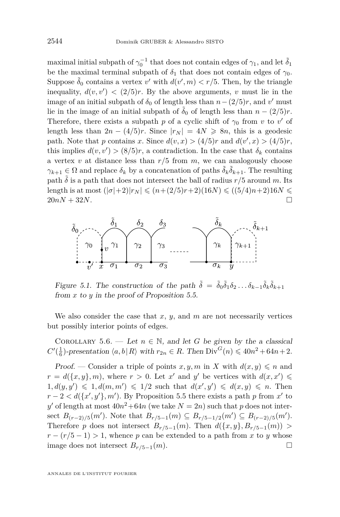maximal initial subpath of  $\gamma_0^{-1}$  that does not contain edges of  $\gamma_1$ , and let  $\tilde{\delta}_1$ be the maximal terminal subpath of  $\delta_1$  that does not contain edges of  $\gamma_0$ . Suppose  $\tilde{\delta}_0$  contains a vertex  $v'$  with  $d(v', m) < r/5$ . Then, by the triangle inequality,  $d(v, v') < (2/5)r$ . By the above arguments, *v* must lie in the image of an initial subpath of  $\delta_0$  of length less than  $n-(2/5)r$ , and  $v'$  must lie in the image of an initial subpath of  $\tilde{\delta}_0$  of length less than  $n - (2/5)r$ . Therefore, there exists a subpath  $p$  of a cyclic shift of  $\gamma_0$  from  $v$  to  $v'$  of length less than  $2n - (4/5)r$ . Since  $|r_N| = 4N \geq 8n$ , this is a geodesic path. Note that *p* contains *x*. Since  $d(v, x) > (4/5)r$  and  $d(v', x) > (4/5)r$ , this implies  $d(v, v') > (8/5)r$ , a contradiction. In the case that  $\delta_k$  contains a vertex  $v$  at distance less than  $r/5$  from  $m$ , we can analogously choose *γ*<sub>*k*+1</sub>  $\in$  Ω and replace  $\delta_k$  by a concatenation of paths  $\tilde{\delta}_k \tilde{\delta}_{k+1}$ . The resulting path  $\tilde{\delta}$  is a path that does not intersect the ball of radius  $r/5$  around m. Its length is at most  $(|\sigma|+2)|r_N| \leq (n+(2/5)r+2)(16N) \leq (5/4)n+216N \leq$  $20nN + 32N$ .



Figure 5.1. The construction of the path  $\tilde{\delta} = \tilde{\delta}_0 \tilde{\delta}_1 \delta_2 \dots \delta_{k-1} \tilde{\delta}_k \tilde{\delta}_{k+1}$ from *x* to *y* in the proof of Proposition [5.5.](#page-43-0)

We also consider the case that  $x, y$ , and  $m$  are not necessarily vertices but possibly interior points of edges.

<span id="page-44-0"></span>COROLLARY 5.6. — Let  $n \in \mathbb{N}$ , and let *G* be given by the a classical  $C'(\frac{1}{6})$ -presentation  $\langle a, b | R \rangle$  with  $r_{2n} \in R$ . Then  $\text{Div}^G(n) \leq 40n^2 + 64n + 2$ .

Proof. — Consider a triple of points  $x, y, m$  in X with  $d(x, y) \leq n$  and  $r = d({x, y}, m)$ , where  $r > 0$ . Let *x*' and *y*' be vertices with  $d(x, x') \leq$  $1, d(y, y') \leq 1, d(m, m') \leq 1/2$  such that  $d(x', y') \leq d(x, y) \leq n$ . Then  $r-2 < d({x', y', m')}$ . By Proposition [5.5](#page-43-0) there exists a path *p* from *x'* to y' of length at most  $40n^2+64n$  (we take  $N=2n$ ) such that p does not intersect  $B_{(r-2)/5}(m')$ . Note that  $B_{r/5-1}(m) \subseteq B_{r/5-1/2}(m') \subseteq B_{(r-2)/5}(m')$ . Therefore *p* does not intersect  $B_{r/5-1}(m)$ . Then  $d({x, y}, B_{r/5-1}(m)) >$  $r - (r/5 - 1) > 1$ , whence *p* can be extended to a path from *x* to *y* whose image does not intersect  $B_{r/5-1}(m)$ . □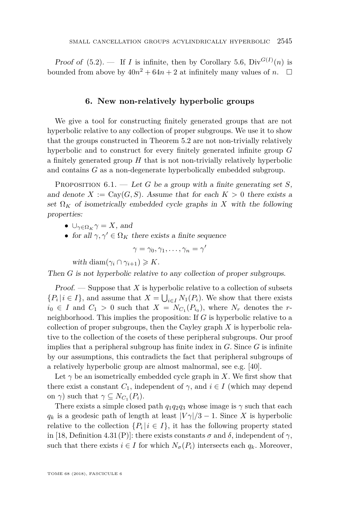Proof of  $(5.2)$ . — If *I* is infinite, then by Corollary [5.6,](#page-44-0) Div<sup>G(*I*)</sup>(*n*) is bounded from above by  $40n^2 + 64n + 2$  at infinitely many values of *n*.  $\Box$ 

# **6. New non-relatively hyperbolic groups**

We give a tool for constructing finitely generated groups that are not hyperbolic relative to any collection of proper subgroups. We use it to show that the groups constructed in Theorem [5.2](#page-40-0) are not non-trivially relatively hyperbolic and to construct for every finitely generated infinite group *G* a finitely generated group *H* that is not non-trivially relatively hyperbolic and contains *G* as a non-degenerate hyperbolically embedded subgroup.

<span id="page-45-0"></span>PROPOSITION  $6.1.$  — Let *G* be a group with a finite generating set *S*, and denote  $X := \text{Cay}(G, S)$ . Assume that for each  $K > 0$  there exists a set  $\Omega_K$  of isometrically embedded cycle graphs in X with the following properties:

•  $\cup_{\gamma \in \Omega_K} \gamma = X$ , and

• for all  $\gamma, \gamma' \in \Omega_K$  there exists a finite sequence

 $\gamma = \gamma_0, \gamma_1, \ldots, \gamma_n = \gamma'$ 

with diam $(\gamma_i \cap \gamma_{i+1}) \geq K$ .

Then *G* is not hyperbolic relative to any collection of proper subgroups.

**Proof.** — Suppose that  $X$  is hyperbolic relative to a collection of subsets  $\{P_i \mid i \in I\}$ , and assume that  $X = \bigcup_{i \in I} N_1(P_i)$ . We show that there exists  $i_0 \in I$  and  $C_1 > 0$  such that  $X = N_{C_1}(P_{i_0})$ , where  $N_r$  denotes the *r*neighborhood. This implies the proposition: If *G* is hyperbolic relative to a collection of proper subgroups, then the Cayley graph *X* is hyperbolic relative to the collection of the cosets of these peripheral subgroups. Our proof implies that a peripheral subgroup has finite index in *G*. Since *G* is infinite by our assumptions, this contradicts the fact that peripheral subgroups of a relatively hyperbolic group are almost malnormal, see e.g. [\[40\]](#page-51-16).

Let  $\gamma$  be an isometrically embedded cycle graph in *X*. We first show that there exist a constant  $C_1$ , independent of  $\gamma$ , and  $i \in I$  (which may depend on  $\gamma$ ) such that  $\gamma \subseteq N_{C_1}(P_i)$ .

There exists a simple closed path  $q_1q_2q_3$  whose image is  $\gamma$  such that each  $q_k$  is a geodesic path of length at least  $|V_\gamma|/3 - 1$ . Since X is hyperbolic relative to the collection  $\{P_i \mid i \in I\}$ , it has the following property stated in [\[18,](#page-50-20) Definition 4.31 (P)]: there exists constants  $\sigma$  and  $\delta$ , independent of  $\gamma$ , such that there exists  $i \in I$  for which  $N_{\sigma}(P_i)$  intersects each  $q_k$ . Moreover,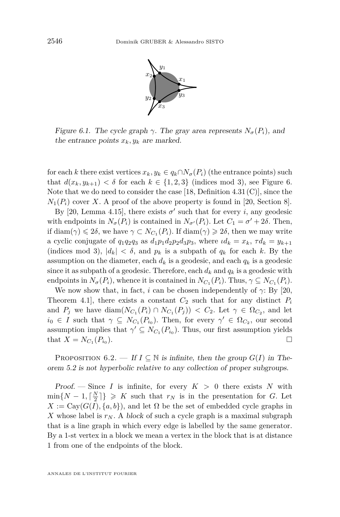

Figure 6.1. The cycle graph  $\gamma$ . The gray area represents  $N_{\sigma}(P_i)$ , and the entrance points  $x_k, y_k$  are marked.

for each *k* there exist vertices  $x_k, y_k \in q_k \cap N_\sigma(P_i)$  (the entrance points) such that  $d(x_k, y_{k+1}) < \delta$  for each  $k \in \{1, 2, 3\}$  (indices mod 3), see Figure [6.](#page-45-0) Note that we do need to consider the case [\[18,](#page-50-20) Definition 4.31  $(C)$ ], since the  $N_1(P_i)$  cover *X*. A proof of the above property is found in [\[20,](#page-50-21) Section 8].

By [\[20,](#page-50-21) Lemma 4.15], there exists  $\sigma'$  such that for every *i*, any geodesic with endpoints in  $N_{\sigma}(P_i)$  is contained in  $N_{\sigma'}(P_i)$ . Let  $C_1 = \sigma' + 2\delta$ . Then, if  $\text{diam}(\gamma) \leq 2\delta$ , we have  $\gamma \subset N_{C_1}(P_i)$ . If  $\text{diam}(\gamma) \geq 2\delta$ , then we may write a cyclic conjugate of  $q_1q_2q_3$  as  $d_1p_1d_2p_2d_3p_3$ , where  $\iota d_k = x_k$ ,  $\tau d_k = y_{k+1}$ (indices mod 3),  $|d_k| < \delta$ , and  $p_k$  is a subpath of  $q_k$  for each k. By the assumption on the diameter, each  $d_k$  is a geodesic, and each  $q_k$  is a geodesic since it as subpath of a geodesic. Therefore, each  $d_k$  and  $q_k$  is a geodesic with endpoints in  $N_{\sigma}(P_i)$ , whence it is contained in  $N_{C_1}(P_i)$ . Thus,  $\gamma \subseteq N_{C_1}(P_i)$ .

We now show that, in fact, *i* can be chosen independently of  $\gamma$ : By [\[20,](#page-50-21) Theorem 4.1, there exists a constant  $C_2$  such that for any distinct  $P_i$ and  $P_j$  we have diam $(N_{C_1}(P_i) \cap N_{C_1}(P_j)) < C_2$ . Let  $\gamma \in \Omega_{C_2}$ , and let  $i_0 \in I$  such that  $\gamma \subseteq N_{C_1}(P_{i_0})$ . Then, for every  $\gamma' \in \Omega_{C_2}$ , our second assumption implies that  $\gamma' \subseteq N_{C_1}(P_{i_0})$ . Thus, our first assumption yields that  $X = N_{C_1}(P_{i_0})$  $\Box$ 

<span id="page-46-0"></span>PROPOSITION 6.2. — If  $I \subseteq \mathbb{N}$  is infinite, then the group  $G(I)$  in Theorem [5.2](#page-40-0) is not hyperbolic relative to any collection of proper subgroups.

Proof.  $\sim$  Since *I* is infinite, for every  $K > 0$  there exists *N* with  $\min\{N-1,\lceil \frac{N}{2} \rceil\} \geqslant K$  such that  $r_N$  is in the presentation for *G*. Let  $X := \text{Cay}(G(I), \{a, b\})$ , and let  $\Omega$  be the set of embedded cycle graphs in *X* whose label is  $r_N$ . A block of such a cycle graph is a maximal subgraph that is a line graph in which every edge is labelled by the same generator. By a 1-st vertex in a block we mean a vertex in the block that is at distance 1 from one of the endpoints of the block.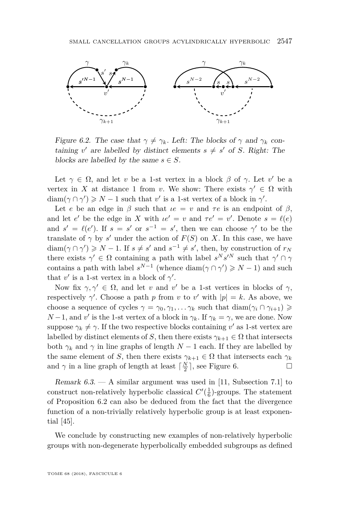

Figure 6.2. The case that  $\gamma \neq \gamma_k$ . Left: The blocks of  $\gamma$  and  $\gamma_k$  containing v' are labelled by distinct elements  $s \neq s'$  of *S*. Right: The blocks are labelled by the same  $s \in S$ .

Let  $\gamma \in \Omega$ , and let *v* be a 1-st vertex in a block  $\beta$  of  $\gamma$ . Let *v'* be a vertex in *X* at distance 1 from *v*. We show: There exists  $\gamma' \in \Omega$  with diam( $\gamma \cap \gamma'$ )  $\geq N - 1$  such that *v*' is a 1-st vertex of a block in  $\gamma'$ .

Let *e* be an edge in  $\beta$  such that  $\iota e = v$  and  $\tau e$  is an endpoint of  $\beta$ , and let *e'* be the edge in *X* with  $\iota e' = v$  and  $\tau e' = v'$ . Denote  $s = \ell(e)$ and  $s' = \ell(e')$ . If  $s = s'$  or  $s^{-1} = s'$ , then we can choose  $\gamma'$  to be the translate of  $\gamma$  by *s'* under the action of  $F(S)$  on *X*. In this case, we have  $\text{diam}(\gamma \cap \gamma') \geq N - 1$ . If  $s \neq s'$  and  $s^{-1} \neq s'$ , then, by construction of  $r_N$ there exists  $\gamma' \in \Omega$  containing a path with label  $s^N s'^N$  such that  $\gamma' \cap \gamma$ contains a path with label  $s^{N-1}$  (whence  $\text{diam}(\gamma \cap \gamma') \geq N-1$ ) and such that  $v'$  is a 1-st vertex in a block of  $\gamma'$ .

Now fix  $\gamma, \gamma' \in \Omega$ , and let *v* and *v'* be a 1-st vertices in blocks of  $\gamma$ , respectively  $\gamma'$ . Choose a path *p* from *v* to *v'* with  $|p| = k$ . As above, we choose a sequence of cycles  $\gamma = \gamma_0, \gamma_1, \ldots, \gamma_k$  such that  $\text{diam}(\gamma_i \cap \gamma_{i+1}) \geq$ *N* − 1, and *v*<sup> $\prime$ </sup> is the 1-st vertex of a block in  $\gamma_k$ . If  $\gamma_k = \gamma$ , we are done. Now suppose  $\gamma_k \neq \gamma$ . If the two respective blocks containing *v'* as 1-st vertex are labelled by distinct elements of *S*, then there exists  $\gamma_{k+1} \in \Omega$  that intersects both  $\gamma_k$  and  $\gamma$  in line graphs of length  $N-1$  each. If they are labelled by the same element of *S*, then there exists  $\gamma_{k+1} \in \Omega$  that intersects each  $\gamma_k$ and  $\gamma$  in a line graph of length at least  $\lceil \frac{N}{2} \rceil$ , see Figure [6.](#page-46-0)

Remark  $6.3.$  — A similar argument was used in [\[11,](#page-50-22) Subsection 7.1] to construct non-relatively hyperbolic classical  $C'(\frac{1}{6})$ -groups. The statement of Proposition [6.2](#page-46-0) can also be deduced from the fact that the divergence function of a non-trivially relatively hyperbolic group is at least exponential [\[45\]](#page-51-14).

We conclude by constructing new examples of non-relatively hyperbolic groups with non-degenerate hyperbolically embedded subgroups as defined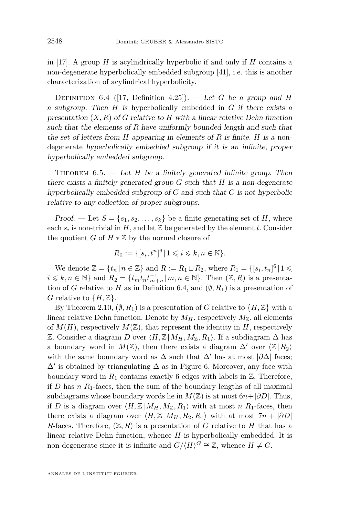in [\[17\]](#page-50-4). A group *H* is acylindrically hyperbolic if and only if *H* contains a non-degenerate hyperbolically embedded subgroup [\[41\]](#page-51-5), i.e. this is another characterization of acylindrical hyperbolicity.

<span id="page-48-1"></span>Definition 6.4 ([\[17,](#page-50-4) Definition 4.25]). — Let *G* be a group and *H* a subgroup. Then *H* is hyperbolically embedded in *G* if there exists a presentation  $(X, R)$  of  $G$  relative to  $H$  with a linear relative Dehn function such that the elements of *R* have uniformly bounded length and such that the set of letters from *H* appearing in elements of *R* is finite. *H* is a nondegenerate hyperbolically embedded subgroup if it is an infinite, proper hyperbolically embedded subgroup.

<span id="page-48-0"></span>THEOREM  $6.5.$  — Let *H* be a finitely generated infinite group. Then there exists a finitely generated group *G* such that *H* is a non-degenerate hyperbolically embedded subgroup of *G* and such that *G* is not hyperbolic relative to any collection of proper subgroups.

Proof. — Let  $S = \{s_1, s_2, \ldots, s_k\}$  be a finite generating set of *H*, where each  $s_i$  is non-trivial in  $H$ , and let  $\mathbb{Z}$  be generated by the element  $t$ . Consider the quotient *G* of  $H * \mathbb{Z}$  by the normal closure of

$$
R_0 := \{ [s_i, t^n]^6 \, | \, 1 \leq i \leq k, n \in \mathbb{N} \}.
$$

We denote  $\mathbb{Z} = \{t_n | n \in \mathbb{Z}\}$  and  $R := R_1 \sqcup R_2$ , where  $R_1 = \{[s_i, t_n]^6 | 1 \leq \ell \leq n \}$  $i \leq k, n \in \mathbb{N}$  and  $R_2 = \{t_m t_n t_{m+n}^{-1} | m, n \in \mathbb{N}\}$ . Then  $(\mathbb{Z}, R)$  is a presentation of *G* relative to *H* as in Definition [6.4,](#page-48-1) and  $(\emptyset, R_1)$  is a presentation of *G* relative to  $\{H, \mathbb{Z}\}.$ 

By Theorem [2.10,](#page-13-1)  $(\emptyset, R_1)$  is a presentation of *G* relative to  $\{H, \mathbb{Z}\}\$  with a linear relative Dehn function. Denote by  $M_H$ , respectively  $M_Z$ , all elements of  $M(H)$ , respectively  $M(\mathbb{Z})$ , that represent the identity in  $H$ , respectively  $\mathbb{Z}$ . Consider a diagram *D* over  $\langle H, \mathbb{Z}|M_H, M_{\mathbb{Z}}, R_1 \rangle$ . If a subdiagram Δ has a boundary word in  $M(\mathbb{Z})$ , then there exists a diagram  $\Delta'$  over  $\langle \mathbb{Z} | R_2 \rangle$ with the same boundary word as  $\Delta$  such that  $\Delta'$  has at most  $|\partial \Delta|$  faces;  $\Delta'$  is obtained by triangulating  $\Delta$  as in Figure [6.](#page-48-0) Moreover, any face with boundary word in  $R_1$  contains exactly 6 edges with labels in  $Z$ . Therefore, if *D* has *n*  $R_1$ -faces, then the sum of the boundary lengths of all maximal subdiagrams whose boundary words lie in  $M(\mathbb{Z})$  is at most  $6n+|\partial D|$ . Thus, if *D* is a diagram over  $\langle H, \mathbb{Z} | M_H, M_\mathbb{Z}, R_1 \rangle$  with at most *n*  $R_1$ -faces, then there exists a diagram over  $\langle H, \mathbb{Z} | M_H, R_2, R_1 \rangle$  with at most  $7n + |\partial D|$ *R*-faces. Therefore,  $(\mathbb{Z}, R)$  is a presentation of *G* relative to *H* that has a linear relative Dehn function, whence *H* is hyperbolically embedded. It is non-degenerate since it is infinite and  $G/(H)^{\overline{G}} \cong \mathbb{Z}$ , whence  $H \neq G$ .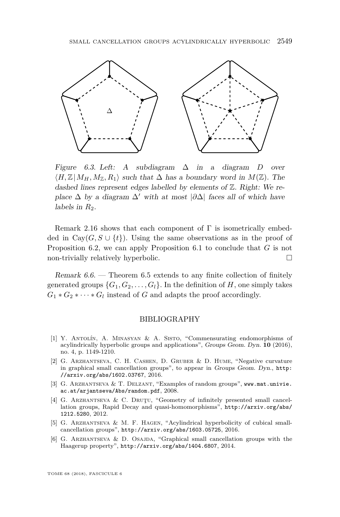

Figure 6.3. Left: A subdiagram ∆ in a diagram *D* over  $\langle H, \mathbb{Z} | M_H, M_{\mathbb{Z}}, R_1 \rangle$  such that  $\Delta$  has a boundary word in  $M(\mathbb{Z})$ . The dashed lines represent edges labelled by elements of  $\mathbb{Z}$ . Right: We replace  $\Delta$  by a diagram  $\Delta'$  with at most  $|\partial \Delta|$  faces all of which have labels in  $R_2$ .

Remark [2.16](#page-15-1) shows that each component of Γ is isometrically embedded in  $\text{Cay}(G, S \cup \{t\})$ . Using the same observations as in the proof of Proposition [6.2,](#page-46-0) we can apply Proposition [6.1](#page-45-0) to conclude that *G* is not non-trivially relatively hyperbolic.

Remark  $6.6.$  — Theorem  $6.5$  extends to any finite collection of finitely generated groups  $\{G_1, G_2, \ldots, G_l\}$ . In the definition of *H*, one simply takes  $G_1 * G_2 * \cdots * G_l$  instead of *G* and adapts the proof accordingly.

# BIBLIOGRAPHY

- <span id="page-49-2"></span>[1] Y. Antolín, A. Minasyan & A. Sisto, "Commensurating endomorphisms of acylindrically hyperbolic groups and applications", Groups Geom. Dyn. **10** (2016), no. 4, p. 1149-1210.
- <span id="page-49-3"></span>[2] G. Arzhantseva, C. H. Cashen, D. Gruber & D. Hume, "Negative curvature in graphical small cancellation groups", to appear in Groups Geom. Dyn., [http:](http://arxiv.org/abs/1602.03767) [//arxiv.org/abs/1602.03767](http://arxiv.org/abs/1602.03767), 2016.
- <span id="page-49-0"></span>[3] G. Arzhantseva & T. Delzant, "Examples of random groups", [www.mat.univie.](www.mat.univie.ac.at/ arjantseva/Abs/random.pdf) [ac.at/arjantseva/Abs/random.pdf](www.mat.univie.ac.at/ arjantseva/Abs/random.pdf), 2008.
- <span id="page-49-5"></span>[4] G. ARZHANTSEVA & C. DRUŢU, "Geometry of infinitely presented small cancellation groups, Rapid Decay and quasi-homomorphisms", [http://arxiv.org/abs/](http://arxiv.org/abs/1212.5280) [1212.5280](http://arxiv.org/abs/1212.5280), 2012.
- <span id="page-49-4"></span>[5] G. Arzhantseva & M. F. Hagen, "Acylindrical hyperbolicity of cubical smallcancellation groups", <http://arxiv.org/abs/1603.05725>, 2016.
- <span id="page-49-1"></span>[6] G. Arzhantseva & D. Osajda, "Graphical small cancellation groups with the Haagerup property", <http://arxiv.org/abs/1404.6807>, 2014.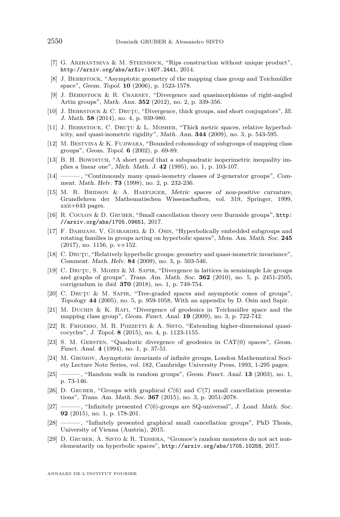- <span id="page-50-2"></span>[7] G. Arzhantseva & M. Steenbock, "Rips construction without unique product", <http://arxiv.org/abs/arXiv:1407.2441>, 2014.
- <span id="page-50-8"></span>[8] J. Behrstock, "Asymptotic geometry of the mapping class group and Teichmüller space", Geom. Topol. **10** (2006), p. 1523-1578.
- <span id="page-50-9"></span>[9] J. Behrstock & R. Charney, "Divergence and quasimorphisms of right-angled Artin groups", Math. Ann. **352** (2012), no. 2, p. 339-356.
- <span id="page-50-10"></span>[10] J. BEHRSTOCK  $& C$ . DRUTU, "Divergence, thick groups, and short conjugators", Ill. J. Math. **58** (2014), no. 4, p. 939-980.
- <span id="page-50-22"></span>[11] J. BEHRSTOCK, C. DRUŢU & L. MOSHER, "Thick metric spaces, relative hyperbolicity, and quasi-isometric rigidity", Math. Ann. **344** (2009), no. 3, p. 543-595.
- <span id="page-50-3"></span>[12] M. Bestvina & K. Fujiwara, "Bounded cohomology of subgroups of mapping class groups", Geom. Topol. **6** (2002), p. 69-89.
- <span id="page-50-17"></span>[13] B. H. BOWDITCH, "A short proof that a subquadratic isoperimetric inequality implies a linear one", Mich. Math. J. **42** (1995), no. 1, p. 103-107.
- <span id="page-50-18"></span>[14] ——— , "Continuously many quasi-isometry classes of 2-generator groups", Comment. Math. Helv. **73** (1998), no. 2, p. 232-236.
- <span id="page-50-19"></span>[15] M. R. BRIDSON & A. HAEFLIGER, Metric spaces of non-positive curvature, Grundlehren der Mathematischen Wissenschaften, vol. 319, Springer, 1999, xxii+643 pages.
- <span id="page-50-13"></span>[16] R. Coulon & D. Gruber, "Small cancellation theory over Burnside groups", [http:](http://arxiv.org/abs/1705.09651) [//arxiv.org/abs/1705.09651](http://arxiv.org/abs/1705.09651), 2017.
- <span id="page-50-4"></span>[17] F. Dahmani, V. Guirardel & D. Osin, "Hyperbolically embedded subgroups and rotating families in groups acting on hyperbolic spaces", Mem. Am. Math. Soc. **245** (2017), no. 1156, p. v+152.
- <span id="page-50-20"></span>[18] C. DRUTU, "Relatively hyperbolic groups: geometry and quasi-isometric invariance", Comment. Math. Helv. **84** (2009), no. 3, p. 503-546.
- <span id="page-50-11"></span>[19] C. Druţu, S. Mozes & M. Sapir, "Divergence in lattices in semisimple Lie groups and graphs of groups", Trans. Am. Math. Soc. **362** (2010), no. 5, p. 2451-2505, corrigendum in ibid. **370** (2018), no. 1, p. 749-754.
- <span id="page-50-21"></span>[20] C. DRUŢU & M. SAPIR, "Tree-graded spaces and asymptotic cones of groups", Topology **44** (2005), no. 5, p. 959-1058, With an appendix by D. Osin and Sapir.
- <span id="page-50-12"></span>[21] M. DUCHIN & K. RAFI, "Divergence of geodesics in Teichmüller space and the mapping class group", Geom. Funct. Anal. **19** (2009), no. 3, p. 722-742.
- <span id="page-50-5"></span>[22] R. FRIGERIO, M. B. POZZETTI & A. SISTO, "Extending higher-dimensional quasicocycles", J. Topol. **8** (2015), no. 4, p. 1123-1155.
- <span id="page-50-7"></span>[23] S. M. GERSTEN, "Quadratic divergence of geodesics in CAT(0) spaces", Geom. Funct. Anal. **4** (1994), no. 1, p. 37-51.
- <span id="page-50-6"></span>[24] M. Gromov, Asymptotic invariants of infinite groups, London Mathematical Society Lecture Note Series, vol. 182, Cambridge University Press, 1993, 1-295 pages.
- <span id="page-50-0"></span>[25] ——— , "Random walk in random groups", Geom. Funct. Anal. **13** (2003), no. 1, p. 73-146.
- <span id="page-50-1"></span>[26] D. GRUBER, "Groups with graphical  $C(6)$  and  $C(7)$  small cancellation presentations", Trans. Am. Math. Soc. **367** (2015), no. 3, p. 2051-2078.
- <span id="page-50-15"></span>[27] ——— , "Infinitely presented *C*(6)-groups are SQ-universal", J. Lond. Math. Soc. **92** (2015), no. 1, p. 178-201.
- <span id="page-50-16"></span>[28] ——, "Infinitely presented graphical small cancellation groups", PhD Thesis, University of Vienna (Austria), 2015.
- <span id="page-50-14"></span>[29] D. Gruber, A. Sisto & R. Tessera, "Gromov's random monsters do not act nonelementarily on hyperbolic spaces", <http://arxiv.org/abs/1705.10258>, 2017.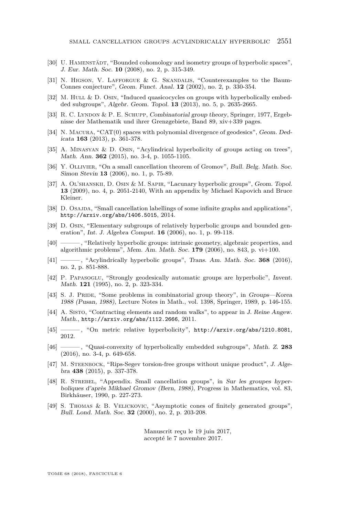- <span id="page-51-6"></span>[30] U. HAMENSTÄDT, "Bounded cohomology and isometry groups of hyperbolic spaces", J. Eur. Math. Soc. **10** (2008), no. 2, p. 315-349.
- <span id="page-51-0"></span>[31] N. Higson, V. Lafforgue & G. Skandalis, "Counterexamples to the Baum-Connes conjecture", Geom. Funct. Anal. **12** (2002), no. 2, p. 330-354.
- <span id="page-51-9"></span>[32] M. HULL & D. Osin, "Induced quasicocycles on groups with hyperbolically embedded subgroups", Algebr. Geom. Topol. **13** (2013), no. 5, p. 2635-2665.
- <span id="page-51-3"></span>[33] R. C. Lyndon & P. E. Schupp, Combinatorial group theory, Springer, 1977, Ergebnisse der Mathematik und ihrer Grenzgebiete, Band 89, xiv+339 pages.
- <span id="page-51-15"></span>[34] N. MACURA, "CAT(0) spaces with polynomial divergence of geodesics", Geom. Dedicata **163** (2013), p. 361-378.
- <span id="page-51-12"></span>[35] A. Minasyan & D. Osin, "Acylindrical hyperbolicity of groups acting on trees", Math. Ann. **362** (2015), no. 3-4, p. 1055-1105.
- <span id="page-51-1"></span>[36] Y. OLLIVIER, "On a small cancellation theorem of Gromov", Bull. Belg. Math. Soc. Simon Stevin **13** (2006), no. 1, p. 75-89.
- <span id="page-51-13"></span>[37] A. Ol'shanskii, D. Osin & M. Sapir, "Lacunary hyperbolic groups", Geom. Topol. **13** (2009), no. 4, p. 2051-2140, With an appendix by Michael Kapovich and Bruce Kleiner.
- <span id="page-51-2"></span>[38] D. Osajda, "Small cancellation labellings of some infinite graphs and applications", <http://arxiv.org/abs/1406.5015>, 2014.
- <span id="page-51-19"></span>[39] D. Osin, "Elementary subgroups of relatively hyperbolic groups and bounded generation", Int. J. Algebra Comput. **16** (2006), no. 1, p. 99-118.
- <span id="page-51-16"></span>[40] ——— , "Relatively hyperbolic groups: intrinsic geometry, algebraic properties, and algorithmic problems", Mem. Am. Math. Soc. **179** (2006), no. 843, p. vi+100.
- <span id="page-51-5"></span>[41] ——— , "Acylindrically hyperbolic groups", Trans. Am. Math. Soc. **368** (2016), no. 2, p. 851-888.
- <span id="page-51-18"></span>[42] P. Papasoglu, "Strongly geodesically automatic groups are hyperbolic", Invent. Math. **121** (1995), no. 2, p. 323-334.
- <span id="page-51-10"></span>[43] S. J. PRIDE, "Some problems in combinatorial group theory", in Groups—Korea 1988 (Pusan, 1988), Lecture Notes in Math., vol. 1398, Springer, 1989, p. 146-155.
- <span id="page-51-7"></span>[44] A. Sisto, "Contracting elements and random walks", to appear in J. Reine Angew. Math., <http://arxiv.org/abs/1112.2666>, 2011.
- <span id="page-51-14"></span>[45] ——— , "On metric relative hyperbolicity", <http://arxiv.org/abs/1210.8081>, 2012.
- <span id="page-51-8"></span>[46] ——— , "Quasi-convexity of hyperbolically embedded subgroups", Math. Z. **283** (2016), no. 3-4, p. 649-658.
- <span id="page-51-4"></span>[47] M. STEENBOCK, "Rips-Segev torsion-free groups without unique product", J. Algebra **438** (2015), p. 337-378.
- <span id="page-51-17"></span>[48] R. Strebel, "Appendix. Small cancellation groups", in Sur les groupes hyperboliques d'après Mikhael Gromov (Bern, 1988), Progress in Mathematics, vol. 83, Birkhäuser, 1990, p. 227-273.
- <span id="page-51-11"></span>[49] S. Thomas & B. Velickovic, "Asymptotic cones of finitely generated groups", Bull. Lond. Math. Soc. **32** (2000), no. 2, p. 203-208.

Manuscrit reçu le 19 juin 2017, accepté le 7 novembre 2017.